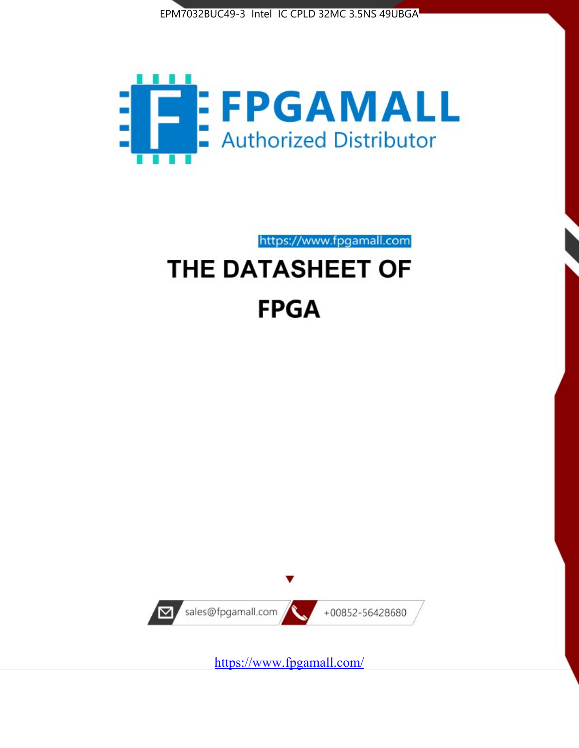



https://www.fpgamall.com

# THE DATASHEET OF **FPGA**



<https://www.fpgamall.com/>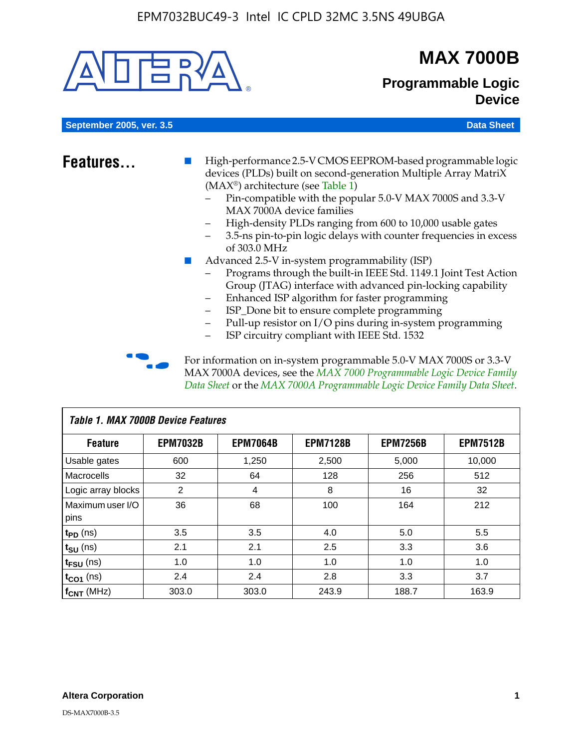

# **MAX 7000B**

### **Programmable Logic Device**

**September 2005, ver. 3.5 Data Sheet** Construction of the Construction of the Construction of the Data Sheet

- **Features...** High-performance 2.5-V CMOS EEPROM-based programmable logic devices (PLDs) built on second-generation Multiple Array MatriX (MAX®) architecture (see Table 1)
	- Pin-compatible with the popular 5.0-V MAX 7000S and 3.3-V MAX 7000A device families
	- High-density PLDs ranging from 600 to 10,000 usable gates
	- 3.5-ns pin-to-pin logic delays with counter frequencies in excess of 303.0 MHz
	- Advanced 2.5-V in-system programmability (ISP)
	- Programs through the built-in IEEE Std. 1149.1 Joint Test Action Group (JTAG) interface with advanced pin-locking capability
	- Enhanced ISP algorithm for faster programming
	- ISP\_Done bit to ensure complete programming
	- Pull-up resistor on I/O pins during in-system programming
	- ISP circuitry compliant with IEEE Std. 1532

For information on in-system programmable 5.0-V MAX 7000S or 3.3-V MAX 7000A devices, see the *MAX 7000 Programmable Logic Device Family Data Sheet* or the *MAX 7000A Programmable Logic Device Family Data Sheet*.

| <b>Table 1. MAX 7000B Device Features</b> |                 |                 |                 |                 |                 |  |  |  |  |
|-------------------------------------------|-----------------|-----------------|-----------------|-----------------|-----------------|--|--|--|--|
| <b>Feature</b>                            | <b>EPM7032B</b> | <b>EPM7064B</b> | <b>EPM7128B</b> | <b>EPM7256B</b> | <b>EPM7512B</b> |  |  |  |  |
| Usable gates                              | 600             | 1,250           | 2,500           | 5,000           | 10,000          |  |  |  |  |
| <b>Macrocells</b>                         | 32              | 64              | 128             | 256             | 512             |  |  |  |  |
| Logic array blocks                        | 2               | 4               | 8               | 16              | 32              |  |  |  |  |
| Maximum user I/O                          | 36              | 68              | 100             | 164             | 212             |  |  |  |  |
| pins                                      |                 |                 |                 |                 |                 |  |  |  |  |
| $t_{PD}$ (ns)                             | 3.5             | 3.5             | 4.0             | 5.0             | 5.5             |  |  |  |  |
| $t_{\text{SU}}$ (ns)                      | 2.1             | 2.1             | 2.5             | 3.3             | 3.6             |  |  |  |  |
| $t_{\text{FSU}}$ (ns)                     | 1.0             | 1.0             | 1.0             | 1.0             | 1.0             |  |  |  |  |
| $t_{CO1}$ (ns)                            | 2.4             | 2.4             | 2.8             | 3.3             | 3.7             |  |  |  |  |
| f <sub>CNT</sub> (MHz)                    | 303.0           | 303.0           | 243.9           | 188.7           | 163.9           |  |  |  |  |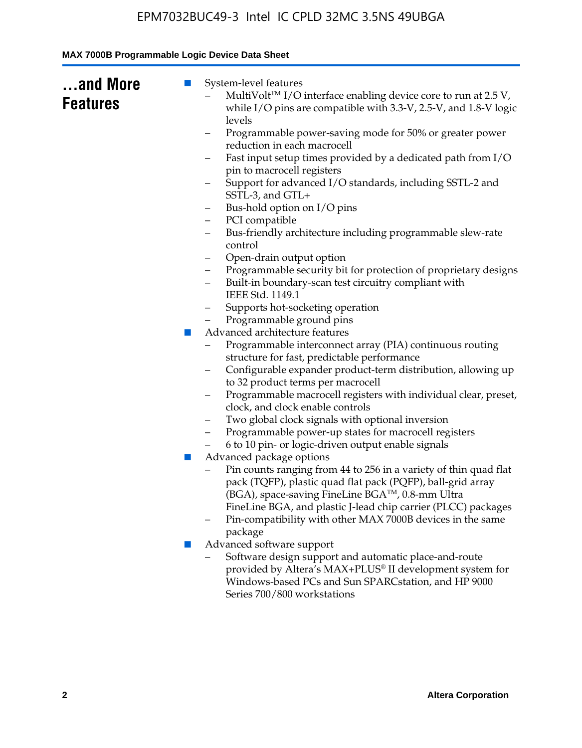| while I/O pins are compatible with 3.3-V, 2.5-V, and 1.8-V logic<br>levels<br>Programmable power-saving mode for 50% or greater power<br>-<br>reduction in each macrocell                                                                                                                                                                       |
|-------------------------------------------------------------------------------------------------------------------------------------------------------------------------------------------------------------------------------------------------------------------------------------------------------------------------------------------------|
| Fast input setup times provided by a dedicated path from I/O<br>-<br>pin to macrocell registers<br>Support for advanced I/O standards, including SSTL-2 and<br>SSTL-3, and GTL+<br>Bus-hold option on I/O pins<br>-                                                                                                                             |
| PCI compatible<br>-<br>Bus-friendly architecture including programmable slew-rate<br>-<br>control<br>Open-drain output option<br>-<br>Programmable security bit for protection of proprietary designs<br>-<br>Built-in boundary-scan test circuitry compliant with                                                                              |
| IEEE Std. 1149.1<br>Supports hot-socketing operation<br>-<br>Programmable ground pins<br>Advanced architecture features<br><b>COL</b><br>Programmable interconnect array (PIA) continuous routing                                                                                                                                               |
| structure for fast, predictable performance<br>Configurable expander product-term distribution, allowing up<br>-<br>to 32 product terms per macrocell<br>Programmable macrocell registers with individual clear, preset,<br>-<br>clock, and clock enable controls<br>Two global clock signals with optional inversion<br>-                      |
| Programmable power-up states for macrocell registers<br>6 to 10 pin- or logic-driven output enable signals<br>Advanced package options<br>ш<br>Pin counts ranging from 44 to 256 in a variety of thin quad flat<br>pack (TQFP), plastic quad flat pack (PQFP), ball-grid array<br>(BGA), space-saving FineLine BGA <sup>TM</sup> , 0.8-mm Ultra |
| FineLine BGA, and plastic J-lead chip carrier (PLCC) packages<br>Pin-compatibility with other MAX 7000B devices in the same<br>package<br>Advanced software support<br>ш<br>Software design support and automatic place-and-route<br>provided by Altera's MAX+PLUS® II development system for                                                   |
|                                                                                                                                                                                                                                                                                                                                                 |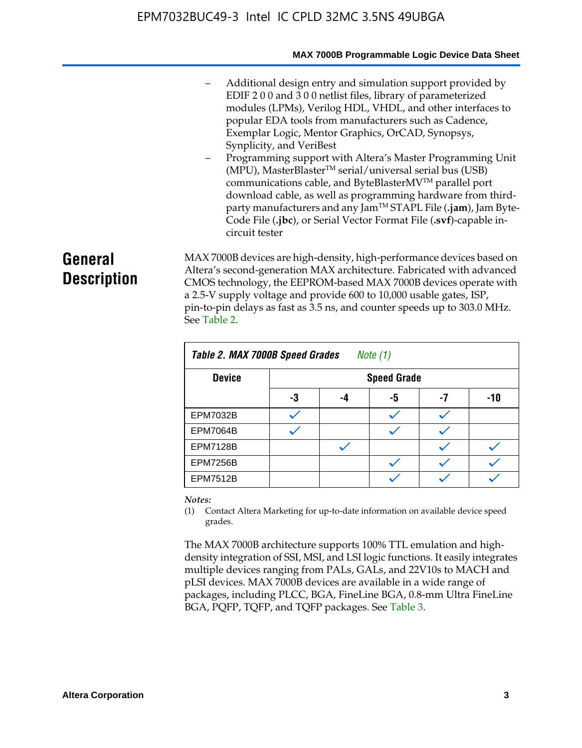#### **MAX 7000B Programmable Logic Device Data Sheet**

- Additional design entry and simulation support provided by EDIF 2 0 0 and 3 0 0 netlist files, library of parameterized modules (LPMs), Verilog HDL, VHDL, and other interfaces to popular EDA tools from manufacturers such as Cadence, Exemplar Logic, Mentor Graphics, OrCAD, Synopsys, Synplicity, and VeriBest
- Programming support with Altera's Master Programming Unit  $(MPU)$ , MasterBlaster<sup>TM</sup> serial/universal serial bus (USB) communications cable, and ByteBlasterMVTM parallel port download cable, as well as programming hardware from thirdparty manufacturers and any JamTM STAPL File (**.jam**), Jam Byte-Code File (**.jbc**), or Serial Vector Format File (**.svf**)-capable incircuit tester

# **General Description**

MAX 7000B devices are high-density, high-performance devices based on Altera's second-generation MAX architecture. Fabricated with advanced CMOS technology, the EEPROM-based MAX 7000B devices operate with a 2.5-V supply voltage and provide 600 to 10,000 usable gates, ISP, pin-to-pin delays as fast as 3.5 ns, and counter speeds up to 303.0 MHz. See Table 2.

| Table 2. MAX 7000B Speed Grades<br>Note $(1)$ |    |                    |    |    |     |  |  |  |
|-----------------------------------------------|----|--------------------|----|----|-----|--|--|--|
| <b>Device</b>                                 |    | <b>Speed Grade</b> |    |    |     |  |  |  |
|                                               | -3 | -4                 | -5 | -7 | -10 |  |  |  |
| <b>EPM7032B</b>                               |    |                    |    |    |     |  |  |  |
| <b>EPM7064B</b>                               |    |                    |    |    |     |  |  |  |
| <b>EPM7128B</b>                               |    |                    |    |    |     |  |  |  |
| <b>EPM7256B</b>                               |    |                    |    |    |     |  |  |  |
| <b>EPM7512B</b>                               |    |                    |    |    |     |  |  |  |

#### *Notes:*

(1) Contact Altera Marketing for up-to-date information on available device speed grades.

The MAX 7000B architecture supports 100% TTL emulation and highdensity integration of SSI, MSI, and LSI logic functions. It easily integrates multiple devices ranging from PALs, GALs, and 22V10s to MACH and pLSI devices. MAX 7000B devices are available in a wide range of packages, including PLCC, BGA, FineLine BGA, 0.8-mm Ultra FineLine BGA, PQFP, TQFP, and TQFP packages. See Table 3.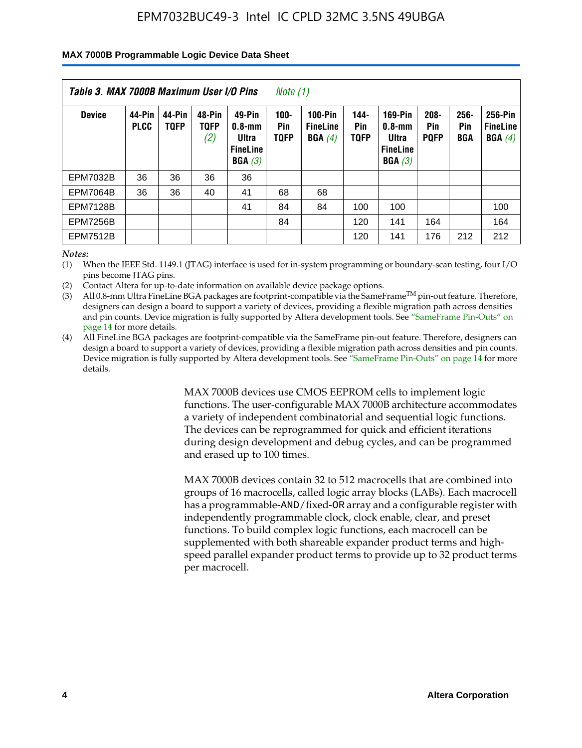#### **MAX 7000B Programmable Logic Device Data Sheet**

| Table 3. MAX 7000B Maximum User I/O Pins<br>Note (1) |                       |                       |                              |                                                        |                               |                                             |                               |                                                             |                               |                    |                                      |
|------------------------------------------------------|-----------------------|-----------------------|------------------------------|--------------------------------------------------------|-------------------------------|---------------------------------------------|-------------------------------|-------------------------------------------------------------|-------------------------------|--------------------|--------------------------------------|
| <b>Device</b>                                        | 44-Pin<br><b>PLCC</b> | 44-Pin<br><b>TOFP</b> | 48-Pin<br><b>TOFP</b><br>(2) | 49-Pin<br>0.8-mm<br>Ultra<br><b>FineLine</b><br>BGA(3) | $100 -$<br>Pin<br><b>TQFP</b> | <b>100-Pin</b><br><b>FineLine</b><br>BGA(4) | $144 -$<br>Pin<br><b>TOFP</b> | 169-Pin<br>$0.8 - mm$<br>Ultra<br><b>FineLine</b><br>BGA(3) | $208 -$<br>Pin<br><b>POFP</b> | 256-<br>Pin<br>BGA | 256-Pin<br><b>FineLine</b><br>BGA(4) |
| <b>EPM7032B</b>                                      | 36                    | 36                    | 36                           | 36                                                     |                               |                                             |                               |                                                             |                               |                    |                                      |
| <b>EPM7064B</b>                                      | 36                    | 36                    | 40                           | 41                                                     | 68                            | 68                                          |                               |                                                             |                               |                    |                                      |
| <b>EPM7128B</b>                                      |                       |                       |                              | 41                                                     | 84                            | 84                                          | 100                           | 100                                                         |                               |                    | 100                                  |
| <b>EPM7256B</b>                                      |                       |                       |                              |                                                        | 84                            |                                             | 120                           | 141                                                         | 164                           |                    | 164                                  |
| <b>EPM7512B</b>                                      |                       |                       |                              |                                                        |                               |                                             | 120                           | 141                                                         | 176                           | 212                | 212                                  |

*Notes:*

(1) When the IEEE Std. 1149.1 (JTAG) interface is used for in-system programming or boundary-scan testing, four I/O pins become JTAG pins.

(2) Contact Altera for up-to-date information on available device package options.

(3) All 0.8-mm Ultra FineLine BGA packages are footprint-compatible via the SameFrame<sup>TM</sup> pin-out feature. Therefore, designers can design a board to support a variety of devices, providing a flexible migration path across densities and pin counts. Device migration is fully supported by Altera development tools. See "SameFrame Pin-Outs" on page 14 for more details.

(4) All FineLine BGA packages are footprint-compatible via the SameFrame pin-out feature. Therefore, designers can design a board to support a variety of devices, providing a flexible migration path across densities and pin counts. Device migration is fully supported by Altera development tools. See "SameFrame Pin-Outs" on page 14 for more details.

> MAX 7000B devices use CMOS EEPROM cells to implement logic functions. The user-configurable MAX 7000B architecture accommodates a variety of independent combinatorial and sequential logic functions. The devices can be reprogrammed for quick and efficient iterations during design development and debug cycles, and can be programmed and erased up to 100 times.

> MAX 7000B devices contain 32 to 512 macrocells that are combined into groups of 16 macrocells, called logic array blocks (LABs). Each macrocell has a programmable-AND/fixed-OR array and a configurable register with independently programmable clock, clock enable, clear, and preset functions. To build complex logic functions, each macrocell can be supplemented with both shareable expander product terms and highspeed parallel expander product terms to provide up to 32 product terms per macrocell.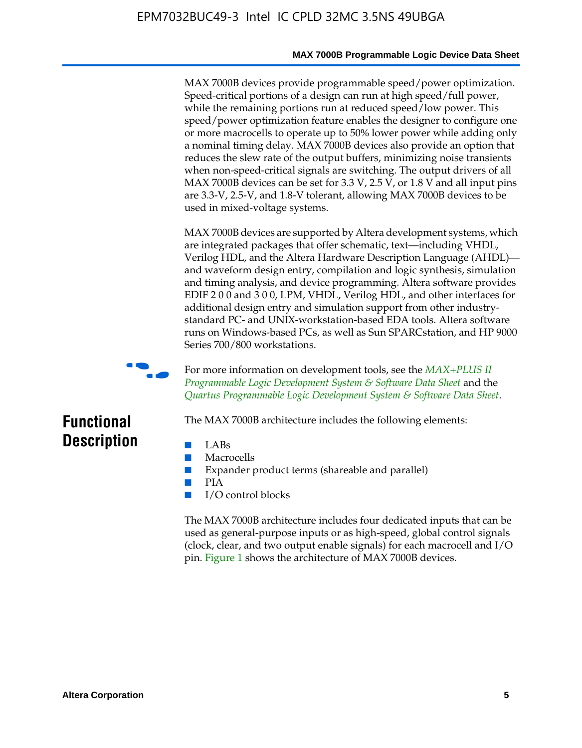#### **MAX 7000B Programmable Logic Device Data Sheet**

MAX 7000B devices provide programmable speed/power optimization. Speed-critical portions of a design can run at high speed/full power, while the remaining portions run at reduced speed/low power. This speed/power optimization feature enables the designer to configure one or more macrocells to operate up to 50% lower power while adding only a nominal timing delay. MAX 7000B devices also provide an option that reduces the slew rate of the output buffers, minimizing noise transients when non-speed-critical signals are switching. The output drivers of all MAX 7000B devices can be set for 3.3 V, 2.5 V, or 1.8 V and all input pins are 3.3-V, 2.5-V, and 1.8-V tolerant, allowing MAX 7000B devices to be used in mixed-voltage systems.

MAX 7000B devices are supported by Altera development systems, which are integrated packages that offer schematic, text—including VHDL, Verilog HDL, and the Altera Hardware Description Language (AHDL) and waveform design entry, compilation and logic synthesis, simulation and timing analysis, and device programming. Altera software provides EDIF 2 0 0 and 3 0 0, LPM, VHDL, Verilog HDL, and other interfaces for additional design entry and simulation support from other industrystandard PC- and UNIX-workstation-based EDA tools. Altera software runs on Windows-based PCs, as well as Sun SPARCstation, and HP 9000 Series 700/800 workstations.



**For more information on development tools, see the** *MAX+PLUS II Programmable Logic Development System & Software Data Sheet* and the *Quartus Programmable Logic Development System & Software Data Sheet*.

# **Functional Description**

- LABs
- Macrocells
- Expander product terms (shareable and parallel)

The MAX 7000B architecture includes the following elements:

- PIA
- I/O control blocks

The MAX 7000B architecture includes four dedicated inputs that can be used as general-purpose inputs or as high-speed, global control signals (clock, clear, and two output enable signals) for each macrocell and I/O pin. Figure 1 shows the architecture of MAX 7000B devices.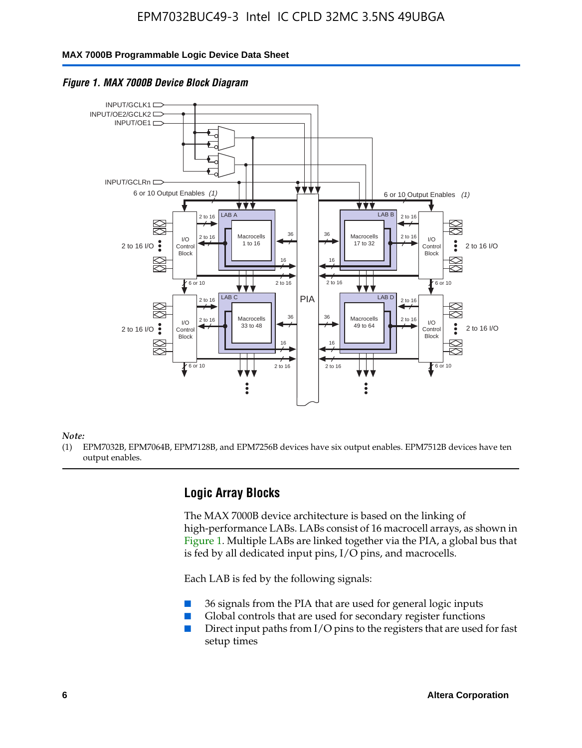#### **MAX 7000B Programmable Logic Device Data Sheet**





*Note:*

(1) EPM7032B, EPM7064B, EPM7128B, and EPM7256B devices have six output enables. EPM7512B devices have ten output enables.

### **Logic Array Blocks**

The MAX 7000B device architecture is based on the linking of high-performance LABs. LABs consist of 16 macrocell arrays, as shown in Figure 1. Multiple LABs are linked together via the PIA, a global bus that is fed by all dedicated input pins, I/O pins, and macrocells.

Each LAB is fed by the following signals:

- 36 signals from the PIA that are used for general logic inputs
- Global controls that are used for secondary register functions
- Direct input paths from I/O pins to the registers that are used for fast setup times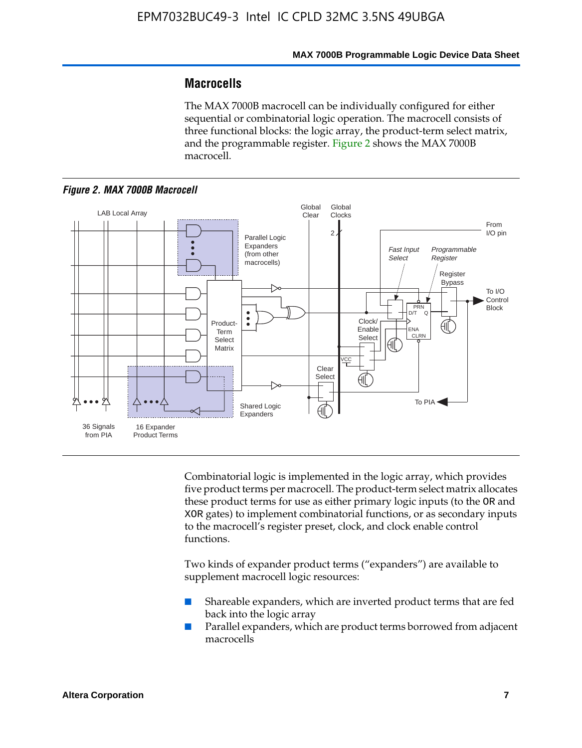### **Macrocells**

The MAX 7000B macrocell can be individually configured for either sequential or combinatorial logic operation. The macrocell consists of three functional blocks: the logic array, the product-term select matrix, and the programmable register. Figure 2 shows the MAX 7000B macrocell.





Combinatorial logic is implemented in the logic array, which provides five product terms per macrocell. The product-term select matrix allocates these product terms for use as either primary logic inputs (to the OR and XOR gates) to implement combinatorial functions, or as secondary inputs to the macrocell's register preset, clock, and clock enable control functions.

Two kinds of expander product terms ("expanders") are available to supplement macrocell logic resources:

- Shareable expanders, which are inverted product terms that are fed back into the logic array
- Parallel expanders, which are product terms borrowed from adjacent macrocells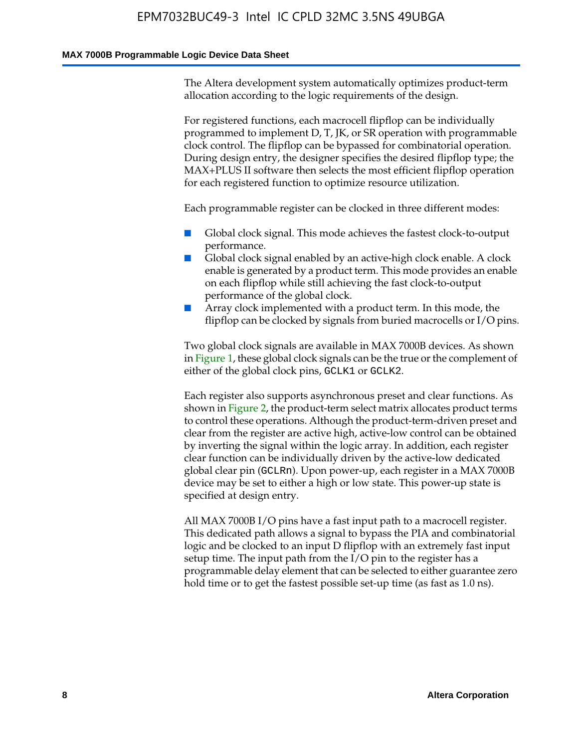#### **MAX 7000B Programmable Logic Device Data Sheet**

The Altera development system automatically optimizes product-term allocation according to the logic requirements of the design.

For registered functions, each macrocell flipflop can be individually programmed to implement D, T, JK, or SR operation with programmable clock control. The flipflop can be bypassed for combinatorial operation. During design entry, the designer specifies the desired flipflop type; the MAX+PLUS II software then selects the most efficient flipflop operation for each registered function to optimize resource utilization.

Each programmable register can be clocked in three different modes:

- Global clock signal. This mode achieves the fastest clock-to-output performance.
- Global clock signal enabled by an active-high clock enable. A clock enable is generated by a product term. This mode provides an enable on each flipflop while still achieving the fast clock-to-output performance of the global clock.
- Array clock implemented with a product term. In this mode, the flipflop can be clocked by signals from buried macrocells or I/O pins.

Two global clock signals are available in MAX 7000B devices. As shown in Figure 1, these global clock signals can be the true or the complement of either of the global clock pins, GCLK1 or GCLK2.

Each register also supports asynchronous preset and clear functions. As shown in Figure 2, the product-term select matrix allocates product terms to control these operations. Although the product-term-driven preset and clear from the register are active high, active-low control can be obtained by inverting the signal within the logic array. In addition, each register clear function can be individually driven by the active-low dedicated global clear pin (GCLRn). Upon power-up, each register in a MAX 7000B device may be set to either a high or low state. This power-up state is specified at design entry.

All MAX 7000B I/O pins have a fast input path to a macrocell register. This dedicated path allows a signal to bypass the PIA and combinatorial logic and be clocked to an input D flipflop with an extremely fast input setup time. The input path from the I/O pin to the register has a programmable delay element that can be selected to either guarantee zero hold time or to get the fastest possible set-up time (as fast as 1.0 ns).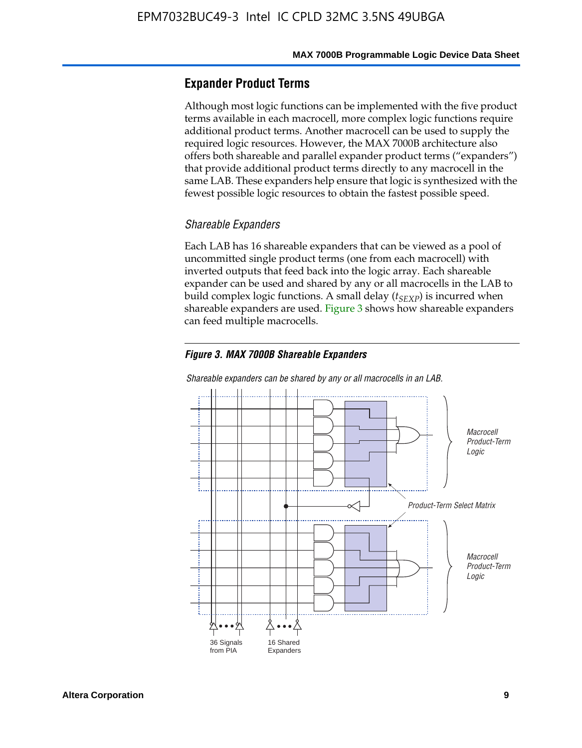### **Expander Product Terms**

Although most logic functions can be implemented with the five product terms available in each macrocell, more complex logic functions require additional product terms. Another macrocell can be used to supply the required logic resources. However, the MAX 7000B architecture also offers both shareable and parallel expander product terms ("expanders") that provide additional product terms directly to any macrocell in the same LAB. These expanders help ensure that logic is synthesized with the fewest possible logic resources to obtain the fastest possible speed.

#### *Shareable Expanders*

Each LAB has 16 shareable expanders that can be viewed as a pool of uncommitted single product terms (one from each macrocell) with inverted outputs that feed back into the logic array. Each shareable expander can be used and shared by any or all macrocells in the LAB to build complex logic functions. A small delay ( $t_{SEXP}$ ) is incurred when shareable expanders are used. Figure 3 shows how shareable expanders can feed multiple macrocells.

#### *Figure 3. MAX 7000B Shareable Expanders*



#### *Shareable expanders can be shared by any or all macrocells in an LAB.*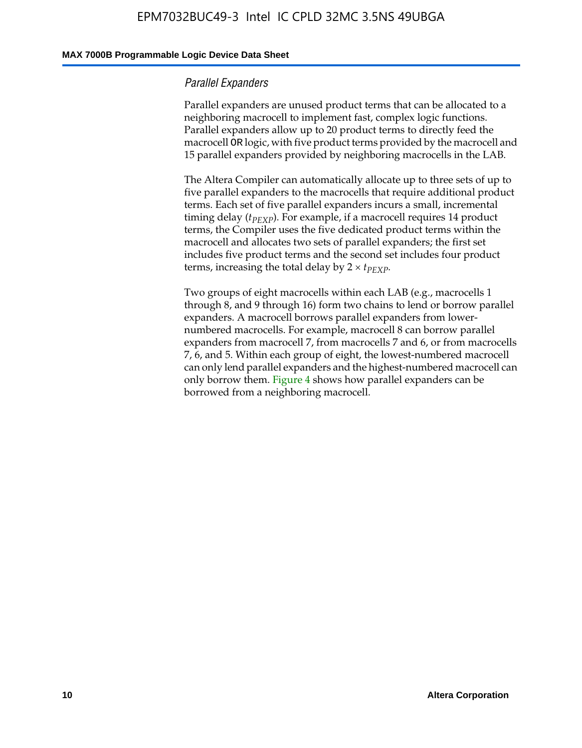#### **MAX 7000B Programmable Logic Device Data Sheet**

#### *Parallel Expanders*

Parallel expanders are unused product terms that can be allocated to a neighboring macrocell to implement fast, complex logic functions. Parallel expanders allow up to 20 product terms to directly feed the macrocell OR logic, with five product terms provided by the macrocell and 15 parallel expanders provided by neighboring macrocells in the LAB.

The Altera Compiler can automatically allocate up to three sets of up to five parallel expanders to the macrocells that require additional product terms. Each set of five parallel expanders incurs a small, incremental timing delay ( $t_{PEXP}$ ). For example, if a macrocell requires 14 product terms, the Compiler uses the five dedicated product terms within the macrocell and allocates two sets of parallel expanders; the first set includes five product terms and the second set includes four product terms, increasing the total delay by  $2 \times t_{PEXP}$ .

Two groups of eight macrocells within each LAB (e.g., macrocells 1 through 8, and 9 through 16) form two chains to lend or borrow parallel expanders. A macrocell borrows parallel expanders from lowernumbered macrocells. For example, macrocell 8 can borrow parallel expanders from macrocell 7, from macrocells 7 and 6, or from macrocells 7, 6, and 5. Within each group of eight, the lowest-numbered macrocell can only lend parallel expanders and the highest-numbered macrocell can only borrow them. Figure 4 shows how parallel expanders can be borrowed from a neighboring macrocell.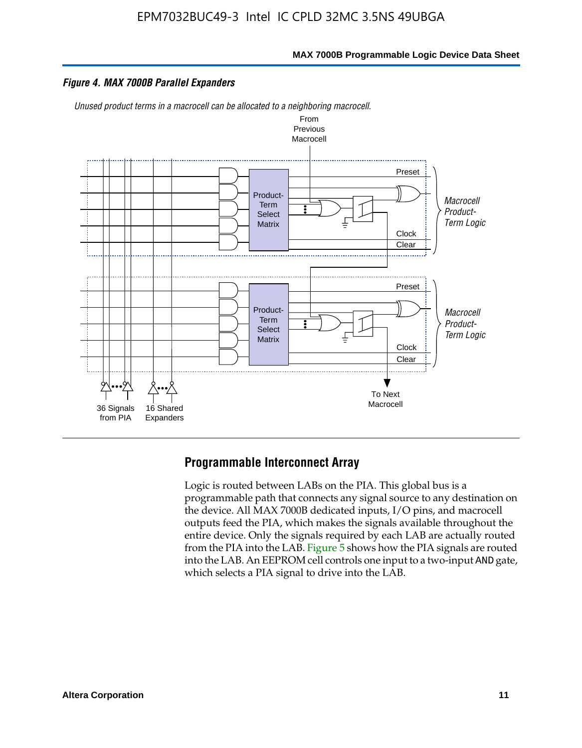

#### *Figure 4. MAX 7000B Parallel Expanders*

*Unused product terms in a macrocell can be allocated to a neighboring macrocell.*



### **Programmable Interconnect Array**

Logic is routed between LABs on the PIA. This global bus is a programmable path that connects any signal source to any destination on the device. All MAX 7000B dedicated inputs, I/O pins, and macrocell outputs feed the PIA, which makes the signals available throughout the entire device. Only the signals required by each LAB are actually routed from the PIA into the LAB. Figure 5 shows how the PIA signals are routed into the LAB. An EEPROM cell controls one input to a two-input AND gate, which selects a PIA signal to drive into the LAB.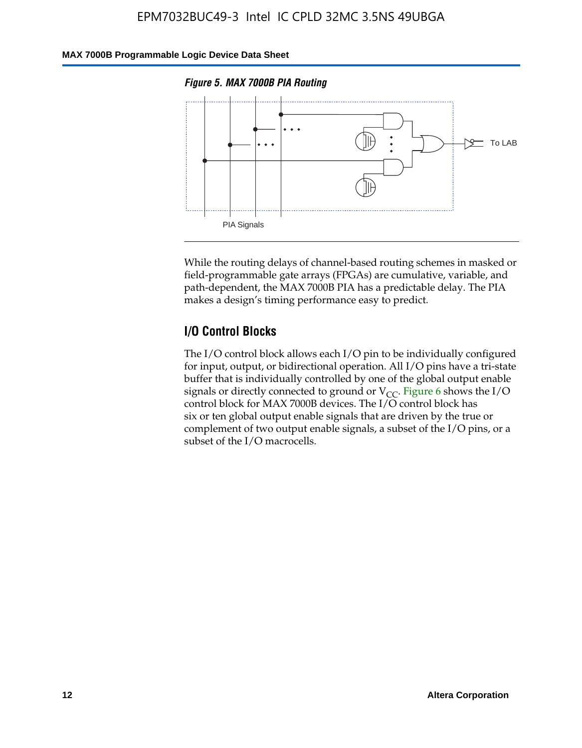### **MAX 7000B Programmable Logic Device Data Sheet**





While the routing delays of channel-based routing schemes in masked or field-programmable gate arrays (FPGAs) are cumulative, variable, and path-dependent, the MAX 7000B PIA has a predictable delay. The PIA makes a design's timing performance easy to predict.

### **I/O Control Blocks**

The I/O control block allows each I/O pin to be individually configured for input, output, or bidirectional operation. All I/O pins have a tri-state buffer that is individually controlled by one of the global output enable signals or directly connected to ground or  $V_{CC}$ . Figure 6 shows the I/O control block for MAX 7000B devices. The I/O control block has six or ten global output enable signals that are driven by the true or complement of two output enable signals, a subset of the I/O pins, or a subset of the I/O macrocells.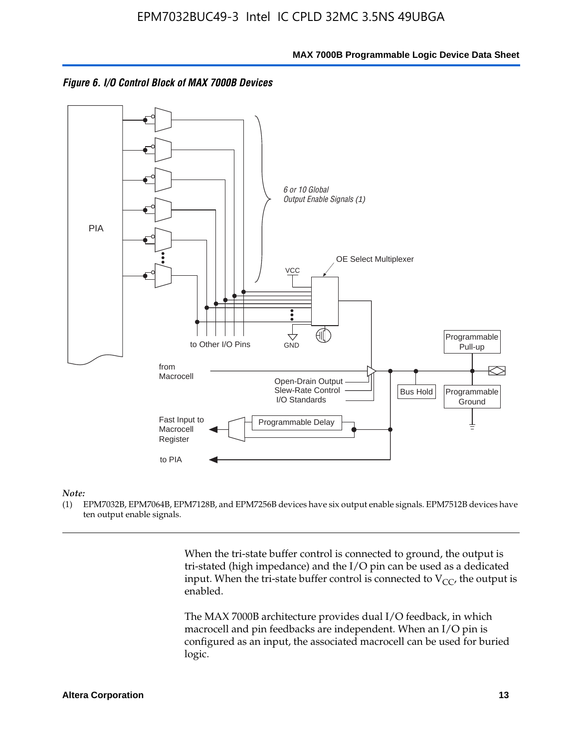



#### *Note:*

(1) EPM7032B, EPM7064B, EPM7128B, and EPM7256B devices have six output enable signals. EPM7512B devices have ten output enable signals.

> When the tri-state buffer control is connected to ground, the output is tri-stated (high impedance) and the I/O pin can be used as a dedicated input. When the tri-state buffer control is connected to  $V_{CC}$ , the output is enabled.

The MAX 7000B architecture provides dual I/O feedback, in which macrocell and pin feedbacks are independent. When an I/O pin is configured as an input, the associated macrocell can be used for buried logic.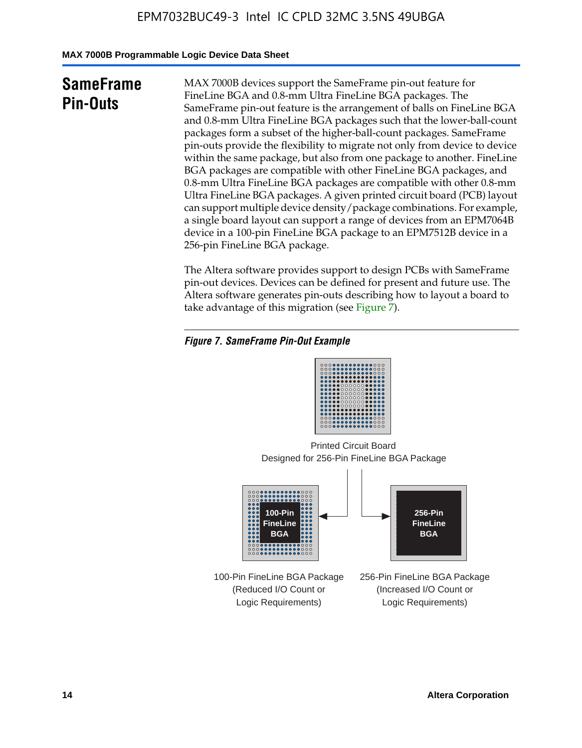**MAX 7000B Programmable Logic Device Data Sheet**

# **SameFrame Pin-Outs**

MAX 7000B devices support the SameFrame pin-out feature for FineLine BGA and 0.8-mm Ultra FineLine BGA packages. The SameFrame pin-out feature is the arrangement of balls on FineLine BGA and 0.8-mm Ultra FineLine BGA packages such that the lower-ball-count packages form a subset of the higher-ball-count packages. SameFrame pin-outs provide the flexibility to migrate not only from device to device within the same package, but also from one package to another. FineLine BGA packages are compatible with other FineLine BGA packages, and 0.8-mm Ultra FineLine BGA packages are compatible with other 0.8-mm Ultra FineLine BGA packages. A given printed circuit board (PCB) layout can support multiple device density/package combinations. For example, a single board layout can support a range of devices from an EPM7064B device in a 100-pin FineLine BGA package to an EPM7512B device in a 256-pin FineLine BGA package.

The Altera software provides support to design PCBs with SameFrame pin-out devices. Devices can be defined for present and future use. The Altera software generates pin-outs describing how to layout a board to take advantage of this migration (see Figure 7).

### *Figure 7. SameFrame Pin-Out Example*

| 0000000000000000<br>00000000000000000<br>0000000000000000<br><br><br>000000000000000<br><br>000000000000000<br> |
|-----------------------------------------------------------------------------------------------------------------|
| 000000000000000<br>000000000000000<br><br><b></b><br>000000000000000                                            |

Designed for 256-Pin FineLine BGA Package Printed Circuit Board



100-Pin FineLine BGA Package (Reduced I/O Count or Logic Requirements)

256-Pin FineLine BGA Package (Increased I/O Count or Logic Requirements)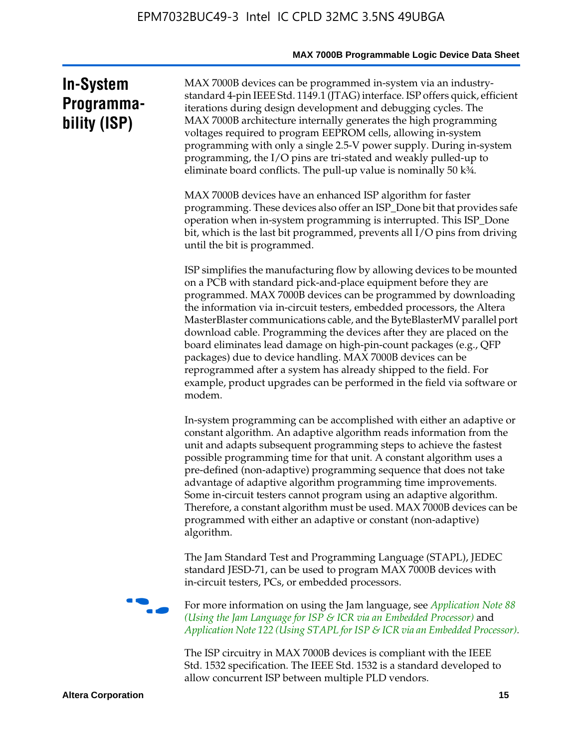# **In-System Programmability (ISP)**

MAX 7000B devices can be programmed in-system via an industrystandard 4-pin IEEE Std. 1149.1 (JTAG) interface. ISP offers quick, efficient iterations during design development and debugging cycles. The MAX 7000B architecture internally generates the high programming voltages required to program EEPROM cells, allowing in-system programming with only a single 2.5-V power supply. During in-system programming, the I/O pins are tri-stated and weakly pulled-up to eliminate board conflicts. The pull-up value is nominally 50 k¾.

MAX 7000B devices have an enhanced ISP algorithm for faster programming. These devices also offer an ISP\_Done bit that provides safe operation when in-system programming is interrupted. This ISP\_Done bit, which is the last bit programmed, prevents all I/O pins from driving until the bit is programmed.

ISP simplifies the manufacturing flow by allowing devices to be mounted on a PCB with standard pick-and-place equipment before they are programmed. MAX 7000B devices can be programmed by downloading the information via in-circuit testers, embedded processors, the Altera MasterBlaster communications cable, and the ByteBlasterMV parallel port download cable. Programming the devices after they are placed on the board eliminates lead damage on high-pin-count packages (e.g., QFP packages) due to device handling. MAX 7000B devices can be reprogrammed after a system has already shipped to the field. For example, product upgrades can be performed in the field via software or modem.

In-system programming can be accomplished with either an adaptive or constant algorithm. An adaptive algorithm reads information from the unit and adapts subsequent programming steps to achieve the fastest possible programming time for that unit. A constant algorithm uses a pre-defined (non-adaptive) programming sequence that does not take advantage of adaptive algorithm programming time improvements. Some in-circuit testers cannot program using an adaptive algorithm. Therefore, a constant algorithm must be used. MAX 7000B devices can be programmed with either an adaptive or constant (non-adaptive) algorithm.

The Jam Standard Test and Programming Language (STAPL), JEDEC standard JESD-71, can be used to program MAX 7000B devices with in-circuit testers, PCs, or embedded processors.



f For more information on using the Jam language, see *Application Note 88 (Using the Jam Language for ISP & ICR via an Embedded Processor)* and *Application Note 122 (Using STAPL for ISP & ICR via an Embedded Processor).*

The ISP circuitry in MAX 7000B devices is compliant with the IEEE Std. 1532 specification. The IEEE Std. 1532 is a standard developed to allow concurrent ISP between multiple PLD vendors.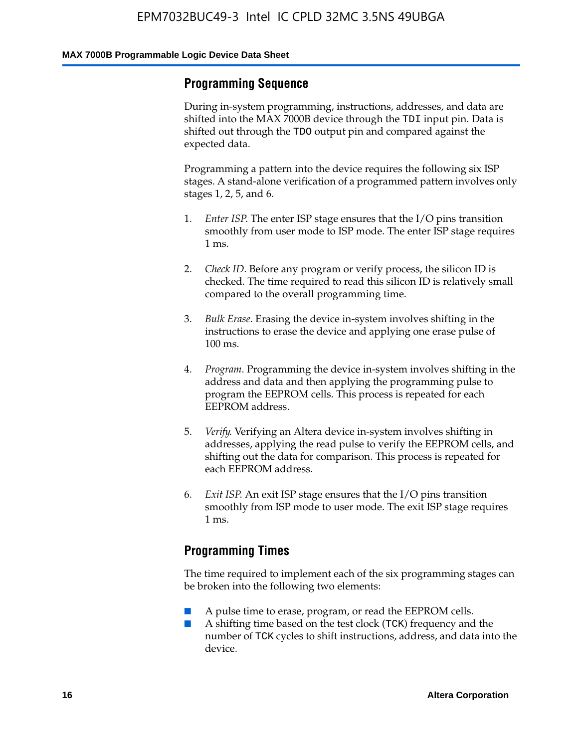### **Programming Sequence**

During in-system programming, instructions, addresses, and data are shifted into the MAX 7000B device through the TDI input pin. Data is shifted out through the TDO output pin and compared against the expected data.

Programming a pattern into the device requires the following six ISP stages. A stand-alone verification of a programmed pattern involves only stages 1, 2, 5, and 6.

- 1. *Enter ISP*. The enter ISP stage ensures that the I/O pins transition smoothly from user mode to ISP mode. The enter ISP stage requires 1 ms.
- 2. *Check ID*. Before any program or verify process, the silicon ID is checked. The time required to read this silicon ID is relatively small compared to the overall programming time.
- 3. *Bulk Erase*. Erasing the device in-system involves shifting in the instructions to erase the device and applying one erase pulse of 100 ms.
- 4. *Program*. Programming the device in-system involves shifting in the address and data and then applying the programming pulse to program the EEPROM cells. This process is repeated for each EEPROM address.
- 5. *Verify*. Verifying an Altera device in-system involves shifting in addresses, applying the read pulse to verify the EEPROM cells, and shifting out the data for comparison. This process is repeated for each EEPROM address.
- 6. *Exit ISP*. An exit ISP stage ensures that the I/O pins transition smoothly from ISP mode to user mode. The exit ISP stage requires 1 ms.

### **Programming Times**

The time required to implement each of the six programming stages can be broken into the following two elements:

- A pulse time to erase, program, or read the EEPROM cells.
- A shifting time based on the test clock (TCK) frequency and the number of TCK cycles to shift instructions, address, and data into the device.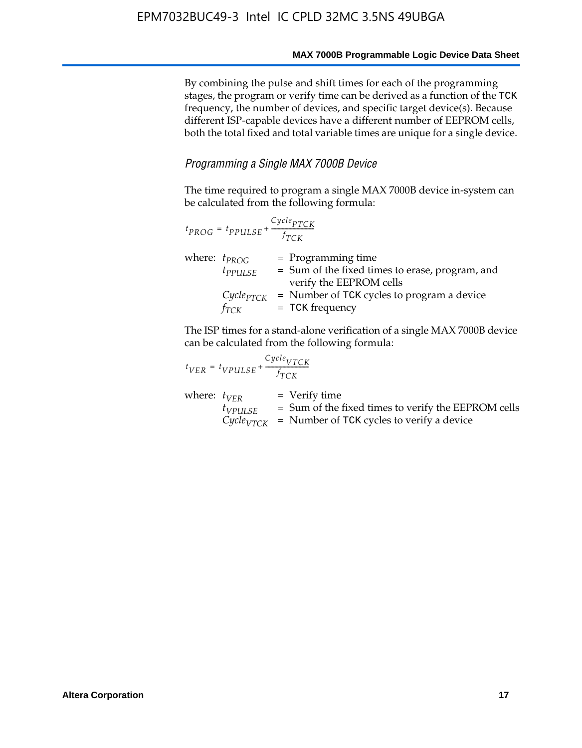By combining the pulse and shift times for each of the programming stages, the program or verify time can be derived as a function of the TCK frequency, the number of devices, and specific target device(s). Because different ISP-capable devices have a different number of EEPROM cells, both the total fixed and total variable times are unique for a single device.

### *Programming a Single MAX 7000B Device*

The time required to program a single MAX 7000B device in-system can be calculated from the following formula:

|                   | $t_{PROG} = t_{PPULSE} + \frac{Cycle_{PTCK}}{f_{TCK}}$ |                                                                                                    |
|-------------------|--------------------------------------------------------|----------------------------------------------------------------------------------------------------|
| where: $t_{PROG}$ | $t_{PPULSE}$                                           | $=$ Programming time<br>= Sum of the fixed times to erase, program, and<br>verify the EEPROM cells |
|                   | $Cycle_{PTCK}$<br>$f_{TCK}$                            | = Number of TCK cycles to program a device<br>$=$ TCK frequency                                    |

The ISP times for a stand-alone verification of a single MAX 7000B device can be calculated from the following formula:

| $t_{VER} = t_{VPULSE} + \frac{t_{TCK}}{f_{TCK}}$ | $Cycle_{VTCK}$ |                                                                                                                                   |
|--------------------------------------------------|----------------|-----------------------------------------------------------------------------------------------------------------------------------|
| where: $t_{VFR}$<br>$t_{VPULSE}$                 |                | $=$ Verify time<br>$=$ Sum of the fixed times to verify the EEPROM cells<br>$CycleVTCK$ = Number of TCK cycles to verify a device |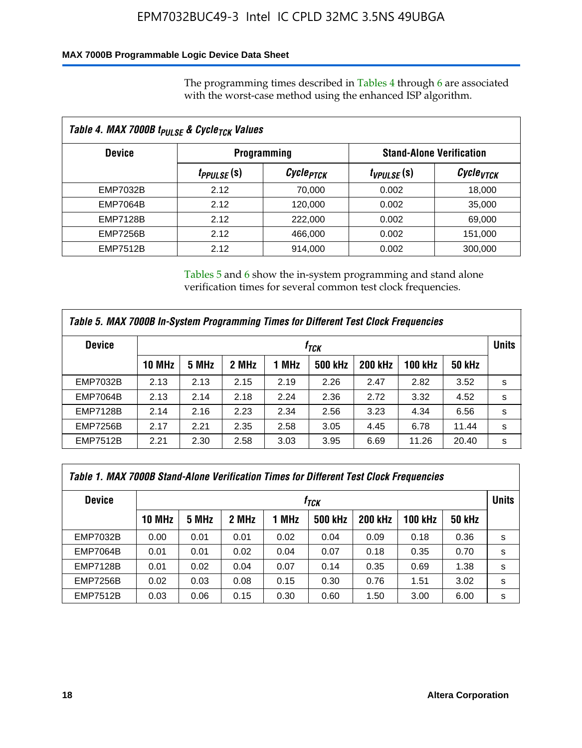### **MAX 7000B Programmable Logic Device Data Sheet**

The programming times described in Tables 4 through 6 are associated with the worst-case method using the enhanced ISP algorithm.

|                 | Table 4. MAX 7000B t <sub>PULSE</sub> & Cycle <sub>TCK</sub> Values |                       |                 |                       |  |                                 |  |  |  |
|-----------------|---------------------------------------------------------------------|-----------------------|-----------------|-----------------------|--|---------------------------------|--|--|--|
| <b>Device</b>   | <b>Programming</b>                                                  |                       |                 |                       |  | <b>Stand-Alone Verification</b> |  |  |  |
|                 | <i>t<sub>PPULSE</sub></i> (S)                                       | Cycle <sub>PTCK</sub> | $t_{VPULSE}(s)$ | Cycle <sub>vTCK</sub> |  |                                 |  |  |  |
| EMP7032B        | 2.12                                                                | 70,000                | 0.002           | 18,000                |  |                                 |  |  |  |
| <b>EMP7064B</b> | 2.12                                                                | 120,000               | 0.002           | 35,000                |  |                                 |  |  |  |
| <b>EMP7128B</b> | 2.12                                                                | 222,000               | 0.002           | 69,000                |  |                                 |  |  |  |
| <b>EMP7256B</b> | 2.12                                                                | 466,000               | 0.002           | 151,000               |  |                                 |  |  |  |
| <b>EMP7512B</b> | 2.12                                                                | 914,000               | 0.002           | 300,000               |  |                                 |  |  |  |

Tables 5 and 6 show the in-system programming and stand alone verification times for several common test clock frequencies.

| Table 5. MAX 7000B In-System Programming Times for Different Test Clock Frequencies |        |       |       |       |                |                |                |               |              |
|-------------------------------------------------------------------------------------|--------|-------|-------|-------|----------------|----------------|----------------|---------------|--------------|
| <b>Device</b>                                                                       | İтск   |       |       |       |                |                |                |               | <b>Units</b> |
|                                                                                     | 10 MHz | 5 MHz | 2 MHz | 1 MHz | <b>500 kHz</b> | <b>200 kHz</b> | <b>100 kHz</b> | <b>50 kHz</b> |              |
| <b>EMP7032B</b>                                                                     | 2.13   | 2.13  | 2.15  | 2.19  | 2.26           | 2.47           | 2.82           | 3.52          | s            |
| <b>EMP7064B</b>                                                                     | 2.13   | 2.14  | 2.18  | 2.24  | 2.36           | 2.72           | 3.32           | 4.52          | s            |
| <b>EMP7128B</b>                                                                     | 2.14   | 2.16  | 2.23  | 2.34  | 2.56           | 3.23           | 4.34           | 6.56          | s            |
| <b>EMP7256B</b>                                                                     | 2.17   | 2.21  | 2.35  | 2.58  | 3.05           | 4.45           | 6.78           | 11.44         | s            |
| <b>EMP7512B</b>                                                                     | 2.21   | 2.30  | 2.58  | 3.03  | 3.95           | 6.69           | 11.26          | 20.40         | s            |

| Table 1. MAX 7000B Stand-Alone Verification Times for Different Test Clock Frequencies |                  |       |       |       |                |                |                |               |              |
|----------------------------------------------------------------------------------------|------------------|-------|-------|-------|----------------|----------------|----------------|---------------|--------------|
| <b>Device</b>                                                                          | t <sub>тск</sub> |       |       |       |                |                |                |               | <b>Units</b> |
|                                                                                        | <b>10 MHz</b>    | 5 MHz | 2 MHz | 1 MHz | <b>500 kHz</b> | <b>200 kHz</b> | <b>100 kHz</b> | <b>50 kHz</b> |              |
| <b>EMP7032B</b>                                                                        | 0.00             | 0.01  | 0.01  | 0.02  | 0.04           | 0.09           | 0.18           | 0.36          | s            |
| <b>EMP7064B</b>                                                                        | 0.01             | 0.01  | 0.02  | 0.04  | 0.07           | 0.18           | 0.35           | 0.70          | s            |
| <b>EMP7128B</b>                                                                        | 0.01             | 0.02  | 0.04  | 0.07  | 0.14           | 0.35           | 0.69           | 1.38          | s            |
| <b>EMP7256B</b>                                                                        | 0.02             | 0.03  | 0.08  | 0.15  | 0.30           | 0.76           | 1.51           | 3.02          | s            |
| <b>EMP7512B</b>                                                                        | 0.03             | 0.06  | 0.15  | 0.30  | 0.60           | 1.50           | 3.00           | 6.00          | s            |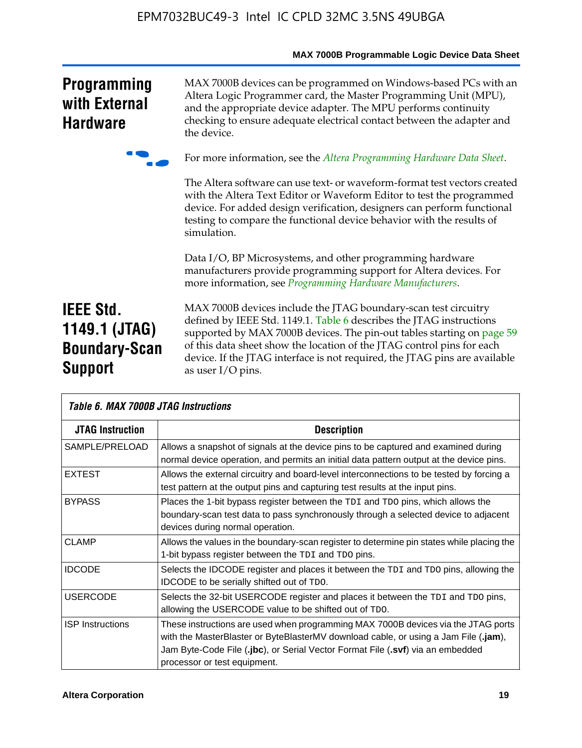|                                                                             | MAX 7000B Programmable Logic Device Data Sheet                                                                                                                                                                                                                                                                                                                                                 |
|-----------------------------------------------------------------------------|------------------------------------------------------------------------------------------------------------------------------------------------------------------------------------------------------------------------------------------------------------------------------------------------------------------------------------------------------------------------------------------------|
| <b>Programming</b><br>with External<br><b>Hardware</b>                      | MAX 7000B devices can be programmed on Windows-based PCs with an<br>Altera Logic Programmer card, the Master Programming Unit (MPU),<br>and the appropriate device adapter. The MPU performs continuity<br>checking to ensure adequate electrical contact between the adapter and<br>the device.                                                                                               |
|                                                                             | For more information, see the Altera Programming Hardware Data Sheet.                                                                                                                                                                                                                                                                                                                          |
|                                                                             | The Altera software can use text- or waveform-format test vectors created<br>with the Altera Text Editor or Waveform Editor to test the programmed<br>device. For added design verification, designers can perform functional<br>testing to compare the functional device behavior with the results of<br>simulation.                                                                          |
|                                                                             | Data I/O, BP Microsystems, and other programming hardware<br>manufacturers provide programming support for Altera devices. For<br>more information, see Programming Hardware Manufacturers.                                                                                                                                                                                                    |
| <b>IEEE Std.</b><br>1149.1 (JTAG)<br><b>Boundary-Scan</b><br><b>Support</b> | MAX 7000B devices include the JTAG boundary-scan test circuitry<br>defined by IEEE Std. 1149.1. Table 6 describes the JTAG instructions<br>supported by MAX 7000B devices. The pin-out tables starting on page 59<br>of this data sheet show the location of the JTAG control pins for each<br>device. If the JTAG interface is not required, the JTAG pins are available<br>as user I/O pins. |

| Table 6. MAX 7000B JTAG Instructions |                                                                                                                                                                                                                                                                                            |  |  |  |  |  |
|--------------------------------------|--------------------------------------------------------------------------------------------------------------------------------------------------------------------------------------------------------------------------------------------------------------------------------------------|--|--|--|--|--|
| <b>JTAG Instruction</b>              | <b>Description</b>                                                                                                                                                                                                                                                                         |  |  |  |  |  |
| SAMPLE/PRELOAD                       | Allows a snapshot of signals at the device pins to be captured and examined during<br>normal device operation, and permits an initial data pattern output at the device pins.                                                                                                              |  |  |  |  |  |
| <b>EXTEST</b>                        | Allows the external circuitry and board-level interconnections to be tested by forcing a<br>test pattern at the output pins and capturing test results at the input pins.                                                                                                                  |  |  |  |  |  |
| <b>BYPASS</b>                        | Places the 1-bit bypass register between the TDI and TDO pins, which allows the<br>boundary-scan test data to pass synchronously through a selected device to adjacent<br>devices during normal operation.                                                                                 |  |  |  |  |  |
| <b>CLAMP</b>                         | Allows the values in the boundary-scan register to determine pin states while placing the<br>1-bit bypass register between the TDI and TDO pins.                                                                                                                                           |  |  |  |  |  |
| <b>IDCODE</b>                        | Selects the IDCODE register and places it between the TDI and TDO pins, allowing the<br><b>IDCODE</b> to be serially shifted out of TDO.                                                                                                                                                   |  |  |  |  |  |
| <b>USERCODE</b>                      | Selects the 32-bit USERCODE register and places it between the TDI and TDO pins,<br>allowing the USERCODE value to be shifted out of TDO.                                                                                                                                                  |  |  |  |  |  |
| <b>ISP</b> Instructions              | These instructions are used when programming MAX 7000B devices via the JTAG ports<br>with the MasterBlaster or ByteBlasterMV download cable, or using a Jam File (.jam),<br>Jam Byte-Code File (.jbc), or Serial Vector Format File (.svf) via an embedded<br>processor or test equipment. |  |  |  |  |  |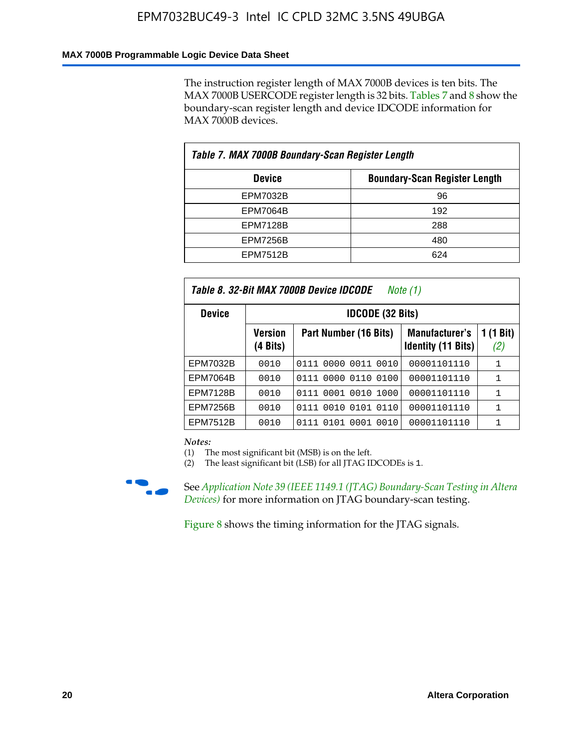### **MAX 7000B Programmable Logic Device Data Sheet**

The instruction register length of MAX 7000B devices is ten bits. The MAX 7000B USERCODE register length is 32 bits. Tables 7 and 8 show the boundary-scan register length and device IDCODE information for MAX 7000B devices.

| Table 7. MAX 7000B Boundary-Scan Register Length |                                      |  |  |  |  |  |
|--------------------------------------------------|--------------------------------------|--|--|--|--|--|
| <b>Device</b>                                    | <b>Boundary-Scan Register Length</b> |  |  |  |  |  |
| <b>EPM7032B</b>                                  | 96                                   |  |  |  |  |  |
| <b>EPM7064B</b>                                  | 192                                  |  |  |  |  |  |
| <b>EPM7128B</b>                                  | 288                                  |  |  |  |  |  |
| <b>EPM7256B</b>                                  | 480                                  |  |  |  |  |  |
| <b>EPM7512B</b>                                  | 624                                  |  |  |  |  |  |

| Table 8. 32-Bit MAX 7000B Device IDCODE<br>Note $(1)$ |                            |                              |                                                    |                  |  |  |  |  |  |
|-------------------------------------------------------|----------------------------|------------------------------|----------------------------------------------------|------------------|--|--|--|--|--|
| <b>Device</b>                                         | <b>IDCODE (32 Bits)</b>    |                              |                                                    |                  |  |  |  |  |  |
|                                                       | <b>Version</b><br>(4 Bits) | Part Number (16 Bits)        | <b>Manufacturer's</b><br><b>Identity (11 Bits)</b> | 1 (1 Bit)<br>(2) |  |  |  |  |  |
| EPM7032B                                              | 0010                       | 0111 0000 0011 0010          | 00001101110                                        | 1                |  |  |  |  |  |
| <b>EPM7064B</b>                                       | 0010                       | 0111 0000 0110 0100          | 00001101110                                        | 1                |  |  |  |  |  |
| <b>EPM7128B</b>                                       | 0010                       | 0001<br>0010<br>1000<br>0111 | 00001101110                                        | 1                |  |  |  |  |  |
| <b>EPM7256B</b>                                       | 0010                       | 0111 0010 0101 0110          | 00001101110                                        | 1                |  |  |  |  |  |
| EPM7512B                                              | 0010                       | 0111 0101 0001 0010          | 00001101110                                        |                  |  |  |  |  |  |

*Notes:*

(1) The most significant bit (MSB) is on the left.

(2) The least significant bit (LSB) for all JTAG IDCODEs is 1.



f See *Application Note 39 (IEEE 1149.1 (JTAG) Boundary-Scan Testing in Altera Devices)* for more information on JTAG boundary-scan testing.

Figure 8 shows the timing information for the JTAG signals.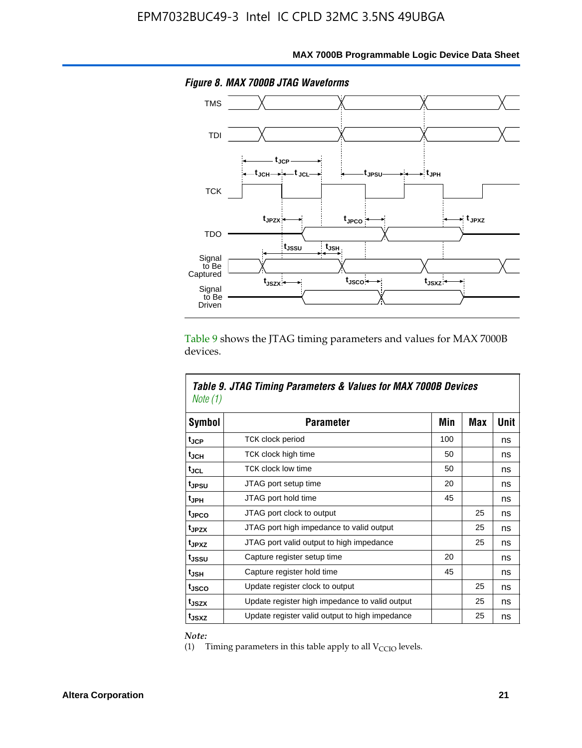

**MAX 7000B Programmable Logic Device Data Sheet**

Table 9 shows the JTAG timing parameters and values for MAX 7000B devices.

| Note (1)          | Table 9. JTAG Timing Parameters & Values for MAX 7000B Devices |     |     |      |
|-------------------|----------------------------------------------------------------|-----|-----|------|
| Symbol            | <b>Parameter</b>                                               | Min | Max | Unit |
| t <sub>JCP</sub>  | TCK clock period                                               | 100 |     | ns   |
| $t_{\rm JCH}$     | TCK clock high time                                            | 50  |     | ns   |
| tjcl              | <b>TCK clock low time</b>                                      | 50  |     | ns   |
| tjesu             | JTAG port setup time                                           | 20  |     | ns   |
| t <sub>JPH</sub>  | JTAG port hold time                                            | 45  |     | ns   |
| tjpco             | JTAG port clock to output                                      |     | 25  | ns   |
| t <sub>JPZX</sub> | JTAG port high impedance to valid output                       |     | 25  | ns   |
| t <sub>JPXZ</sub> | JTAG port valid output to high impedance                       |     | 25  | ns   |
| t <sub>JSSU</sub> | Capture register setup time                                    | 20  |     | ns   |
| tjsh              | Capture register hold time                                     | 45  |     | ns   |
| t <sub>JSCO</sub> | Update register clock to output                                |     | 25  | ns   |
| t <sub>JSZX</sub> | Update register high impedance to valid output                 |     | 25  | ns   |
| t <sub>JSXZ</sub> | Update register valid output to high impedance                 |     | 25  | ns   |

*Note:*

Г

(1) Timing parameters in this table apply to all  $V_{\text{CCIO}}$  levels.

٦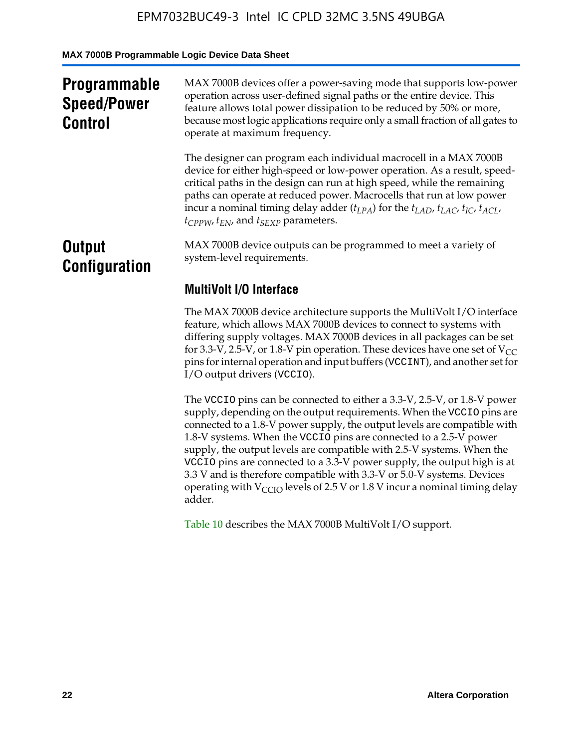**MAX 7000B Programmable Logic Device Data Sheet**

| <b>Programmable</b><br><b>Speed/Power</b><br><b>Control</b> | MAX 7000B devices offer a power-saving mode that supports low-power<br>operation across user-defined signal paths or the entire device. This<br>feature allows total power dissipation to be reduced by 50% or more,<br>because most logic applications require only a small fraction of all gates to<br>operate at maximum frequency.                                                                                                                          |
|-------------------------------------------------------------|-----------------------------------------------------------------------------------------------------------------------------------------------------------------------------------------------------------------------------------------------------------------------------------------------------------------------------------------------------------------------------------------------------------------------------------------------------------------|
|                                                             | The designer can program each individual macrocell in a MAX 7000B<br>device for either high-speed or low-power operation. As a result, speed-<br>critical paths in the design can run at high speed, while the remaining<br>paths can operate at reduced power. Macrocells that run at low power<br>incur a nominal timing delay adder $(t_{LPA})$ for the $t_{LAD}$ , $t_{LAC}$ , $t_{IC}$ , $t_{ACL}$ ,<br>$t_{CPPW}$ , $t_{EN}$ , and $t_{SEXP}$ parameters. |
| <b>Output</b><br><b>Configuration</b>                       | MAX 7000B device outputs can be programmed to meet a variety of<br>system-level requirements.                                                                                                                                                                                                                                                                                                                                                                   |
|                                                             | <b>MultiVolt I/O Interface</b>                                                                                                                                                                                                                                                                                                                                                                                                                                  |
|                                                             | The MAX 7000B device architecture supports the MultiVolt I/O interface<br>feature, which allows MAX 7000B devices to connect to systems with<br>differing supply voltages. MAX 7000B devices in all packages can be set<br>for 3.3-V, 2.5-V, or 1.8-V pin operation. These devices have one set of $V_{CC}$<br>pins for internal operation and input buffers (VCCINT), and another set for<br>I/O output drivers (VCCIO).                                       |

The VCCIO pins can be connected to either a 3.3-V, 2.5-V, or 1.8-V power supply, depending on the output requirements. When the VCCIO pins are connected to a 1.8-V power supply, the output levels are compatible with 1.8-V systems. When the VCCIO pins are connected to a 2.5- $\hat{V}$  power supply, the output levels are compatible with 2.5-V systems. When the VCCIO pins are connected to a 3.3-V power supply, the output high is at 3.3 V and is therefore compatible with 3.3-V or 5.0-V systems. Devices operating with  $V_{\text{CCIO}}$  levels of 2.5 V or 1.8 V incur a nominal timing delay adder.

Table 10 describes the MAX 7000B MultiVolt I/O support.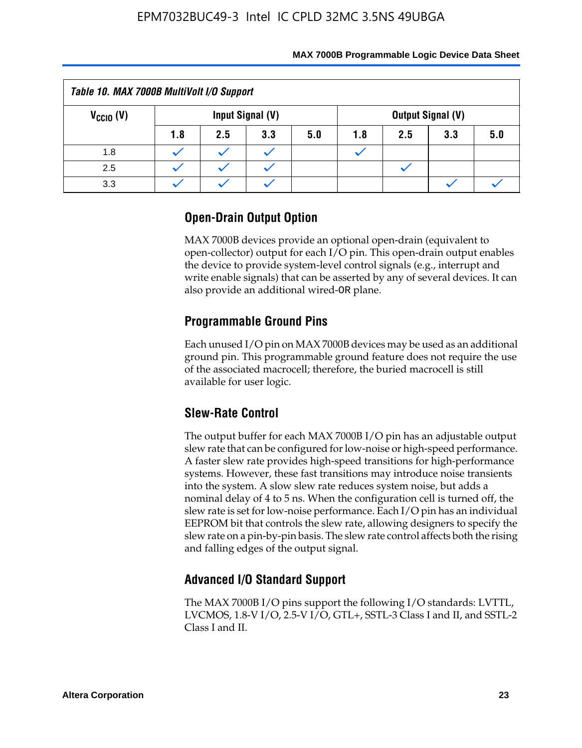| Table 10. MAX 7000B MultiVolt I/O Support                     |     |     |     |     |     |     |     |     |
|---------------------------------------------------------------|-----|-----|-----|-----|-----|-----|-----|-----|
| $V_{\text{CCIO}}(V)$<br>Input Signal (V)<br>Output Signal (V) |     |     |     |     |     |     |     |     |
|                                                               | 1.8 | 2.5 | 3.3 | 5.0 | 1.8 | 2.5 | 3.3 | 5.0 |
| 1.8                                                           |     |     |     |     |     |     |     |     |
| 2.5                                                           |     |     |     |     |     |     |     |     |
| 3.3                                                           |     |     |     |     |     |     |     |     |

### **Open-Drain Output Option**

MAX 7000B devices provide an optional open-drain (equivalent to open-collector) output for each I/O pin. This open-drain output enables the device to provide system-level control signals (e.g., interrupt and write enable signals) that can be asserted by any of several devices. It can also provide an additional wired-OR plane.

### **Programmable Ground Pins**

Each unused I/O pin on MAX 7000B devices may be used as an additional ground pin. This programmable ground feature does not require the use of the associated macrocell; therefore, the buried macrocell is still available for user logic.

### **Slew-Rate Control**

The output buffer for each MAX 7000B I/O pin has an adjustable output slew rate that can be configured for low-noise or high-speed performance. A faster slew rate provides high-speed transitions for high-performance systems. However, these fast transitions may introduce noise transients into the system. A slow slew rate reduces system noise, but adds a nominal delay of 4 to 5 ns. When the configuration cell is turned off, the slew rate is set for low-noise performance. Each I/O pin has an individual EEPROM bit that controls the slew rate, allowing designers to specify the slew rate on a pin-by-pin basis. The slew rate control affects both the rising and falling edges of the output signal.

### **Advanced I/O Standard Support**

The MAX 7000B I/O pins support the following I/O standards: LVTTL, LVCMOS, 1.8-V I/O, 2.5-V I/O, GTL+, SSTL-3 Class I and II, and SSTL-2 Class I and II.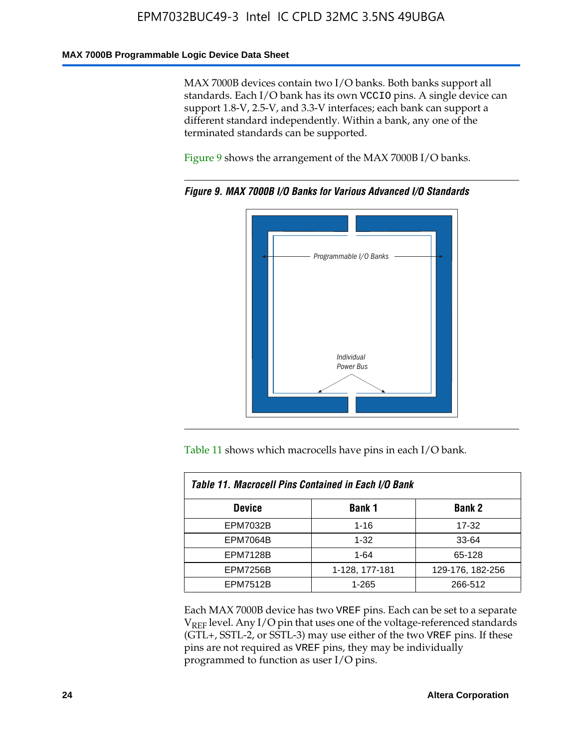#### **MAX 7000B Programmable Logic Device Data Sheet**

MAX 7000B devices contain two I/O banks. Both banks support all standards. Each I/O bank has its own VCCIO pins. A single device can support 1.8-V, 2.5-V, and 3.3-V interfaces; each bank can support a different standard independently. Within a bank, any one of the terminated standards can be supported.

Figure 9 shows the arrangement of the MAX 7000B I/O banks.



*Figure 9. MAX 7000B I/O Banks for Various Advanced I/O Standards*

Table 11 shows which macrocells have pins in each I/O bank.

| Table 11. Macrocell Pins Contained in Each I/O Bank |                |                  |  |  |  |  |  |
|-----------------------------------------------------|----------------|------------------|--|--|--|--|--|
| <b>Bank 1</b><br><b>Device</b><br><b>Bank 2</b>     |                |                  |  |  |  |  |  |
| <b>EPM7032B</b>                                     | $1 - 16$       | 17-32            |  |  |  |  |  |
| <b>EPM7064B</b>                                     | $1 - 32$       | 33-64            |  |  |  |  |  |
| <b>EPM7128B</b>                                     | $1 - 64$       | 65-128           |  |  |  |  |  |
| <b>EPM7256B</b>                                     | 1-128, 177-181 | 129-176, 182-256 |  |  |  |  |  |
| <b>EPM7512B</b>                                     | 1-265          | 266-512          |  |  |  |  |  |

Each MAX 7000B device has two VREF pins. Each can be set to a separate  $V_{REF}$  level. Any I/O pin that uses one of the voltage-referenced standards (GTL+, SSTL-2, or SSTL-3) may use either of the two VREF pins. If these pins are not required as VREF pins, they may be individually programmed to function as user I/O pins.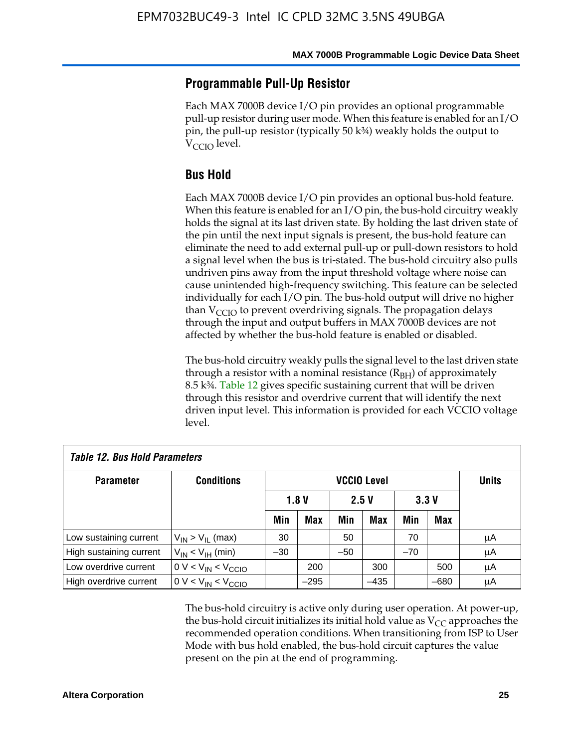### **Programmable Pull-Up Resistor**

Each MAX 7000B device I/O pin provides an optional programmable pull-up resistor during user mode. When this feature is enabled for an I/O pin, the pull-up resistor (typically 50 k¾) weakly holds the output to  $V_{\text{CCIO}}$  level.

### **Bus Hold**

Each MAX 7000B device I/O pin provides an optional bus-hold feature. When this feature is enabled for an I/O pin, the bus-hold circuitry weakly holds the signal at its last driven state. By holding the last driven state of the pin until the next input signals is present, the bus-hold feature can eliminate the need to add external pull-up or pull-down resistors to hold a signal level when the bus is tri-stated. The bus-hold circuitry also pulls undriven pins away from the input threshold voltage where noise can cause unintended high-frequency switching. This feature can be selected individually for each I/O pin. The bus-hold output will drive no higher than  $V_{\text{C}CD}$  to prevent overdriving signals. The propagation delays through the input and output buffers in MAX 7000B devices are not affected by whether the bus-hold feature is enabled or disabled.

The bus-hold circuitry weakly pulls the signal level to the last driven state through a resistor with a nominal resistance  $(R<sub>BH</sub>)$  of approximately 8.5 k¾. Table 12 gives specific sustaining current that will be driven through this resistor and overdrive current that will identify the next driven input level. This information is provided for each VCCIO voltage level.

| <b>Table 12. Bus Hold Parameters</b> |                           |                    |            |       |        |       |              |    |
|--------------------------------------|---------------------------|--------------------|------------|-------|--------|-------|--------------|----|
| <b>Parameter</b>                     | <b>Conditions</b>         | <b>VCCIO Level</b> |            |       |        |       | <b>Units</b> |    |
|                                      |                           | 1.8V<br>2.5V       |            | 3.3V  |        |       |              |    |
|                                      |                           | Min                | <b>Max</b> | Min   | Max    | Min   | Max          |    |
| Low sustaining current               | $V_{IN}$ > $V_{II}$ (max) | 30                 |            | 50    |        | 70    |              | μA |
| High sustaining current              | $V_{IN}$ < $V_{IH}$ (min) | $-30$              |            | $-50$ |        | $-70$ |              | μA |
| Low overdrive current                | $0 V < V_{IN} < V_{CCIO}$ |                    | 200        |       | 300    |       | 500          | μA |
| High overdrive current               | $0 V < V_{IN} < V_{CCIO}$ |                    | $-295$     |       | $-435$ |       | $-680$       | μA |

The bus-hold circuitry is active only during user operation. At power-up, the bus-hold circuit initializes its initial hold value as  $V_{CC}$  approaches the recommended operation conditions. When transitioning from ISP to User Mode with bus hold enabled, the bus-hold circuit captures the value present on the pin at the end of programming.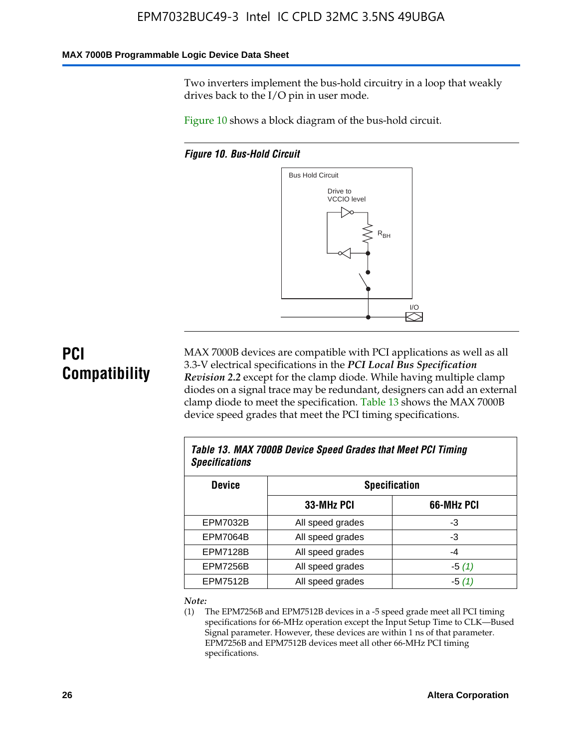#### **MAX 7000B Programmable Logic Device Data Sheet**

Two inverters implement the bus-hold circuitry in a loop that weakly drives back to the I/O pin in user mode.

Figure 10 shows a block diagram of the bus-hold circuit.

*Figure 10. Bus-Hold Circuit*



# **PCI Compatibility**

MAX 7000B devices are compatible with PCI applications as well as all 3.3-V electrical specifications in the *PCI Local Bus Specification Revision 2.2* except for the clamp diode. While having multiple clamp diodes on a signal trace may be redundant, designers can add an external clamp diode to meet the specification. Table 13 shows the MAX 7000B device speed grades that meet the PCI timing specifications.

| Table 13. MAX 7000B Device Speed Grades that Meet PCI Timing<br><b>Specifications</b> |                  |            |  |  |  |  |
|---------------------------------------------------------------------------------------|------------------|------------|--|--|--|--|
| <b>Device</b><br><b>Specification</b>                                                 |                  |            |  |  |  |  |
|                                                                                       | 33-MHz PCI       | 66-MHz PCI |  |  |  |  |
| <b>EPM7032B</b>                                                                       | All speed grades | -3         |  |  |  |  |
| <b>EPM7064B</b>                                                                       | All speed grades | -3         |  |  |  |  |
| <b>EPM7128B</b>                                                                       | All speed grades | -4         |  |  |  |  |
| <b>EPM7256B</b>                                                                       | All speed grades | $-5(1)$    |  |  |  |  |
| <b>EPM7512B</b>                                                                       | All speed grades | $-5(1)$    |  |  |  |  |

#### *Note:*

(1) The EPM7256B and EPM7512B devices in a -5 speed grade meet all PCI timing specifications for 66-MHz operation except the Input Setup Time to CLK—Bused Signal parameter. However, these devices are within 1 ns of that parameter. EPM7256B and EPM7512B devices meet all other 66-MHz PCI timing specifications.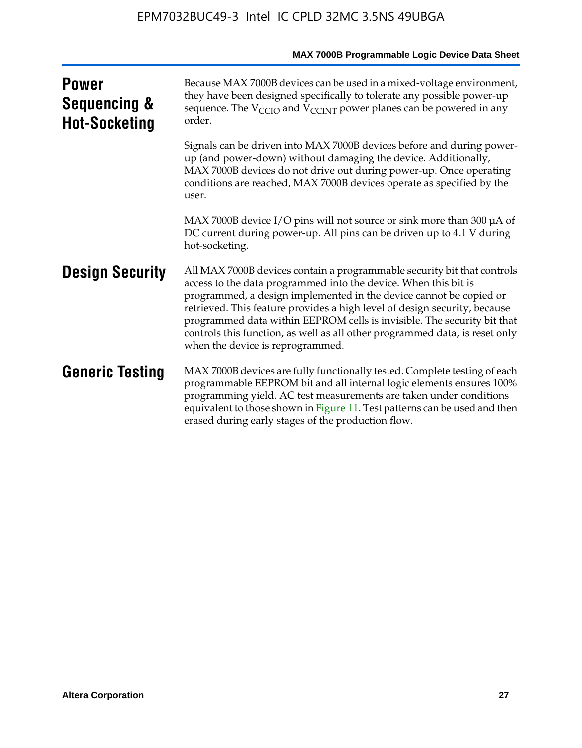| <b>Power</b><br><b>Sequencing &amp;</b><br><b>Hot-Socketing</b> | Because MAX 7000B devices can be used in a mixed-voltage environment,<br>they have been designed specifically to tolerate any possible power-up<br>sequence. The $V_{\text{CCIO}}$ and $V_{\text{CCINT}}$ power planes can be powered in any<br>order.                                                                                                                                                                                                                                      |
|-----------------------------------------------------------------|---------------------------------------------------------------------------------------------------------------------------------------------------------------------------------------------------------------------------------------------------------------------------------------------------------------------------------------------------------------------------------------------------------------------------------------------------------------------------------------------|
|                                                                 | Signals can be driven into MAX 7000B devices before and during power-<br>up (and power-down) without damaging the device. Additionally,<br>MAX 7000B devices do not drive out during power-up. Once operating<br>conditions are reached, MAX 7000B devices operate as specified by the<br>user.                                                                                                                                                                                             |
|                                                                 | MAX 7000B device I/O pins will not source or sink more than 300 µA of<br>DC current during power-up. All pins can be driven up to 4.1 V during<br>hot-socketing.                                                                                                                                                                                                                                                                                                                            |
| <b>Design Security</b>                                          | All MAX 7000B devices contain a programmable security bit that controls<br>access to the data programmed into the device. When this bit is<br>programmed, a design implemented in the device cannot be copied or<br>retrieved. This feature provides a high level of design security, because<br>programmed data within EEPROM cells is invisible. The security bit that<br>controls this function, as well as all other programmed data, is reset only<br>when the device is reprogrammed. |
| <b>Generic Testing</b>                                          | MAX 7000B devices are fully functionally tested. Complete testing of each<br>programmable EEPROM bit and all internal logic elements ensures 100%<br>programming yield. AC test measurements are taken under conditions<br>equivalent to those shown in Figure 11. Test patterns can be used and then<br>erased during early stages of the production flow.                                                                                                                                 |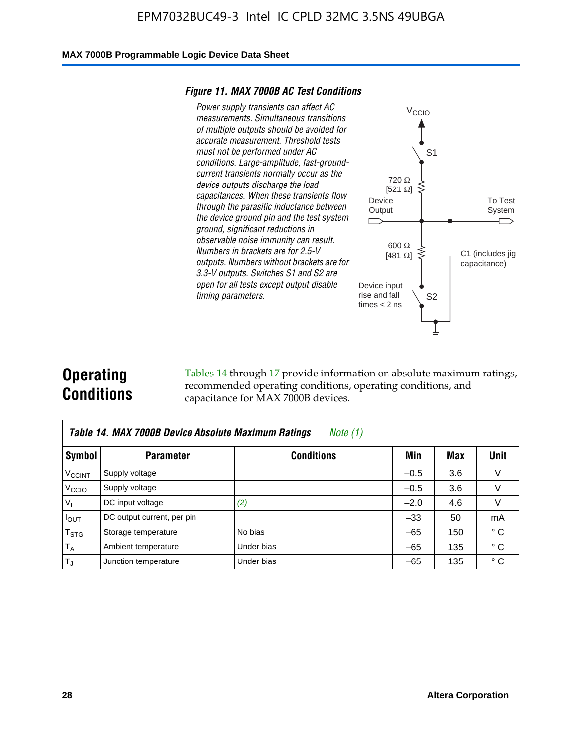#### **MAX 7000B Programmable Logic Device Data Sheet**

#### *Figure 11. MAX 7000B AC Test Conditions*



# **Operating Conditions**

Tables 14 through 17 provide information on absolute maximum ratings, recommended operating conditions, operating conditions, and capacitance for MAX 7000B devices.

| Table 14. MAX 7000B Device Absolute Maximum Ratings<br>Note $(1)$ |                            |                   |        |     |              |  |  |  |
|-------------------------------------------------------------------|----------------------------|-------------------|--------|-----|--------------|--|--|--|
| Symbol                                                            | <b>Parameter</b>           | <b>Conditions</b> | Min    | Max | Unit         |  |  |  |
| <b>V<sub>CCINT</sub></b>                                          | Supply voltage             |                   | $-0.5$ | 3.6 | v            |  |  |  |
| V <sub>CCIO</sub>                                                 | Supply voltage             |                   | $-0.5$ | 3.6 | $\vee$       |  |  |  |
| $V_1$                                                             | DC input voltage           | (2)               | $-2.0$ | 4.6 | V            |  |  |  |
| $I_{OUT}$                                                         | DC output current, per pin |                   | $-33$  | 50  | mA           |  |  |  |
| $T_{STG}$                                                         | Storage temperature        | No bias           | $-65$  | 150 | $^{\circ}$ C |  |  |  |
| $T_A$                                                             | Ambient temperature        | Under bias        | $-65$  | 135 | $^{\circ}$ C |  |  |  |
| $T_{\text{J}}$                                                    | Junction temperature       | Under bias        | $-65$  | 135 | ° C          |  |  |  |

To Test System

 $\overline{\phantom{a}}$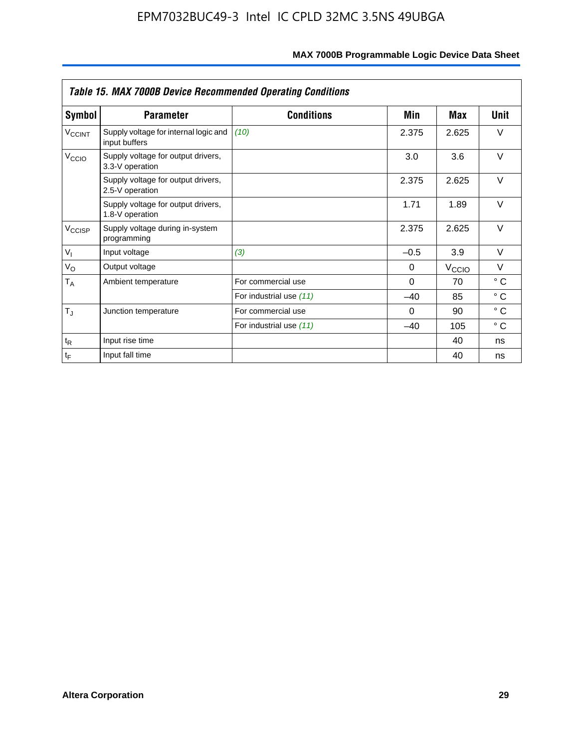| <b>Table 15. MAX 7000B Device Recommended Operating Conditions</b> |                                                        |                         |          |                   |              |  |  |
|--------------------------------------------------------------------|--------------------------------------------------------|-------------------------|----------|-------------------|--------------|--|--|
| Symbol                                                             | <b>Parameter</b>                                       | <b>Conditions</b>       | Min      | Max               | Unit         |  |  |
| $V_{\text{CCINT}}$                                                 | Supply voltage for internal logic and<br>input buffers | (10)                    | 2.375    | 2.625             | $\vee$       |  |  |
| V <sub>CCIO</sub>                                                  | Supply voltage for output drivers,<br>3.3-V operation  |                         | 3.0      | 3.6               | $\vee$       |  |  |
|                                                                    | Supply voltage for output drivers,<br>2.5-V operation  |                         | 2.375    | 2.625             | $\vee$       |  |  |
|                                                                    | Supply voltage for output drivers,<br>1.8-V operation  |                         | 1.71     | 1.89              | $\vee$       |  |  |
| $V_{\text{CCISP}}$                                                 | Supply voltage during in-system<br>programming         |                         | 2.375    | 2.625             | $\vee$       |  |  |
| $V_{I}$                                                            | Input voltage                                          | (3)                     | $-0.5$   | 3.9               | $\vee$       |  |  |
| $V_{\rm O}$                                                        | Output voltage                                         |                         | 0        | $V_{\text{CCIO}}$ | $\vee$       |  |  |
| $T_A$                                                              | Ambient temperature                                    | For commercial use      | $\Omega$ | 70                | $^{\circ}$ C |  |  |
|                                                                    |                                                        | For industrial use (11) | $-40$    | 85                | $^{\circ}$ C |  |  |
| $T_J$                                                              | Junction temperature                                   | For commercial use      | $\Omega$ | 90                | $^{\circ}$ C |  |  |
|                                                                    |                                                        | For industrial use (11) | $-40$    | 105               | °C           |  |  |
| $t_{R}$                                                            | Input rise time                                        |                         |          | 40                | ns           |  |  |
| $t_F$                                                              | Input fall time                                        |                         |          | 40                | ns           |  |  |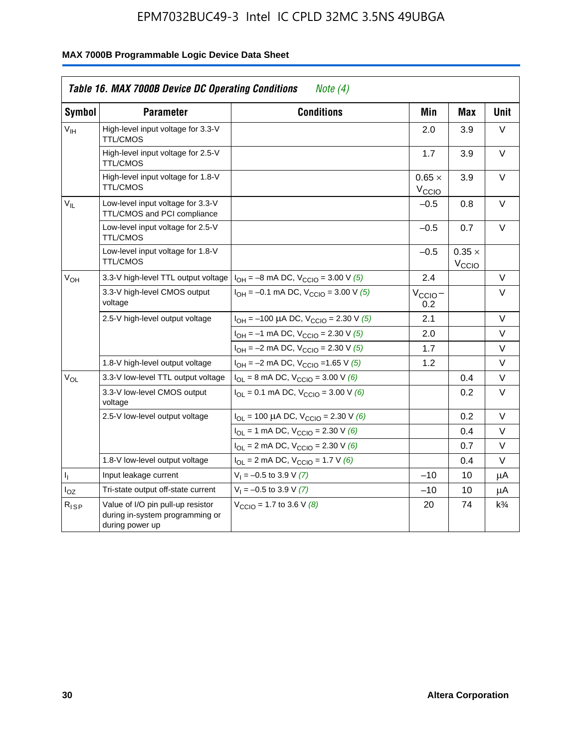| Symbol          | <b>Parameter</b>                                                                        | <b>Conditions</b>                                                        | Min                         | <b>Max</b>                  | <b>Unit</b>    |
|-----------------|-----------------------------------------------------------------------------------------|--------------------------------------------------------------------------|-----------------------------|-----------------------------|----------------|
| $V_{\text{IH}}$ | High-level input voltage for 3.3-V<br><b>TTL/CMOS</b>                                   |                                                                          | 2.0                         | 3.9                         | $\vee$         |
|                 | High-level input voltage for 2.5-V<br><b>TTL/CMOS</b>                                   |                                                                          | 1.7                         | 3.9                         | $\vee$         |
|                 | High-level input voltage for 1.8-V<br><b>TTL/CMOS</b>                                   |                                                                          | $0.65 \times$<br>$V_{CCIO}$ | 3.9                         | $\vee$         |
| $V_{IL}$        | Low-level input voltage for 3.3-V<br>TTL/CMOS and PCI compliance                        |                                                                          | $-0.5$                      | 0.8                         | V              |
|                 | Low-level input voltage for 2.5-V<br><b>TTL/CMOS</b>                                    |                                                                          | $-0.5$                      | 0.7                         | $\vee$         |
|                 | Low-level input voltage for 1.8-V<br><b>TTL/CMOS</b>                                    |                                                                          | $-0.5$                      | $0.35 \times$<br>$V_{CCIO}$ |                |
| V <sub>OH</sub> | 3.3-V high-level TTL output voltage                                                     | $I_{OH} = -8$ mA DC, $V_{CCIO} = 3.00$ V (5)                             | 2.4                         |                             | V              |
|                 | 3.3-V high-level CMOS output<br>voltage                                                 | $I_{OH} = -0.1$ mA DC, $V_{CCIO} = 3.00$ V (5)                           | $V_{\text{CCIO}}-$<br>0.2   |                             | $\vee$         |
|                 | 2.5-V high-level output voltage                                                         | $I_{OH}$ = -100 µA DC, $V_{CClO}$ = 2.30 V (5)                           | 2.1                         |                             | V              |
|                 |                                                                                         | $I_{OH} = -1$ mA DC, $V_{CCIO} = 2.30$ V (5)                             | 2.0                         |                             | V              |
|                 |                                                                                         | $I_{OH} = -2$ mA DC, $V_{CCIO} = 2.30$ V (5)                             | 1.7                         |                             | V              |
|                 | 1.8-V high-level output voltage                                                         | $I_{OH} = -2$ mA DC, $V_{CCIO} = 1.65$ V (5)                             | 1.2                         |                             | $\vee$         |
| $V_{OL}$        | 3.3-V low-level TTL output voltage                                                      | $I_{OL}$ = 8 mA DC, $V_{CCIO}$ = 3.00 V (6)                              |                             | 0.4                         | V              |
|                 | 3.3-V low-level CMOS output<br>voltage                                                  | $I_{\text{OI}} = 0.1 \text{ mA DC}, V_{\text{CCl}} = 3.00 \text{ V}$ (6) |                             | 0.2                         | V              |
|                 | 2.5-V low-level output voltage                                                          | $I_{OL}$ = 100 µA DC, V <sub>CCIO</sub> = 2.30 V (6)                     |                             | 0.2                         | V              |
|                 |                                                                                         | $I_{OL}$ = 1 mA DC, $V_{CCIO}$ = 2.30 V (6)                              |                             | 0.4                         | V              |
|                 |                                                                                         | $I_{OL}$ = 2 mA DC, $V_{CCIO}$ = 2.30 V (6)                              |                             | 0.7                         | V              |
|                 | 1.8-V low-level output voltage                                                          | $I_{\text{OI}}$ = 2 mA DC, $V_{\text{CCIO}}$ = 1.7 V (6)                 |                             | 0.4                         | $\vee$         |
| 4               | Input leakage current                                                                   | $V_1 = -0.5$ to 3.9 V (7)                                                | $-10$                       | 10                          | μA             |
| $I_{OZ}$        | Tri-state output off-state current                                                      | $V_1 = -0.5$ to 3.9 V (7)                                                | $-10$                       | 10                          | μA             |
| $R_{ISP}$       | Value of I/O pin pull-up resistor<br>during in-system programming or<br>during power up | $V_{\text{CCIO}} = 1.7$ to 3.6 V (8)                                     | 20                          | 74                          | $k\frac{3}{4}$ |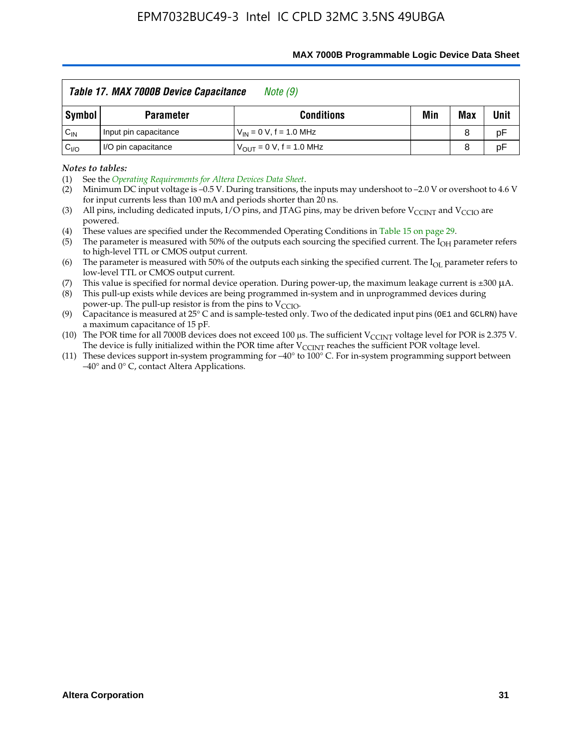| <b>MAX 7000B Programmable Logic Device Data Sheet</b> |  |
|-------------------------------------------------------|--|
|-------------------------------------------------------|--|

|                 | Table 17. MAX 7000B Device Capacitance<br>Note (9)          |                               |  |   |    |  |  |  |  |  |  |
|-----------------|-------------------------------------------------------------|-------------------------------|--|---|----|--|--|--|--|--|--|
| Symbol          | Min<br>Unit<br>Max<br><b>Conditions</b><br><b>Parameter</b> |                               |  |   |    |  |  |  |  |  |  |
| $C_{\text{IN}}$ | Input pin capacitance                                       | $V_{IN} = 0 V$ , f = 1.0 MHz  |  | 8 | pF |  |  |  |  |  |  |
| C <sub>VO</sub> | I/O pin capacitance                                         | $V_{OUT} = 0 V$ , f = 1.0 MHz |  | 8 | pF |  |  |  |  |  |  |

*Notes to tables:*

(3) All pins, including dedicated inputs, I/O pins, and JTAG pins, may be driven before V<sub>CCINT</sub> and V<sub>CCIO</sub> are powered.

(4) These values are specified under the Recommended Operating Conditions in Table 15 on page 29.

(5) The parameter is measured with 50% of the outputs each sourcing the specified current. The  $I_{OH}$  parameter refers to high-level TTL or CMOS output current.

(6) The parameter is measured with 50% of the outputs each sinking the specified current. The  $I_{OL}$  parameter refers to low-level TTL or CMOS output current.

This value is specified for normal device operation. During power-up, the maximum leakage current is  $\pm 300$   $\mu$ A. (7) This value is specified for normal device operation. During power-up, the maximum leakage current is  $\pm 3$  (8) This pull-up exists while devices are being programmed in-system and in unprogrammed devices during

power-up. The pull-up resistor is from the pins to  $V_{\text{CCIO}}$ .

(9) Capacitance is measured at 25 $\degree$  C and is sample-tested only. Two of the dedicated input pins (OE1 and GCLRN) have a maximum capacitance of 15 pF.

(10) The POR time for all 7000B devices does not exceed 100 μs. The sufficient  $V_{\text{CCINT}}$  voltage level for POR is 2.375 V.

The device is fully initialized within the POR time after  $V_{\text{CCINT}}$  reaches the sufficient POR voltage level.<br>(11) These devices support in-system programming for  $-40^{\circ}$  to 100° C. For in-system programming support be –40° and 0° C, contact Altera Applications.

<sup>(1)</sup> See the *Operating Requirements for Altera Devices Data Sheet*.

<sup>(2)</sup> Minimum DC input voltage is –0.5 V. During transitions, the inputs may undershoot to –2.0 V or overshoot to 4.6 V for input currents less than 100 mA and periods shorter than  $20$  ns.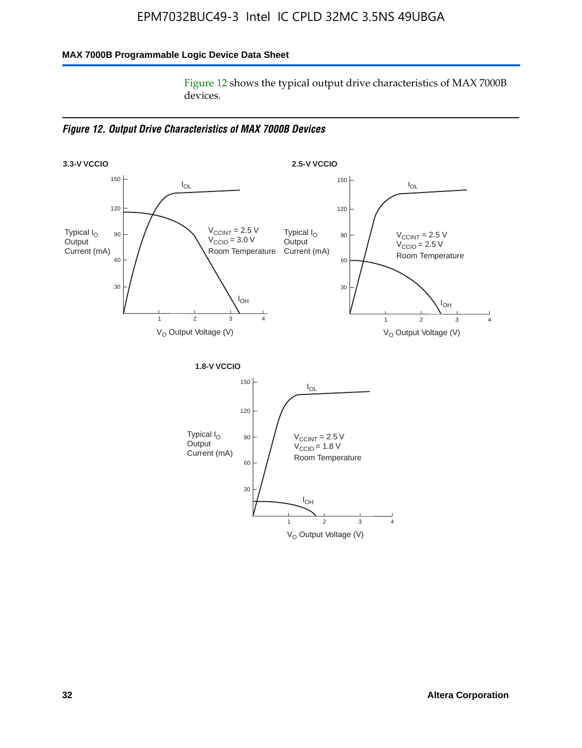### **MAX 7000B Programmable Logic Device Data Sheet**

Figure 12 shows the typical output drive characteristics of MAX 7000B devices.

*Figure 12. Output Drive Characteristics of MAX 7000B Devices*

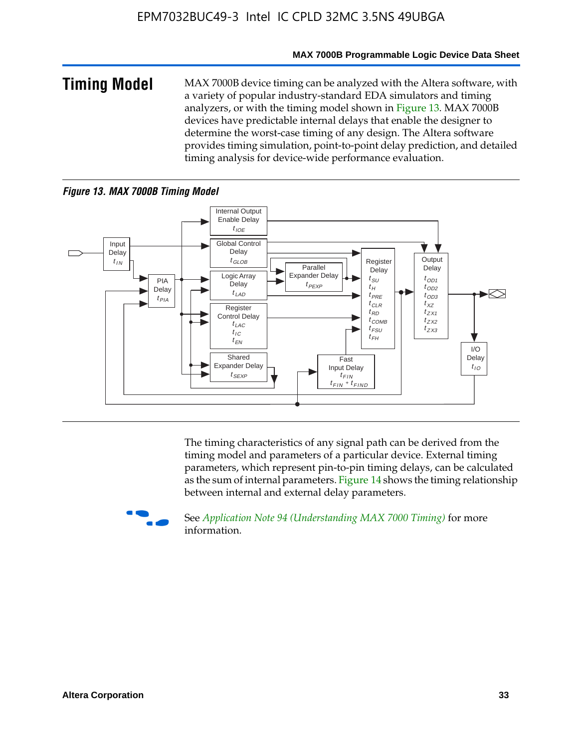#### **MAX 7000B Programmable Logic Device Data Sheet**

**Timing Model** MAX 7000B device timing can be analyzed with the Altera software, with a variety of popular industry-standard EDA simulators and timing analyzers, or with the timing model shown in Figure 13. MAX 7000B devices have predictable internal delays that enable the designer to determine the worst-case timing of any design. The Altera software provides timing simulation, point-to-point delay prediction, and detailed timing analysis for device-wide performance evaluation.

### *Figure 13. MAX 7000B Timing Model*



The timing characteristics of any signal path can be derived from the timing model and parameters of a particular device. External timing parameters, which represent pin-to-pin timing delays, can be calculated as the sum of internal parameters. Figure 14 shows the timing relationship between internal and external delay parameters.



f See *Application Note 94 (Understanding MAX 7000 Timing)* for more information.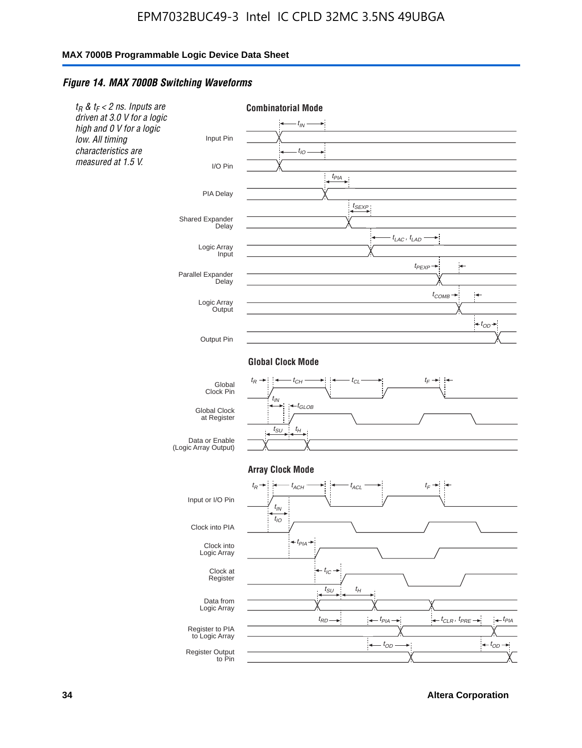#### *Figure 14. MAX 7000B Switching Waveforms*



**34 Altera Corporation**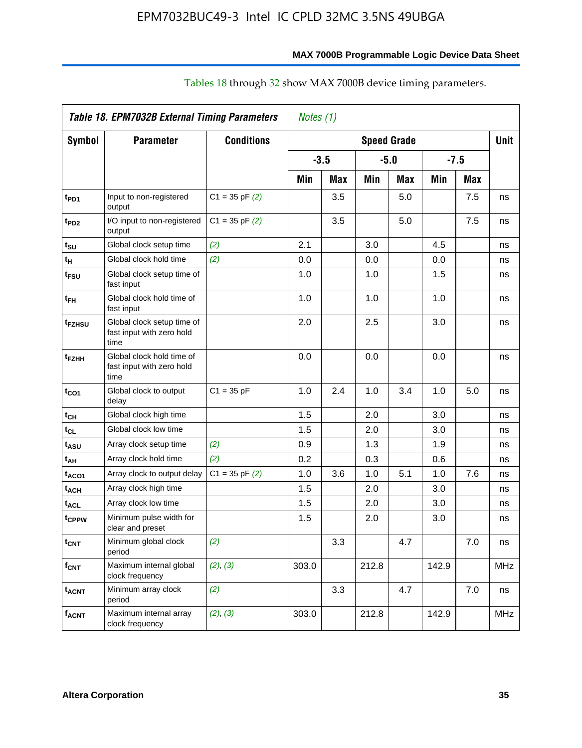|                           | Table 18. EPM7032B External Timing Parameters                   |                    | Notes (1) |            |                    |     |        |            |            |
|---------------------------|-----------------------------------------------------------------|--------------------|-----------|------------|--------------------|-----|--------|------------|------------|
| <b>Symbol</b>             | <b>Parameter</b>                                                | <b>Conditions</b>  |           |            | <b>Speed Grade</b> |     |        |            | Unit       |
|                           |                                                                 |                    | $-3.5$    |            | $-5.0$             |     | $-7.5$ |            |            |
|                           |                                                                 |                    | Min       | <b>Max</b> | Min                | Max | Min    | <b>Max</b> |            |
| t <sub>PD1</sub>          | Input to non-registered<br>output                               | $C1 = 35$ pF $(2)$ |           | 3.5        |                    | 5.0 |        | 7.5        | ns         |
| t <sub>PD2</sub>          | I/O input to non-registered<br>output                           | $C1 = 35$ pF $(2)$ |           | 3.5        |                    | 5.0 |        | 7.5        | ns         |
| tsu                       | Global clock setup time                                         | (2)                | 2.1       |            | $3.0\,$            |     | 4.5    |            | ns         |
| tн                        | Global clock hold time                                          | (2)                | 0.0       |            | 0.0                |     | 0.0    |            | ns         |
| t <sub>FSU</sub>          | Global clock setup time of<br>fast input                        |                    | 1.0       |            | 1.0                |     | 1.5    |            | ns         |
| t <sub>FH</sub>           | Global clock hold time of<br>fast input                         |                    | 1.0       |            | 1.0                |     | 1.0    |            | ns         |
| t <sub>FZHSU</sub>        | Global clock setup time of<br>fast input with zero hold<br>time |                    | 2.0       |            | 2.5                |     | 3.0    |            | ns         |
| t <sub>FZHH</sub>         | Global clock hold time of<br>fast input with zero hold<br>time  |                    | 0.0       |            | 0.0                |     | 0.0    |            | ns         |
| t <sub>CO1</sub>          | Global clock to output<br>delay                                 | $C1 = 35 pF$       | 1.0       | 2.4        | 1.0                | 3.4 | 1.0    | 5.0        | ns         |
| t <sub>СН</sub>           | Global clock high time                                          |                    | 1.5       |            | 2.0                |     | 3.0    |            | ns         |
| t <sub>CL</sub>           | Global clock low time                                           |                    | 1.5       |            | 2.0                |     | 3.0    |            | ns         |
| t <sub>ASU</sub>          | Array clock setup time                                          | (2)                | 0.9       |            | 1.3                |     | 1.9    |            | ns         |
| t <sub>АН</sub>           | Array clock hold time                                           | (2)                | 0.2       |            | 0.3                |     | 0.6    |            | ns         |
| t <sub>ACO1</sub>         | Array clock to output delay                                     | $C1 = 35$ pF $(2)$ | 1.0       | 3.6        | 1.0                | 5.1 | 1.0    | 7.6        | ns         |
| t <sub>АСН</sub>          | Array clock high time                                           |                    | 1.5       |            | 2.0                |     | 3.0    |            | ns         |
| $\mathfrak{t}_{\sf{ACL}}$ | Array clock low time                                            |                    | 1.5       |            | 2.0                |     | 3.0    |            | ns         |
| t <sub>CPPW</sub>         | Minimum pulse width for<br>clear and preset                     |                    | 1.5       |            | 2.0                |     | 3.0    |            | ns         |
| t <sub>CNT</sub>          | Minimum global clock<br>period                                  | (2)                |           | 3.3        |                    | 4.7 |        | 7.0        | ns         |
| f <sub>СNT</sub>          | Maximum internal global<br>clock frequency                      | (2), (3)           | 303.0     |            | 212.8              |     | 142.9  |            | <b>MHz</b> |
| t <sub>acnt</sub>         | Minimum array clock<br>period                                   | (2)                |           | 3.3        |                    | 4.7 |        | 7.0        | ns         |
| facnt                     | Maximum internal array<br>clock frequency                       | (2), (3)           | 303.0     |            | 212.8              |     | 142.9  |            | MHz        |

# Tables 18 through 32 show MAX 7000B device timing parameters.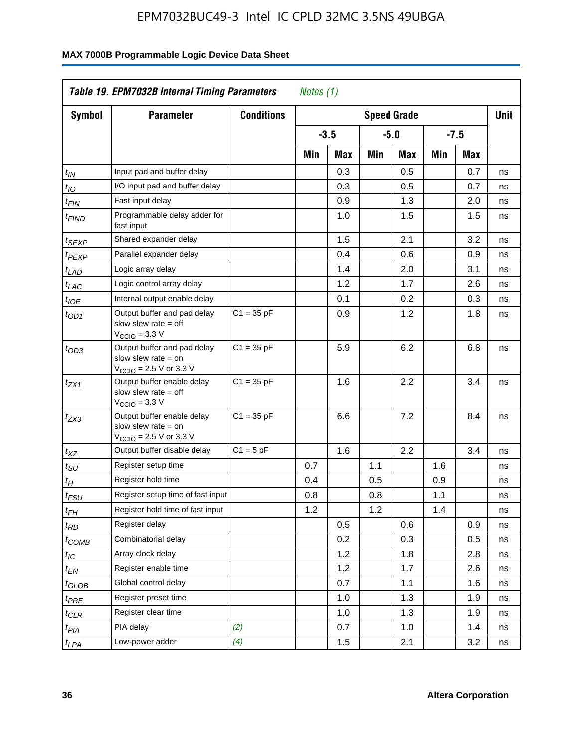| <b>Symbol</b>               | <b>Parameter</b>                                                                                           | <b>Conditions</b> | <b>Speed Grade</b> |        |     |        |     |            |    |
|-----------------------------|------------------------------------------------------------------------------------------------------------|-------------------|--------------------|--------|-----|--------|-----|------------|----|
|                             |                                                                                                            |                   |                    | $-3.5$ |     | $-5.0$ |     | $-7.5$     |    |
|                             |                                                                                                            |                   | Min                | Max    | Min | Max    | Min | <b>Max</b> |    |
| $t_{\mathsf{IN}}$           | Input pad and buffer delay                                                                                 |                   |                    | 0.3    |     | 0.5    |     | 0.7        | ns |
| $t_{IO}$                    | I/O input pad and buffer delay                                                                             |                   |                    | 0.3    |     | 0.5    |     | 0.7        | ns |
| $t_{\sf FIN}$               | Fast input delay                                                                                           |                   |                    | 0.9    |     | 1.3    |     | 2.0        | ns |
| <sup>t</sup> FIND           | Programmable delay adder for<br>fast input                                                                 |                   |                    | 1.0    |     | 1.5    |     | 1.5        | ns |
| t <sub>SEXP</sub>           | Shared expander delay                                                                                      |                   |                    | 1.5    |     | 2.1    |     | 3.2        | ns |
| t <sub>PEXP</sub>           | Parallel expander delay                                                                                    |                   |                    | 0.4    |     | 0.6    |     | 0.9        | ns |
| t <sub>LAD</sub>            | Logic array delay                                                                                          |                   |                    | 1.4    |     | 2.0    |     | 3.1        | ns |
| $t_{LAC}$                   | Logic control array delay                                                                                  |                   |                    | 1.2    |     | 1.7    |     | 2.6        | ns |
| $t_{\mathit{IOE}}$          | Internal output enable delay                                                                               |                   |                    | 0.1    |     | 0.2    |     | 0.3        | ns |
| $t_{OD1}$                   | Output buffer and pad delay<br>slow slew rate $=$ off<br>$VCCIO = 3.3 V$                                   | $C1 = 35 pF$      |                    | 0.9    |     | 1.2    |     | 1.8        | ns |
| $t_{OD3}$                   | Output buffer and pad delay<br>slow slew rate $=$ on<br>V <sub>CCIO</sub> = 2.5 V or 3.3 V                 | $C1 = 35 pF$      |                    | 5.9    |     | 6.2    |     | 6.8        | ns |
| $t_{ZX1}$                   | Output buffer enable delay<br>slow slew rate $=$ off<br>$V_{\text{CCIO}} = 3.3 \text{ V}$                  | $C1 = 35 pF$      |                    | 1.6    |     | 2.2    |     | 3.4        | ns |
| $t_{ZX3}$                   | Output buffer enable delay<br>slow slew rate $=$ on<br>$V_{\text{CCIO}} = 2.5 \text{ V or } 3.3 \text{ V}$ | $C1 = 35 pF$      |                    | 6.6    |     | 7.2    |     | 8.4        | ns |
| $t_{XZ}$                    | Output buffer disable delay                                                                                | $C1 = 5pF$        |                    | 1.6    |     | 2.2    |     | 3.4        | ns |
| $t_{\scriptstyle\text{SU}}$ | Register setup time                                                                                        |                   | 0.7                |        | 1.1 |        | 1.6 |            | ns |
| t <sub>Η</sub>              | Register hold time                                                                                         |                   | 0.4                |        | 0.5 |        | 0.9 |            | ns |
| $t_{\mathit{FSU}}$          | Register setup time of fast input                                                                          |                   | 0.8                |        | 0.8 |        | 1.1 |            | ns |
| t <sub>FH</sub>             | Register hold time of fast input                                                                           |                   | 1.2                |        | 1.2 |        | 1.4 |            | ns |
| $t_{RD}$                    | Register delay                                                                                             |                   |                    | 0.5    |     | 0.6    |     | 0.9        | ns |
| $t_{COMB}$                  | Combinatorial delay                                                                                        |                   |                    | 0.2    |     | 0.3    |     | 0.5        | ns |
| $t_{\mathcal{IC}}$          | Array clock delay                                                                                          |                   |                    | 1.2    |     | 1.8    |     | 2.8        | ns |
| $t_{EN}$                    | Register enable time                                                                                       |                   |                    | 1.2    |     | 1.7    |     | 2.6        | ns |
| t <sub>GLOB</sub>           | Global control delay                                                                                       |                   |                    | 0.7    |     | 1.1    |     | 1.6        | ns |
| $t_{PRE}$                   | Register preset time                                                                                       |                   |                    | 1.0    |     | 1.3    |     | 1.9        | ns |
| $t_{\text{CLR}}$            | Register clear time                                                                                        |                   |                    | 1.0    |     | 1.3    |     | 1.9        | ns |
| t <sub>PIA</sub>            | PIA delay                                                                                                  | (2)               |                    | 0.7    |     | 1.0    |     | 1.4        | ns |
| t <sub>LPA</sub>            | Low-power adder                                                                                            | (4)               |                    | 1.5    |     | 2.1    |     | 3.2        | ns |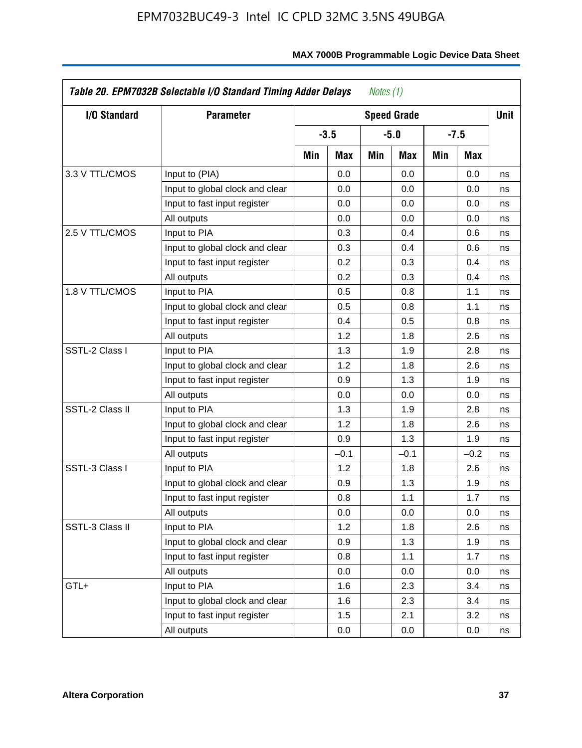| I/O Standard    |                                 | <b>Parameter</b><br><b>Speed Grade</b> |        |     |        |     |        |             |  |  |
|-----------------|---------------------------------|----------------------------------------|--------|-----|--------|-----|--------|-------------|--|--|
|                 |                                 |                                        | $-3.5$ |     | $-5.0$ |     | $-7.5$ | <b>Unit</b> |  |  |
|                 |                                 | Min                                    | Max    | Min | Max    | Min | Max    |             |  |  |
| 3.3 V TTL/CMOS  | Input to (PIA)                  |                                        | 0.0    |     | 0.0    |     | 0.0    | ns          |  |  |
|                 | Input to global clock and clear |                                        | 0.0    |     | 0.0    |     | 0.0    | ns          |  |  |
|                 | Input to fast input register    |                                        | 0.0    |     | 0.0    |     | 0.0    | ns          |  |  |
|                 | All outputs                     |                                        | 0.0    |     | 0.0    |     | 0.0    | ns          |  |  |
| 2.5 V TTL/CMOS  | Input to PIA                    |                                        | 0.3    |     | 0.4    |     | 0.6    | ns          |  |  |
|                 | Input to global clock and clear |                                        | 0.3    |     | 0.4    |     | 0.6    | ns          |  |  |
|                 | Input to fast input register    |                                        | 0.2    |     | 0.3    |     | 0.4    | ns          |  |  |
|                 | All outputs                     |                                        | 0.2    |     | 0.3    |     | 0.4    | ns          |  |  |
| 1.8 V TTL/CMOS  | Input to PIA                    |                                        | 0.5    |     | 0.8    |     | 1.1    | ns          |  |  |
|                 | Input to global clock and clear |                                        | 0.5    |     | 0.8    |     | 1.1    | ns          |  |  |
|                 | Input to fast input register    |                                        | 0.4    |     | 0.5    |     | 0.8    | ns          |  |  |
|                 | All outputs                     |                                        | 1.2    |     | 1.8    |     | 2.6    | ns          |  |  |
| SSTL-2 Class I  | Input to PIA                    |                                        | 1.3    |     | 1.9    |     | 2.8    | ns          |  |  |
|                 | Input to global clock and clear |                                        | 1.2    |     | 1.8    |     | 2.6    | ns          |  |  |
|                 | Input to fast input register    |                                        | 0.9    |     | 1.3    |     | 1.9    | ns          |  |  |
|                 | All outputs                     |                                        | 0.0    |     | 0.0    |     | 0.0    | ns          |  |  |
| SSTL-2 Class II | Input to PIA                    |                                        | 1.3    |     | 1.9    |     | 2.8    | ns          |  |  |
|                 | Input to global clock and clear |                                        | 1.2    |     | 1.8    |     | 2.6    | ns          |  |  |
|                 | Input to fast input register    |                                        | 0.9    |     | 1.3    |     | 1.9    | ns          |  |  |
|                 | All outputs                     |                                        | $-0.1$ |     | $-0.1$ |     | $-0.2$ | ns          |  |  |
| SSTL-3 Class I  | Input to PIA                    |                                        | 1.2    |     | 1.8    |     | 2.6    | ns          |  |  |
|                 | Input to global clock and clear |                                        | 0.9    |     | 1.3    |     | 1.9    | ns          |  |  |
|                 | Input to fast input register    |                                        | 0.8    |     | 1.1    |     | 1.7    | ns          |  |  |
|                 | All outputs                     |                                        | 0.0    |     | 0.0    |     | 0.0    | ns          |  |  |
| SSTL-3 Class II | Input to PIA                    |                                        | 1.2    |     | 1.8    |     | 2.6    | ns          |  |  |
|                 | Input to global clock and clear |                                        | 0.9    |     | 1.3    |     | 1.9    | ns          |  |  |
|                 | Input to fast input register    |                                        | 0.8    |     | 1.1    |     | 1.7    | ns          |  |  |
|                 | All outputs                     |                                        | 0.0    |     | 0.0    |     | 0.0    | ns          |  |  |
| GTL+            | Input to PIA                    |                                        | 1.6    |     | 2.3    |     | 3.4    | ns          |  |  |
|                 | Input to global clock and clear |                                        | 1.6    |     | 2.3    |     | 3.4    | ns          |  |  |
|                 | Input to fast input register    |                                        | 1.5    |     | 2.1    |     | 3.2    | ns          |  |  |
|                 | All outputs                     |                                        | 0.0    |     | 0.0    |     | 0.0    | ns          |  |  |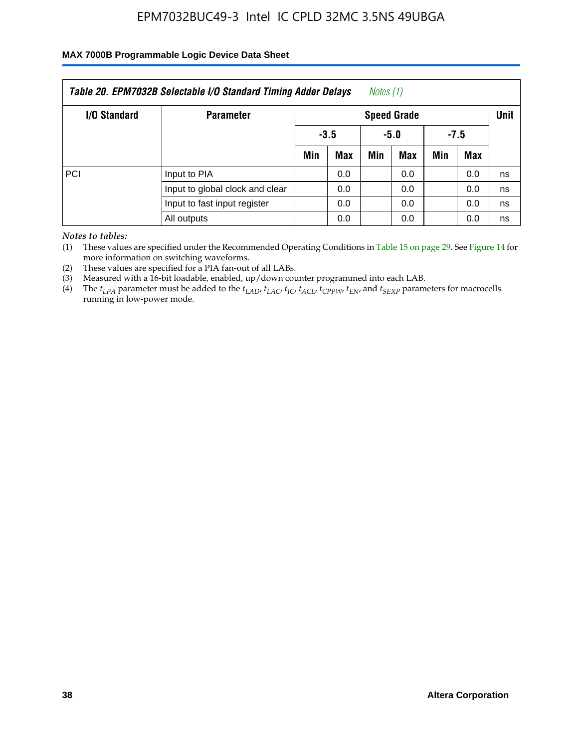### **MAX 7000B Programmable Logic Device Data Sheet**

| Table 20. EPM7032B Selectable I/O Standard Timing Adder Delays<br>Notes (1) |                                     |                          |                    |     |            |     |     |    |  |
|-----------------------------------------------------------------------------|-------------------------------------|--------------------------|--------------------|-----|------------|-----|-----|----|--|
| I/O Standard                                                                | <b>Parameter</b>                    |                          | <b>Speed Grade</b> |     |            |     |     |    |  |
|                                                                             |                                     | $-3.5$<br>$-7.5$<br>-5.0 |                    |     |            |     |     |    |  |
|                                                                             |                                     | Min<br><b>Max</b>        |                    | Min | <b>Max</b> | Min | Max |    |  |
| PCI                                                                         | Input to PIA                        |                          | 0.0                |     | 0.0        |     | 0.0 | ns |  |
|                                                                             | Input to global clock and clear     |                          | 0.0                |     | 0.0        |     | 0.0 | ns |  |
|                                                                             | Input to fast input register<br>0.0 |                          |                    |     | 0.0        |     | 0.0 | ns |  |
|                                                                             | All outputs                         |                          | 0.0                |     | 0.0        |     | 0.0 | ns |  |

*Notes to tables:*

(1) These values are specified under the Recommended Operating Conditions in Table 15 on page 29. See Figure 14 for more information on switching waveforms.

(2) These values are specified for a PIA fan-out of all LABs.

(3) Measured with a 16-bit loadable, enabled, up/down counter programmed into each LAB.

(4) The *tLPA* parameter must be added to the *tLAD*, *tLAC*, *tIC*, *tACL*, *tCPPW*, *tEN*, and *tSEXP* parameters for macrocells running in low-power mode.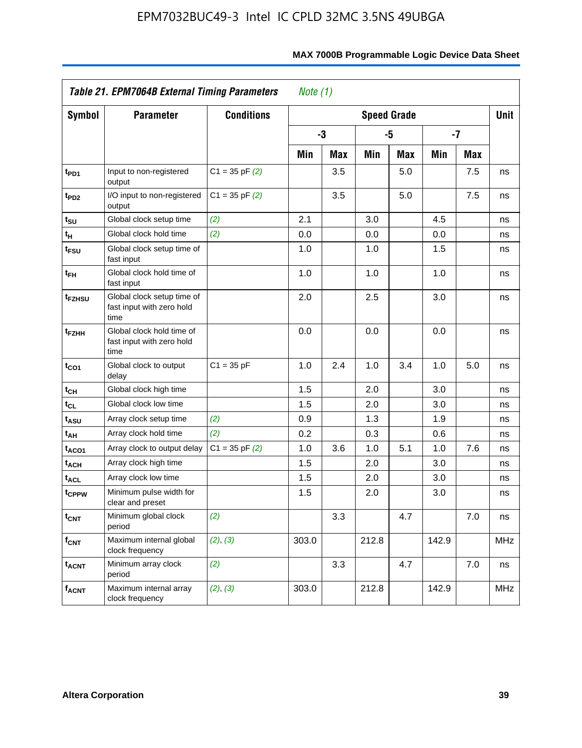|                             | Table 21. EPM7064B External Timing Parameters                   |                    | Note $(1)$ |            |       |                    |       |     |            |
|-----------------------------|-----------------------------------------------------------------|--------------------|------------|------------|-------|--------------------|-------|-----|------------|
| <b>Symbol</b>               | <b>Parameter</b>                                                | <b>Conditions</b>  |            |            |       | <b>Speed Grade</b> |       |     | Unit       |
|                             |                                                                 |                    |            | -3         |       | -5                 | $-7$  |     |            |
|                             |                                                                 |                    | Min        | <b>Max</b> | Min   | Max                | Min   | Max |            |
| t <sub>PD1</sub>            | Input to non-registered<br>output                               | $C1 = 35$ pF $(2)$ |            | 3.5        |       | 5.0                |       | 7.5 | ns         |
| t <sub>PD2</sub>            | I/O input to non-registered<br>output                           | $C1 = 35$ pF $(2)$ |            | 3.5        |       | 5.0                |       | 7.5 | ns         |
| t <sub>su</sub>             | Global clock setup time                                         | (2)                | 2.1        |            | 3.0   |                    | 4.5   |     | ns         |
| $\mathfrak{t}_{\mathsf{H}}$ | Global clock hold time                                          | (2)                | 0.0        |            | 0.0   |                    | 0.0   |     | ns         |
| t <sub>FSU</sub>            | Global clock setup time of<br>fast input                        |                    | 1.0        |            | 1.0   |                    | 1.5   |     | ns         |
| $t_{FH}$                    | Global clock hold time of<br>fast input                         |                    | 1.0        |            | 1.0   |                    | 1.0   |     | ns         |
| t <sub>FZHSU</sub>          | Global clock setup time of<br>fast input with zero hold<br>time |                    | 2.0        |            | 2.5   |                    | 3.0   |     | ns         |
| t <sub>FZHH</sub>           | Global clock hold time of<br>fast input with zero hold<br>time  |                    | 0.0        |            | 0.0   |                    | 0.0   |     | ns         |
| $t_{CO1}$                   | Global clock to output<br>delay                                 | $C1 = 35 pF$       | 1.0        | 2.4        | 1.0   | 3.4                | 1.0   | 5.0 | ns         |
| $t_{\text{CH}}$             | Global clock high time                                          |                    | 1.5        |            | 2.0   |                    | 3.0   |     | ns         |
| $t_{CL}$                    | Global clock low time                                           |                    | 1.5        |            | 2.0   |                    | 3.0   |     | ns         |
| t <sub>ASU</sub>            | Array clock setup time                                          | (2)                | 0.9        |            | 1.3   |                    | 1.9   |     | ns         |
| t <sub>AH</sub>             | Array clock hold time                                           | (2)                | 0.2        |            | 0.3   |                    | 0.6   |     | ns         |
| t <sub>ACO1</sub>           | Array clock to output delay                                     | $C1 = 35$ pF $(2)$ | 1.0        | 3.6        | 1.0   | 5.1                | 1.0   | 7.6 | ns         |
| t <sub>ACH</sub>            | Array clock high time                                           |                    | 1.5        |            | 2.0   |                    | 3.0   |     | ns         |
| <b>t<sub>ACL</sub></b>      | Array clock low time                                            |                    | 1.5        |            | 2.0   |                    | 3.0   |     | ns         |
| tcppw                       | Minimum pulse width for<br>clear and preset                     |                    | 1.5        |            | 2.0   |                    | 3.0   |     | ns         |
| $t_{\text{CNT}}$            | Minimum global clock<br>period                                  | (2)                |            | 3.3        |       | 4.7                |       | 7.0 | ns         |
| $f_{\text{CNT}}$            | Maximum internal global<br>clock frequency                      | (2), (3)           | 303.0      |            | 212.8 |                    | 142.9 |     | <b>MHz</b> |
| <b>t<sub>ACNT</sub></b>     | Minimum array clock<br>period                                   | (2)                |            | 3.3        |       | 4.7                |       | 7.0 | ns         |
| <b>f<sub>ACNT</sub></b>     | Maximum internal array<br>clock frequency                       | (2), (3)           | 303.0      |            | 212.8 |                    | 142.9 |     | <b>MHz</b> |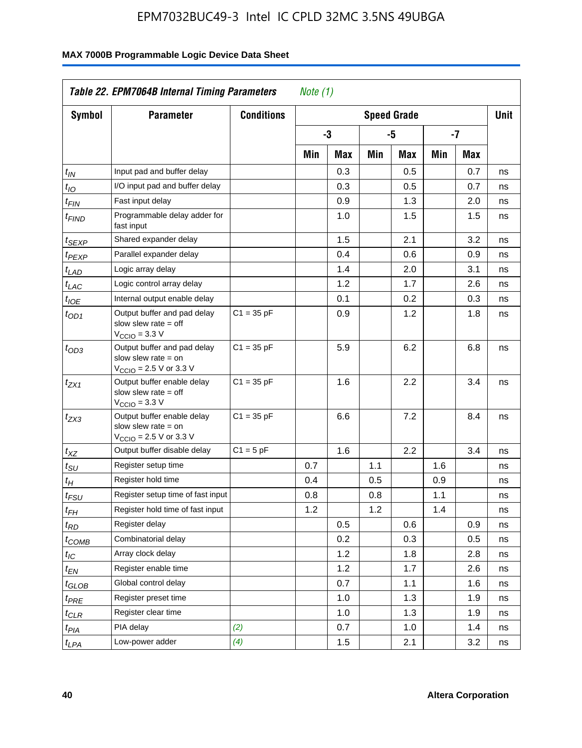| <b>Symbol</b>     | <b>Parameter</b>                                                                                            | <b>Conditions</b> |     |     |     | <b>Speed Grade</b> |     |            | <b>Unit</b> |
|-------------------|-------------------------------------------------------------------------------------------------------------|-------------------|-----|-----|-----|--------------------|-----|------------|-------------|
|                   |                                                                                                             |                   |     | -3  |     | -5                 |     | $-7$       |             |
|                   |                                                                                                             |                   | Min | Max | Min | Max                | Min | <b>Max</b> |             |
| $t_{IN}$          | Input pad and buffer delay                                                                                  |                   |     | 0.3 |     | 0.5                |     | 0.7        | ns          |
| $t_{IO}$          | I/O input pad and buffer delay                                                                              |                   |     | 0.3 |     | 0.5                |     | 0.7        | ns          |
| $t_{\sf FIN}$     | Fast input delay                                                                                            |                   |     | 0.9 |     | 1.3                |     | 2.0        | ns          |
| $t_{FIND}$        | Programmable delay adder for<br>fast input                                                                  |                   |     | 1.0 |     | 1.5                |     | 1.5        | ns          |
| t <sub>SEXP</sub> | Shared expander delay                                                                                       |                   |     | 1.5 |     | 2.1                |     | 3.2        | ns          |
| t <sub>PEXP</sub> | Parallel expander delay                                                                                     |                   |     | 0.4 |     | 0.6                |     | 0.9        | ns          |
| t <sub>LAD</sub>  | Logic array delay                                                                                           |                   |     | 1.4 |     | 2.0                |     | 3.1        | ns          |
| $t_{LAC}$         | Logic control array delay                                                                                   |                   |     | 1.2 |     | 1.7                |     | 2.6        | ns          |
| $t_{IOE}$         | Internal output enable delay                                                                                |                   |     | 0.1 |     | 0.2                |     | 0.3        | ns          |
| $t_{OD1}$         | Output buffer and pad delay<br>slow slew rate $=$ off<br>$VCCIO = 3.3 V$                                    | $C1 = 35 pF$      |     | 0.9 |     | 1.2                |     | 1.8        | ns          |
| $t_{OD3}$         | Output buffer and pad delay<br>slow slew rate $=$ on<br>$V_{\text{CCIO}} = 2.5 \text{ V or } 3.3 \text{ V}$ | $C1 = 35 pF$      |     | 5.9 |     | 6.2                |     | 6.8        | ns          |
| $t_{ZX1}$         | Output buffer enable delay<br>slow slew rate $=$ off<br>$V_{\text{CCIO}} = 3.3 \text{ V}$                   | $C1 = 35 pF$      |     | 1.6 |     | 2.2                |     | 3.4        | ns          |
| $t_{ZX3}$         | Output buffer enable delay<br>slow slew rate $=$ on<br>$V_{\text{CCIO}} = 2.5 \text{ V or } 3.3 \text{ V}$  | $C1 = 35 pF$      |     | 6.6 |     | 7.2                |     | 8.4        | ns          |
| $t_{XZ}$          | Output buffer disable delay                                                                                 | $C1 = 5pF$        |     | 1.6 |     | 2.2                |     | 3.4        | ns          |
| $t_{\text{SU}}$   | Register setup time                                                                                         |                   | 0.7 |     | 1.1 |                    | 1.6 |            | ns          |
| t <sub>Η</sub>    | Register hold time                                                                                          |                   | 0.4 |     | 0.5 |                    | 0.9 |            | ns          |
| $t_{\it FSU}$     | Register setup time of fast input                                                                           |                   | 0.8 |     | 0.8 |                    | 1.1 |            | ns          |
| t <sub>FH</sub>   | Register hold time of fast input                                                                            |                   | 1.2 |     | 1.2 |                    | 1.4 |            | ns          |
| $t_{RD}$          | Register delay                                                                                              |                   |     | 0.5 |     | 0.6                |     | 0.9        | ns          |
| $t_{COMB}$        | Combinatorial delay                                                                                         |                   |     | 0.2 |     | 0.3                |     | 0.5        | ns          |
| t <sub>IC</sub>   | Array clock delay                                                                                           |                   |     | 1.2 |     | 1.8                |     | 2.8        | ns          |
| t <sub>EN</sub>   | Register enable time                                                                                        |                   |     | 1.2 |     | 1.7                |     | 2.6        | ns          |
| t <sub>GLOB</sub> | Global control delay                                                                                        |                   |     | 0.7 |     | 1.1                |     | 1.6        | ns          |
| $t_{PRE}$         | Register preset time                                                                                        |                   |     | 1.0 |     | 1.3                |     | 1.9        | ns          |
| $t_{\sf CLR}$     | Register clear time                                                                                         |                   |     | 1.0 |     | 1.3                |     | 1.9        | ns          |
| t <sub>PIA</sub>  | PIA delay                                                                                                   | (2)               |     | 0.7 |     | 1.0                |     | 1.4        | ns          |
| t <sub>LPA</sub>  | Low-power adder                                                                                             | (4)               |     | 1.5 |     | 2.1                |     | 3.2        | ns          |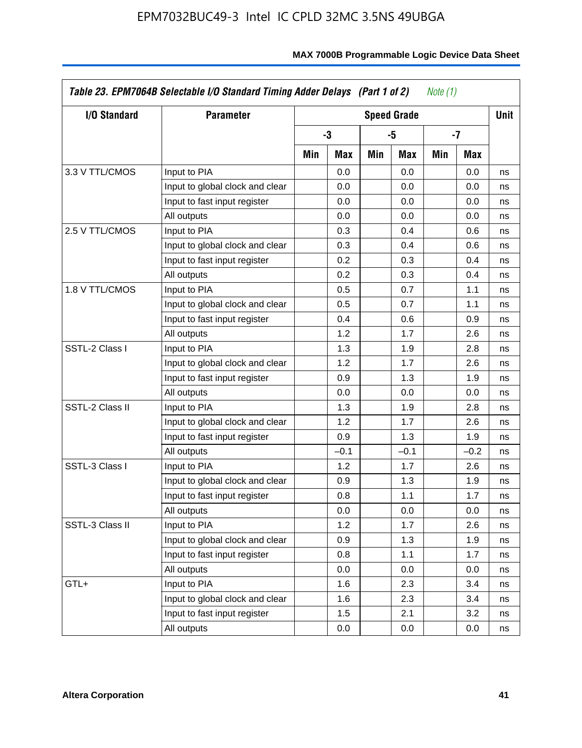| I/O Standard    | <b>Parameter</b>                |     |        |     | <b>Speed Grade</b> |     |        | Unit |
|-----------------|---------------------------------|-----|--------|-----|--------------------|-----|--------|------|
|                 |                                 |     | $-3$   |     | -5                 |     | -7     |      |
|                 |                                 | Min | Max    | Min | Max                | Min | Max    |      |
| 3.3 V TTL/CMOS  | Input to PIA                    |     | 0.0    |     | 0.0                |     | 0.0    | ns   |
|                 | Input to global clock and clear |     | 0.0    |     | 0.0                |     | 0.0    | ns   |
|                 | Input to fast input register    |     | 0.0    |     | 0.0                |     | 0.0    | ns   |
|                 | All outputs                     |     | 0.0    |     | 0.0                |     | 0.0    | ns   |
| 2.5 V TTL/CMOS  | Input to PIA                    |     | 0.3    |     | 0.4                |     | 0.6    | ns   |
|                 | Input to global clock and clear |     | 0.3    |     | 0.4                |     | 0.6    | ns   |
|                 | Input to fast input register    |     | 0.2    |     | 0.3                |     | 0.4    | ns   |
|                 | All outputs                     |     | 0.2    |     | 0.3                |     | 0.4    | ns   |
| 1.8 V TTL/CMOS  | Input to PIA                    |     | 0.5    |     | 0.7                |     | 1.1    | ns   |
|                 | Input to global clock and clear |     | 0.5    |     | 0.7                |     | 1.1    | ns   |
|                 | Input to fast input register    |     | 0.4    |     | 0.6                |     | 0.9    | ns   |
|                 | All outputs                     |     | 1.2    |     | 1.7                |     | 2.6    | ns   |
| SSTL-2 Class I  | Input to PIA                    |     | 1.3    |     | 1.9                |     | 2.8    | ns   |
|                 | Input to global clock and clear |     | 1.2    |     | 1.7                |     | 2.6    | ns   |
|                 | Input to fast input register    |     | 0.9    |     | 1.3                |     | 1.9    | ns   |
|                 | All outputs                     |     | 0.0    |     | 0.0                |     | 0.0    | ns   |
| SSTL-2 Class II | Input to PIA                    |     | 1.3    |     | 1.9                |     | 2.8    | ns   |
|                 | Input to global clock and clear |     | 1.2    |     | 1.7                |     | 2.6    | ns   |
|                 | Input to fast input register    |     | 0.9    |     | 1.3                |     | 1.9    | ns   |
|                 | All outputs                     |     | $-0.1$ |     | $-0.1$             |     | $-0.2$ | ns   |
| SSTL-3 Class I  | Input to PIA                    |     | 1.2    |     | 1.7                |     | 2.6    | ns   |
|                 | Input to global clock and clear |     | 0.9    |     | 1.3                |     | 1.9    | ns   |
|                 | Input to fast input register    |     | 0.8    |     | 1.1                |     | 1.7    | ns   |
|                 | All outputs                     |     | 0.0    |     | 0.0                |     | 0.0    | ns   |
| SSTL-3 Class II | Input to PIA                    |     | 1.2    |     | 1.7                |     | 2.6    | ns   |
|                 | Input to global clock and clear |     | 0.9    |     | 1.3                |     | 1.9    | ns   |
|                 | Input to fast input register    |     | 0.8    |     | 1.1                |     | 1.7    | ns   |
|                 | All outputs                     |     | 0.0    |     | 0.0                |     | 0.0    | ns   |
| GTL+            | Input to PIA                    |     | 1.6    |     | 2.3                |     | 3.4    | ns   |
|                 | Input to global clock and clear |     | 1.6    |     | 2.3                |     | 3.4    | ns   |
|                 | Input to fast input register    |     | 1.5    |     | 2.1                |     | 3.2    | ns   |
|                 | All outputs                     |     | 0.0    |     | 0.0                |     | 0.0    | ns   |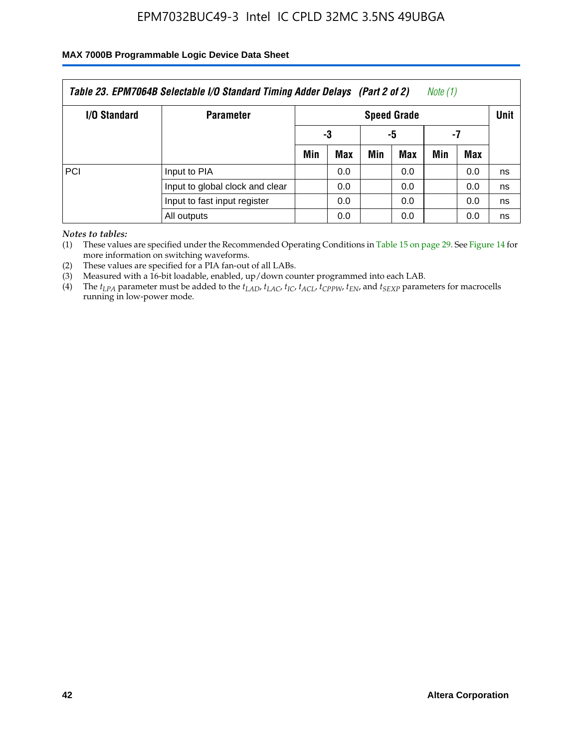### **MAX 7000B Programmable Logic Device Data Sheet**

| Note (1)<br>Table 23. EPM7064B Selectable I/O Standard Timing Adder Delays (Part 2 of 2) |                                 |                   |                    |  |     |     |     |    |  |  |
|------------------------------------------------------------------------------------------|---------------------------------|-------------------|--------------------|--|-----|-----|-----|----|--|--|
| <b>I/O Standard</b>                                                                      | <b>Parameter</b>                |                   | <b>Speed Grade</b> |  |     |     |     |    |  |  |
|                                                                                          |                                 | -5<br>-7<br>-3    |                    |  |     |     |     |    |  |  |
|                                                                                          |                                 | Min               | Max                |  | Max | Min | Max |    |  |  |
| PCI                                                                                      | Input to PIA                    |                   | 0.0                |  | 0.0 |     | 0.0 | ns |  |  |
|                                                                                          | Input to global clock and clear |                   | 0.0                |  | 0.0 |     | 0.0 | ns |  |  |
|                                                                                          | Input to fast input register    | 0.0<br>0.0<br>0.0 |                    |  |     |     | ns  |    |  |  |
|                                                                                          | All outputs                     |                   | 0.0                |  | 0.0 |     | 0.0 | ns |  |  |

*Notes to tables:*

(1) These values are specified under the Recommended Operating Conditions in Table 15 on page 29. See Figure 14 for more information on switching waveforms.

(2) These values are specified for a PIA fan-out of all LABs.

(3) Measured with a 16-bit loadable, enabled, up/down counter programmed into each LAB.

(4) The  $t_{LPA}$  parameter must be added to the  $t_{LAD}$ ,  $t_{LAC}$ ,  $t_{IC}$ ,  $t_{ACL}$ ,  $t_{CPPW}$ ,  $t_{EN}$ , and  $t_{SEXP}$  parameters for macrocells running in low-power mode.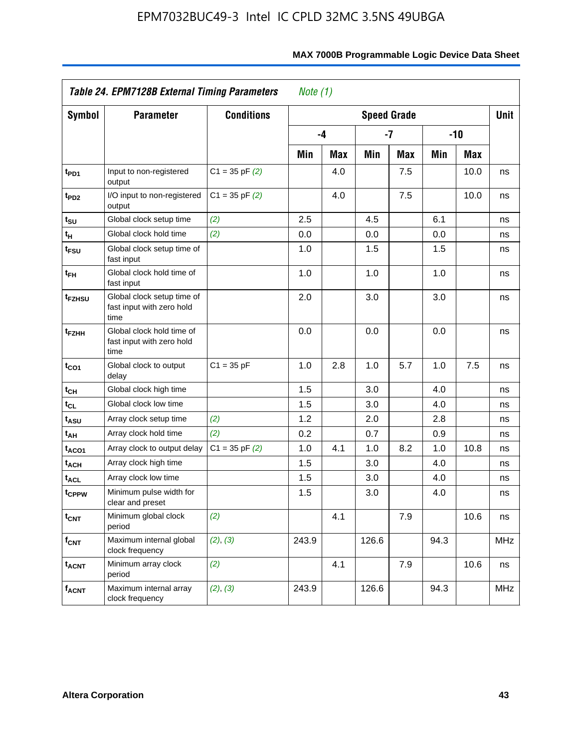|                         | Table 24. EPM7128B External Timing Parameters                   |                    | Note $(1)$ |            |       |                    |      |            |            |
|-------------------------|-----------------------------------------------------------------|--------------------|------------|------------|-------|--------------------|------|------------|------------|
| Symbol                  | <b>Parameter</b>                                                | <b>Conditions</b>  |            |            |       | <b>Speed Grade</b> |      |            | Unit       |
|                         |                                                                 |                    |            | $-4$       |       | -7                 |      | $-10$      |            |
|                         |                                                                 |                    | Min        | <b>Max</b> | Min   | <b>Max</b>         | Min  | <b>Max</b> |            |
| t <sub>PD1</sub>        | Input to non-registered<br>output                               | $C1 = 35$ pF $(2)$ |            | 4.0        |       | 7.5                |      | 10.0       | ns         |
| t <sub>PD2</sub>        | I/O input to non-registered<br>output                           | $C1 = 35$ pF $(2)$ |            | 4.0        |       | 7.5                |      | 10.0       | ns         |
| t <sub>su</sub>         | Global clock setup time                                         | (2)                | 2.5        |            | 4.5   |                    | 6.1  |            | ns         |
| $t_H$                   | Global clock hold time                                          | (2)                | 0.0        |            | 0.0   |                    | 0.0  |            | ns         |
| t <sub>FSU</sub>        | Global clock setup time of<br>fast input                        |                    | 1.0        |            | 1.5   |                    | 1.5  |            | ns         |
| $t_{FH}$                | Global clock hold time of<br>fast input                         |                    | 1.0        |            | 1.0   |                    | 1.0  |            | ns         |
| t <sub>FZHSU</sub>      | Global clock setup time of<br>fast input with zero hold<br>time |                    | 2.0        |            | 3.0   |                    | 3.0  |            | ns         |
| t <sub>FZHH</sub>       | Global clock hold time of<br>fast input with zero hold<br>time  |                    | 0.0        |            | 0.0   |                    | 0.0  |            | ns         |
| $t_{CO1}$               | Global clock to output<br>delay                                 | $C1 = 35 pF$       | 1.0        | 2.8        | 1.0   | 5.7                | 1.0  | 7.5        | ns         |
| t <sub>CH</sub>         | Global clock high time                                          |                    | 1.5        |            | 3.0   |                    | 4.0  |            | ns         |
| $t_{CL}$                | Global clock low time                                           |                    | 1.5        |            | 3.0   |                    | 4.0  |            | ns         |
| t <sub>ASU</sub>        | Array clock setup time                                          | (2)                | 1.2        |            | 2.0   |                    | 2.8  |            | ns         |
| t <sub>АН</sub>         | Array clock hold time                                           | (2)                | 0.2        |            | 0.7   |                    | 0.9  |            | ns         |
| t <sub>ACO1</sub>       | Array clock to output delay                                     | $C1 = 35$ pF $(2)$ | 1.0        | 4.1        | 1.0   | 8.2                | 1.0  | 10.8       | ns         |
| <sup>t</sup> ach        | Array clock high time                                           |                    | 1.5        |            | 3.0   |                    | 4.0  |            | ns         |
| <b>t<sub>ACL</sub></b>  | Array clock low time                                            |                    | 1.5        |            | 3.0   |                    | 4.0  |            | ns         |
| tcPPW                   | Minimum pulse width for<br>clear and preset                     |                    | 1.5        |            | 3.0   |                    | 4.0  |            | ns         |
| $t_{\text{CNT}}$        | Minimum global clock<br>period                                  | (2)                |            | 4.1        |       | 7.9                |      | 10.6       | ns         |
| $f_{\mathsf{CNT}}$      | Maximum internal global<br>clock frequency                      | (2), (3)           | 243.9      |            | 126.6 |                    | 94.3 |            | <b>MHz</b> |
| <b>t<sub>ACNT</sub></b> | Minimum array clock<br>period                                   | (2)                |            | 4.1        |       | 7.9                |      | 10.6       | ns         |
| $f_{ACNT}$              | Maximum internal array<br>clock frequency                       | (2), (3)           | 243.9      |            | 126.6 |                    | 94.3 |            | <b>MHz</b> |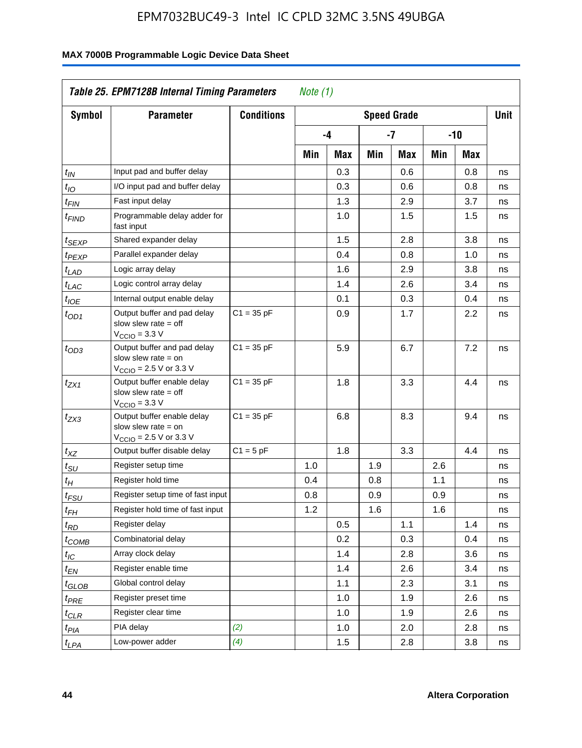| Symbol                        | <b>Parameter</b>                                                                                            | <b>Conditions</b> |     |     |     | <b>Speed Grade</b> |     |       | <b>Unit</b> |
|-------------------------------|-------------------------------------------------------------------------------------------------------------|-------------------|-----|-----|-----|--------------------|-----|-------|-------------|
|                               |                                                                                                             |                   |     | -4  |     | -7                 |     | $-10$ |             |
|                               |                                                                                                             |                   |     |     |     |                    |     |       |             |
|                               |                                                                                                             |                   | Min | Max | Min | Max                | Min | Max   |             |
| $t_{IN}$                      | Input pad and buffer delay                                                                                  |                   |     | 0.3 |     | 0.6                |     | 0.8   | ns          |
| $t_{IO}$                      | I/O input pad and buffer delay                                                                              |                   |     | 0.3 |     | 0.6                |     | 0.8   | ns          |
| $t_{\sf FIN}$                 | Fast input delay                                                                                            |                   |     | 1.3 |     | 2.9                |     | 3.7   | ns          |
| t <sub>FIND</sub>             | Programmable delay adder for<br>fast input                                                                  |                   |     | 1.0 |     | 1.5                |     | 1.5   | ns          |
| t <sub>SEXP</sub>             | Shared expander delay                                                                                       |                   |     | 1.5 |     | 2.8                |     | 3.8   | ns          |
| t <sub>PEXP</sub>             | Parallel expander delay                                                                                     |                   |     | 0.4 |     | 0.8                |     | 1.0   | ns          |
| t <sub>LAD</sub>              | Logic array delay                                                                                           |                   |     | 1.6 |     | 2.9                |     | 3.8   | ns          |
| $t_{LAC}$                     | Logic control array delay                                                                                   |                   |     | 1.4 |     | 2.6                |     | 3.4   | ns          |
| $t_{IOE}$                     | Internal output enable delay                                                                                |                   |     | 0.1 |     | 0.3                |     | 0.4   | ns          |
| $t_{OD1}$                     | Output buffer and pad delay<br>slow slew rate $=$ off<br>$V_{\text{CCIO}} = 3.3 V$                          | $C1 = 35 pF$      |     | 0.9 |     | 1.7                |     | 2.2   | ns          |
| $t_{OD3}$                     | Output buffer and pad delay<br>slow slew rate $=$ on<br>$V_{\text{CCIO}} = 2.5 \text{ V or } 3.3 \text{ V}$ | $C1 = 35 pF$      |     | 5.9 |     | 6.7                |     | 7.2   | ns          |
| tzx1                          | Output buffer enable delay<br>slow slew rate $=$ off<br>$V_{\text{CCIO}} = 3.3 \text{ V}$                   | $C1 = 35 pF$      |     | 1.8 |     | 3.3                |     | 4.4   | ns          |
| $t_{ZX3}$                     | Output buffer enable delay<br>slow slew rate $=$ on<br>$V_{\text{CCIO}} = 2.5 \text{ V or } 3.3 \text{ V}$  | $C1 = 35 pF$      |     | 6.8 |     | 8.3                |     | 9.4   | ns          |
| $t_{XZ}$                      | Output buffer disable delay                                                                                 | $C1 = 5pF$        |     | 1.8 |     | 3.3                |     | 4.4   | ns          |
| $t_{\scriptstyle\text{SU}}$   | Register setup time                                                                                         |                   | 1.0 |     | 1.9 |                    | 2.6 |       | ns          |
| $t_H$                         | Register hold time                                                                                          |                   | 0.4 |     | 0.8 |                    | 1.1 |       | ns          |
| $t_{FSU}$                     | Register setup time of fast input                                                                           |                   | 0.8 |     | 0.9 |                    | 0.9 |       | ns          |
| $t_{FH}$                      | Register hold time of fast input                                                                            |                   | 1.2 |     | 1.6 |                    | 1.6 |       | ns          |
| $t_{RD}$                      | Register delay                                                                                              |                   |     | 0.5 |     | 1.1                |     | 1.4   | ns          |
| $t_{\rm COMB}$                | Combinatorial delay                                                                                         |                   |     | 0.2 |     | 0.3                |     | 0.4   | ns          |
| $t_{\mathcal{IC}}$            | Array clock delay                                                                                           |                   |     | 1.4 |     | 2.8                |     | 3.6   | ns          |
| $t_{EN}$                      | Register enable time                                                                                        |                   |     | 1.4 |     | 2.6                |     | 3.4   | ns          |
| $t_{\scriptstyle\text{GLOB}}$ | Global control delay                                                                                        |                   |     | 1.1 |     | 2.3                |     | 3.1   | ns          |
| $t_{PRE}$                     | Register preset time                                                                                        |                   |     | 1.0 |     | 1.9                |     | 2.6   | ns          |
| ${}^t\rm{CLR}$                | Register clear time                                                                                         |                   |     | 1.0 |     | 1.9                |     | 2.6   | ns          |
| $t_{PIA}$                     | PIA delay                                                                                                   | (2)               |     | 1.0 |     | 2.0                |     | 2.8   | ns          |
| $t_{LPA}$                     | Low-power adder                                                                                             | (4)               |     | 1.5 |     | 2.8                |     | 3.8   | ns          |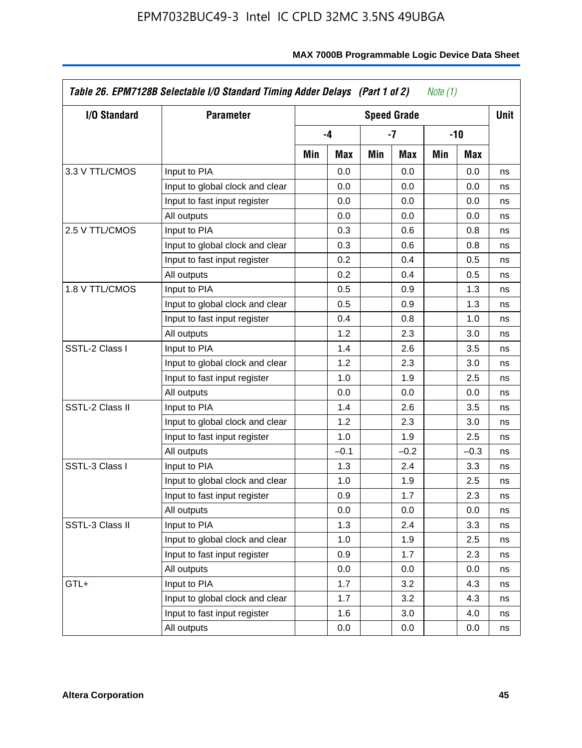| I/O Standard    | <b>Parameter</b>                |     |        |     | <b>Speed Grade</b> |     |        | <b>Unit</b> |
|-----------------|---------------------------------|-----|--------|-----|--------------------|-----|--------|-------------|
|                 |                                 |     | -4     |     | $-7$               |     | $-10$  |             |
|                 |                                 | Min | Max    | Min | Max                | Min | Max    |             |
| 3.3 V TTL/CMOS  | Input to PIA                    |     | 0.0    |     | 0.0                |     | 0.0    | ns          |
|                 | Input to global clock and clear |     | 0.0    |     | 0.0                |     | 0.0    | ns          |
|                 | Input to fast input register    |     | 0.0    |     | 0.0                |     | 0.0    | ns          |
|                 | All outputs                     |     | 0.0    |     | 0.0                |     | 0.0    | ns          |
| 2.5 V TTL/CMOS  | Input to PIA                    |     | 0.3    |     | 0.6                |     | 0.8    | ns          |
|                 | Input to global clock and clear |     | 0.3    |     | 0.6                |     | 0.8    | ns          |
|                 | Input to fast input register    |     | 0.2    |     | 0.4                |     | 0.5    | ns          |
|                 | All outputs                     |     | 0.2    |     | 0.4                |     | 0.5    | ns          |
| 1.8 V TTL/CMOS  | Input to PIA                    |     | 0.5    |     | 0.9                |     | 1.3    | ns          |
|                 | Input to global clock and clear |     | 0.5    |     | 0.9                |     | 1.3    | ns          |
|                 | Input to fast input register    |     | 0.4    |     | 0.8                |     | 1.0    | ns          |
|                 | All outputs                     |     | 1.2    |     | 2.3                |     | 3.0    | ns          |
| SSTL-2 Class I  | Input to PIA                    |     | 1.4    |     | 2.6                |     | 3.5    | ns          |
|                 | Input to global clock and clear |     | 1.2    |     | 2.3                |     | 3.0    | ns          |
|                 | Input to fast input register    |     | 1.0    |     | 1.9                |     | 2.5    | ns          |
|                 | All outputs                     |     | 0.0    |     | 0.0                |     | 0.0    | ns          |
| SSTL-2 Class II | Input to PIA                    |     | 1.4    |     | 2.6                |     | 3.5    | ns          |
|                 | Input to global clock and clear |     | 1.2    |     | 2.3                |     | 3.0    | ns          |
|                 | Input to fast input register    |     | 1.0    |     | 1.9                |     | 2.5    | ns          |
|                 | All outputs                     |     | $-0.1$ |     | $-0.2$             |     | $-0.3$ | ns          |
| SSTL-3 Class I  | Input to PIA                    |     | 1.3    |     | 2.4                |     | 3.3    | ns          |
|                 | Input to global clock and clear |     | 1.0    |     | 1.9                |     | 2.5    | ns          |
|                 | Input to fast input register    |     | 0.9    |     | 1.7                |     | 2.3    | ns          |
|                 | All outputs                     |     | 0.0    |     | 0.0                |     | 0.0    | ns          |
| SSTL-3 Class II | Input to PIA                    |     | 1.3    |     | 2.4                |     | 3.3    | ns          |
|                 | Input to global clock and clear |     | 1.0    |     | 1.9                |     | 2.5    | ns          |
|                 | Input to fast input register    |     | 0.9    |     | 1.7                |     | 2.3    | ns          |
|                 | All outputs                     |     | 0.0    |     | 0.0                |     | 0.0    | ns          |
| GTL+            | Input to PIA                    |     | 1.7    |     | 3.2                |     | 4.3    | ns          |
|                 | Input to global clock and clear |     | 1.7    |     | 3.2                |     | 4.3    | ns          |
|                 | Input to fast input register    |     | 1.6    |     | 3.0                |     | 4.0    | ns          |
|                 | All outputs                     |     | 0.0    |     | 0.0                |     | 0.0    | ns          |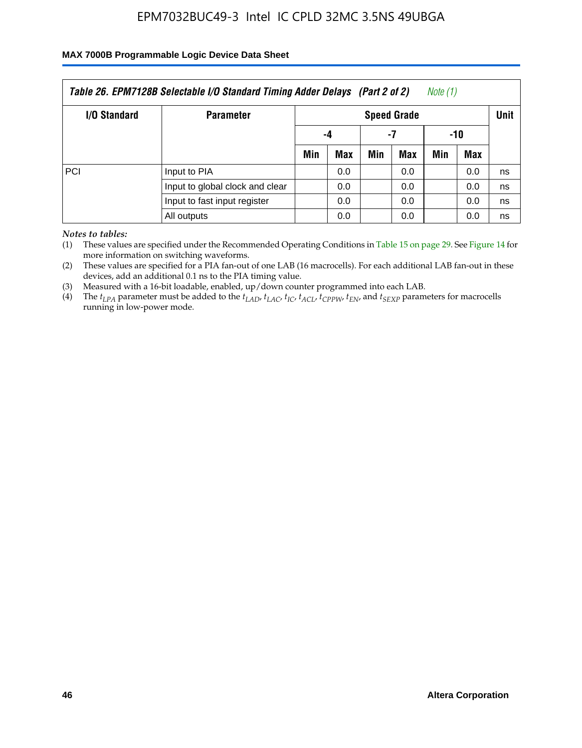### **MAX 7000B Programmable Logic Device Data Sheet**

| Table 26. EPM7128B Selectable I/O Standard Timing Adder Delays (Part 2 of 2)<br>Note (1) |                                 |                    |     |     |     |     |     |             |
|------------------------------------------------------------------------------------------|---------------------------------|--------------------|-----|-----|-----|-----|-----|-------------|
| I/O Standard                                                                             | <b>Parameter</b>                | <b>Speed Grade</b> |     |     |     |     |     | <b>Unit</b> |
|                                                                                          |                                 | -4                 |     | -7  |     | -10 |     |             |
|                                                                                          |                                 | Min                | Max | Min | Max | Min | Max |             |
| PCI                                                                                      | Input to PIA                    |                    | 0.0 |     | 0.0 |     | 0.0 | ns          |
|                                                                                          | Input to global clock and clear |                    | 0.0 |     | 0.0 |     | 0.0 | ns          |
|                                                                                          | Input to fast input register    |                    | 0.0 |     | 0.0 |     | 0.0 | ns          |
|                                                                                          | All outputs                     |                    | 0.0 |     | 0.0 |     | 0.0 | ns          |

*Notes to tables:*

(1) These values are specified under the Recommended Operating Conditions in Table 15 on page 29. See Figure 14 for more information on switching waveforms.

(2) These values are specified for a PIA fan-out of one LAB (16 macrocells). For each additional LAB fan-out in these devices, add an additional 0.1 ns to the PIA timing value.

(3) Measured with a 16-bit loadable, enabled, up/down counter programmed into each LAB.

(4) The  $t_{LPA}$  parameter must be added to the  $t_{LAP}$ ,  $t_{LAC}$ ,  $t_{IC}$ ,  $t_{ACL}$ ,  $t_{CPPW}$ ,  $t_{EN}$ , and  $t_{SEXP}$  parameters for macrocells running in low-power mode.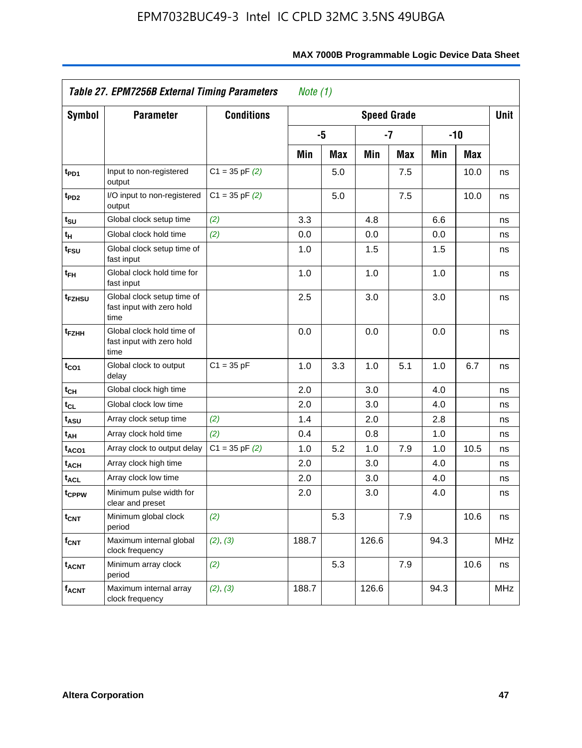|                              | Table 27. EPM7256B External Timing Parameters<br><i>Note</i> $(1)$ |                    |       |     |                    |      |       |            |            |
|------------------------------|--------------------------------------------------------------------|--------------------|-------|-----|--------------------|------|-------|------------|------------|
| <b>Symbol</b>                | <b>Parameter</b>                                                   | <b>Conditions</b>  |       |     | <b>Speed Grade</b> |      |       |            | Unit       |
|                              |                                                                    |                    |       | -5  |                    | $-7$ | $-10$ |            |            |
|                              |                                                                    |                    | Min   | Max | Min                | Max  | Min   | <b>Max</b> |            |
| t <sub>PD1</sub>             | Input to non-registered<br>output                                  | $C1 = 35$ pF $(2)$ |       | 5.0 |                    | 7.5  |       | 10.0       | ns         |
| t <sub>PD2</sub>             | I/O input to non-registered<br>output                              | $C1 = 35$ pF $(2)$ |       | 5.0 |                    | 7.5  |       | 10.0       | ns         |
| $t_{\rm SU}$                 | Global clock setup time                                            | (2)                | 3.3   |     | 4.8                |      | 6.6   |            | ns         |
| t <sub>Η</sub>               | Global clock hold time                                             | (2)                | 0.0   |     | 0.0                |      | 0.0   |            | ns         |
| t <sub>FSU</sub>             | Global clock setup time of<br>fast input                           |                    | 1.0   |     | 1.5                |      | 1.5   |            | ns         |
| $t_{FH}$                     | Global clock hold time for<br>fast input                           |                    | 1.0   |     | 1.0                |      | 1.0   |            | ns         |
| t <sub>FZHSU</sub>           | Global clock setup time of<br>fast input with zero hold<br>time    |                    | 2.5   |     | 3.0                |      | 3.0   |            | ns         |
| t <sub>FZHH</sub>            | Global clock hold time of<br>fast input with zero hold<br>time     |                    | 0.0   |     | 0.0                |      | 0.0   |            | ns         |
| $t_{CO1}$                    | Global clock to output<br>delay                                    | $C1 = 35 pF$       | 1.0   | 3.3 | 1.0                | 5.1  | 1.0   | 6.7        | ns         |
| $t_{CH}$                     | Global clock high time                                             |                    | 2.0   |     | 3.0                |      | 4.0   |            | ns         |
| $\mathfrak{t}_{\texttt{CL}}$ | Global clock low time                                              |                    | 2.0   |     | 3.0                |      | 4.0   |            | ns         |
| t <sub>ASU</sub>             | Array clock setup time                                             | (2)                | 1.4   |     | 2.0                |      | 2.8   |            | ns         |
| t <sub>АН</sub>              | Array clock hold time                                              | (2)                | 0.4   |     | 0.8                |      | 1.0   |            | ns         |
| t <sub>ACO1</sub>            | Array clock to output delay                                        | $C1 = 35$ pF $(2)$ | 1.0   | 5.2 | 1.0                | 7.9  | 1.0   | 10.5       | ns         |
| t <sub>ACH</sub>             | Array clock high time                                              |                    | 2.0   |     | 3.0                |      | 4.0   |            | ns         |
| <b>t<sub>ACL</sub></b>       | Array clock low time                                               |                    | 2.0   |     | 3.0                |      | 4.0   |            | ns         |
| t <sub>CPPW</sub>            | Minimum pulse width for<br>clear and preset                        |                    | 2.0   |     | 3.0                |      | 4.0   |            | ns         |
| t <sub>CNT</sub>             | Minimum global clock<br>period                                     | (2)                |       | 5.3 |                    | 7.9  |       | 10.6       | ns         |
| $f_{CNT}$                    | Maximum internal global<br>clock frequency                         | (2), (3)           | 188.7 |     | 126.6              |      | 94.3  |            | <b>MHz</b> |
| $t_{ACNT}$                   | Minimum array clock<br>period                                      | (2)                |       | 5.3 |                    | 7.9  |       | 10.6       | ns         |
| <b>f<sub>ACNT</sub></b>      | Maximum internal array<br>clock frequency                          | (2), (3)           | 188.7 |     | 126.6              |      | 94.3  |            | <b>MHz</b> |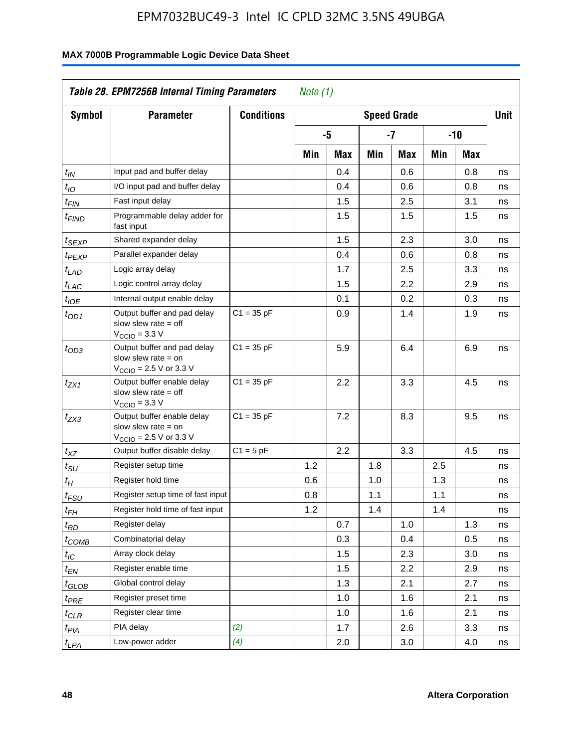| <b>Symbol</b>         | <b>Parameter</b>                                                                                            | <b>Conditions</b> |     |     |     | <b>Speed Grade</b> |     |     | <b>Unit</b> |
|-----------------------|-------------------------------------------------------------------------------------------------------------|-------------------|-----|-----|-----|--------------------|-----|-----|-------------|
|                       |                                                                                                             |                   |     | -5  |     | $-7$               |     | -10 |             |
|                       |                                                                                                             |                   | Min | Max | Min | Max                | Min | Max |             |
| $t_{\mathit{IN}}$     | Input pad and buffer delay                                                                                  |                   |     | 0.4 |     | 0.6                |     | 0.8 | ns          |
| $t_{IO}$              | I/O input pad and buffer delay                                                                              |                   |     | 0.4 |     | 0.6                |     | 0.8 | ns          |
| $t_{\sf FIN}$         | Fast input delay                                                                                            |                   |     | 1.5 |     | 2.5                |     | 3.1 | ns          |
| t <sub>FIND</sub>     | Programmable delay adder for<br>fast input                                                                  |                   |     | 1.5 |     | 1.5                |     | 1.5 | ns          |
| t <sub>SEXP</sub>     | Shared expander delay                                                                                       |                   |     | 1.5 |     | 2.3                |     | 3.0 | ns          |
| t <sub>PEXP</sub>     | Parallel expander delay                                                                                     |                   |     | 0.4 |     | 0.6                |     | 0.8 | ns          |
| t <sub>LAD</sub>      | Logic array delay                                                                                           |                   |     | 1.7 |     | 2.5                |     | 3.3 | ns          |
| t <sub>LAC</sub>      | Logic control array delay                                                                                   |                   |     | 1.5 |     | 2.2                |     | 2.9 | ns          |
| $t_{\mathit{IOE}}$    | Internal output enable delay                                                                                |                   |     | 0.1 |     | 0.2                |     | 0.3 | ns          |
| $t_{OD1}$             | Output buffer and pad delay<br>slow slew rate $=$ off<br>$V_{\text{CCIO}} = 3.3 \text{ V}$                  | $C1 = 35 pF$      |     | 0.9 |     | 1.4                |     | 1.9 | ns          |
| $t_{OD3}$             | Output buffer and pad delay<br>slow slew rate $=$ on<br>$V_{\text{CCIO}} = 2.5 \text{ V or } 3.3 \text{ V}$ | $C1 = 35 pF$      |     | 5.9 |     | 6.4                |     | 6.9 | ns          |
| t <sub>ZX1</sub>      | Output buffer enable delay<br>slow slew rate $=$ off<br>$V_{\text{CCIO}} = 3.3 \text{ V}$                   | $C1 = 35 pF$      |     | 2.2 |     | 3.3                |     | 4.5 | ns          |
| $t_{ZX3}$             | Output buffer enable delay<br>slow slew rate $=$ on<br>$V_{\text{CCIO}} = 2.5 \text{ V or } 3.3 \text{ V}$  | $C1 = 35 pF$      |     | 7.2 |     | 8.3                |     | 9.5 | ns          |
| $t_{XZ}$              | Output buffer disable delay                                                                                 | $C1 = 5pF$        |     | 2.2 |     | 3.3                |     | 4.5 | ns          |
| $t_{\text{SU}}$       | Register setup time                                                                                         |                   | 1.2 |     | 1.8 |                    | 2.5 |     | ns          |
| $t_H$                 | Register hold time                                                                                          |                   | 0.6 |     | 1.0 |                    | 1.3 |     | ns          |
| $t_{FSU}$             | Register setup time of fast input                                                                           |                   | 0.8 |     | 1.1 |                    | 1.1 |     | ns          |
| $t_{FH}$              | Register hold time of fast input                                                                            |                   | 1.2 |     | 1.4 |                    | 1.4 |     | ns          |
| $t_{RD}$              | Register delay                                                                                              |                   |     | 0.7 |     | 1.0                |     | 1.3 | ns          |
| $t_{COMB}$            | Combinatorial delay                                                                                         |                   |     | 0.3 |     | 0.4                |     | 0.5 | ns          |
| $t_{\mathcal{IC}}$    | Array clock delay                                                                                           |                   |     | 1.5 |     | 2.3                |     | 3.0 | ns          |
| $t_{EN}$              | Register enable time                                                                                        |                   |     | 1.5 |     | 2.2                |     | 2.9 | ns          |
| t <sub>GLOB</sub>     | Global control delay                                                                                        |                   |     | 1.3 |     | 2.1                |     | 2.7 | ns          |
| $t_{PRE}$             | Register preset time                                                                                        |                   |     | 1.0 |     | 1.6                |     | 2.1 | ns          |
| ${}^t\rm{CLR}$        | Register clear time                                                                                         |                   |     | 1.0 |     | 1.6                |     | 2.1 | ns          |
| $t_{PI\underline{A}}$ | PIA delay                                                                                                   | (2)               |     | 1.7 |     | 2.6                |     | 3.3 | ns          |
| $t_{LPA}$             | Low-power adder                                                                                             | (4)               |     | 2.0 |     | 3.0                |     | 4.0 | ns          |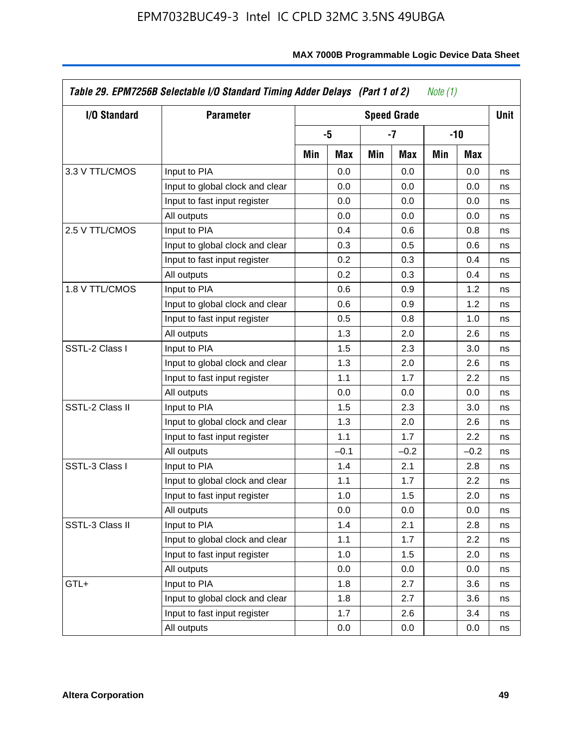| I/O Standard    | <b>Parameter</b>                |     |        |     | <b>Speed Grade</b> |     |        | <b>Unit</b> |
|-----------------|---------------------------------|-----|--------|-----|--------------------|-----|--------|-------------|
|                 |                                 |     | -5     |     | $-7$               |     | $-10$  |             |
|                 |                                 | Min | Max    | Min | Max                | Min | Max    |             |
| 3.3 V TTL/CMOS  | Input to PIA                    |     | 0.0    |     | 0.0                |     | 0.0    | ns          |
|                 | Input to global clock and clear |     | 0.0    |     | 0.0                |     | 0.0    | ns          |
|                 | Input to fast input register    |     | 0.0    |     | 0.0                |     | 0.0    | ns          |
|                 | All outputs                     |     | 0.0    |     | 0.0                |     | 0.0    | ns          |
| 2.5 V TTL/CMOS  | Input to PIA                    |     | 0.4    |     | 0.6                |     | 0.8    | ns          |
|                 | Input to global clock and clear |     | 0.3    |     | 0.5                |     | 0.6    | ns          |
|                 | Input to fast input register    |     | 0.2    |     | 0.3                |     | 0.4    | ns          |
|                 | All outputs                     |     | 0.2    |     | 0.3                |     | 0.4    | ns          |
| 1.8 V TTL/CMOS  | Input to PIA                    |     | 0.6    |     | 0.9                |     | 1.2    | ns          |
|                 | Input to global clock and clear |     | 0.6    |     | 0.9                |     | 1.2    | ns          |
|                 | Input to fast input register    |     | 0.5    |     | 0.8                |     | 1.0    | ns          |
|                 | All outputs                     |     | 1.3    |     | 2.0                |     | 2.6    | ns          |
| SSTL-2 Class I  | Input to PIA                    |     | 1.5    |     | 2.3                |     | 3.0    | ns          |
|                 | Input to global clock and clear |     | 1.3    |     | 2.0                |     | 2.6    | ns          |
|                 | Input to fast input register    |     | 1.1    |     | 1.7                |     | 2.2    | ns          |
|                 | All outputs                     |     | 0.0    |     | 0.0                |     | 0.0    | ns          |
| SSTL-2 Class II | Input to PIA                    |     | 1.5    |     | 2.3                |     | 3.0    | ns          |
|                 | Input to global clock and clear |     | 1.3    |     | 2.0                |     | 2.6    | ns          |
|                 | Input to fast input register    |     | 1.1    |     | 1.7                |     | 2.2    | ns          |
|                 | All outputs                     |     | $-0.1$ |     | $-0.2$             |     | $-0.2$ | ns          |
| SSTL-3 Class I  | Input to PIA                    |     | 1.4    |     | 2.1                |     | 2.8    | ns          |
|                 | Input to global clock and clear |     | 1.1    |     | 1.7                |     | 2.2    | ns          |
|                 | Input to fast input register    |     | 1.0    |     | 1.5                |     | 2.0    | ns          |
|                 | All outputs                     |     | 0.0    |     | 0.0                |     | 0.0    | ns          |
| SSTL-3 Class II | Input to PIA                    |     | 1.4    |     | 2.1                |     | 2.8    | ns          |
|                 | Input to global clock and clear |     | 1.1    |     | 1.7                |     | 2.2    | ns          |
|                 | Input to fast input register    |     | 1.0    |     | 1.5                |     | 2.0    | ns          |
|                 | All outputs                     |     | 0.0    |     | 0.0                |     | 0.0    | ns          |
| GTL+            | Input to PIA                    |     | 1.8    |     | 2.7                |     | 3.6    | ns          |
|                 | Input to global clock and clear |     | 1.8    |     | 2.7                |     | 3.6    | ns          |
|                 | Input to fast input register    |     | 1.7    |     | 2.6                |     | 3.4    | ns          |
|                 | All outputs                     |     | 0.0    |     | 0.0                |     | 0.0    | ns          |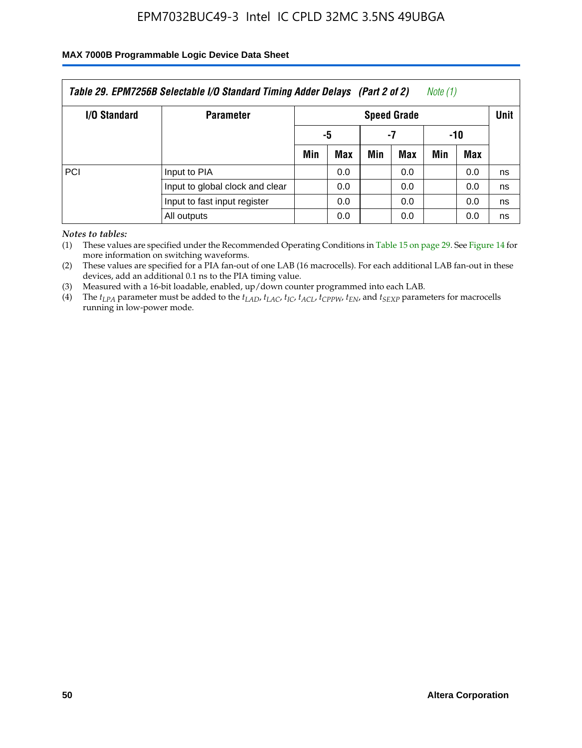### **MAX 7000B Programmable Logic Device Data Sheet**

| Table 29. EPM7256B Selectable I/O Standard Timing Adder Delays (Part 2 of 2)<br>Note (1) |                                 |                    |     |     |     |     |     |             |
|------------------------------------------------------------------------------------------|---------------------------------|--------------------|-----|-----|-----|-----|-----|-------------|
| <b>I/O Standard</b>                                                                      | <b>Parameter</b>                | <b>Speed Grade</b> |     |     |     |     |     | <b>Unit</b> |
|                                                                                          |                                 |                    | -5  |     | -7  | -10 |     |             |
|                                                                                          |                                 | Min                | Max | Min | Max | Min | Max |             |
| PCI                                                                                      | Input to PIA                    |                    | 0.0 |     | 0.0 |     | 0.0 | ns          |
|                                                                                          | Input to global clock and clear |                    | 0.0 |     | 0.0 |     | 0.0 | ns          |
|                                                                                          | Input to fast input register    |                    | 0.0 |     | 0.0 |     | 0.0 | ns          |
|                                                                                          | All outputs                     |                    | 0.0 |     | 0.0 |     | 0.0 | ns          |

*Notes to tables:*

(1) These values are specified under the Recommended Operating Conditions in Table 15 on page 29. See Figure 14 for more information on switching waveforms.

(2) These values are specified for a PIA fan-out of one LAB (16 macrocells). For each additional LAB fan-out in these devices, add an additional 0.1 ns to the PIA timing value.

(3) Measured with a 16-bit loadable, enabled, up/down counter programmed into each LAB.

(4) The  $t_{LPA}$  parameter must be added to the  $t_{LAP}$ ,  $t_{LAP}$ ,  $t_{LCP}$ ,  $t_{ACL}$ ,  $t_{CPPW}$ ,  $t_{EN}$ , and  $t_{SEXP}$  parameters for macrocells running in low-power mode.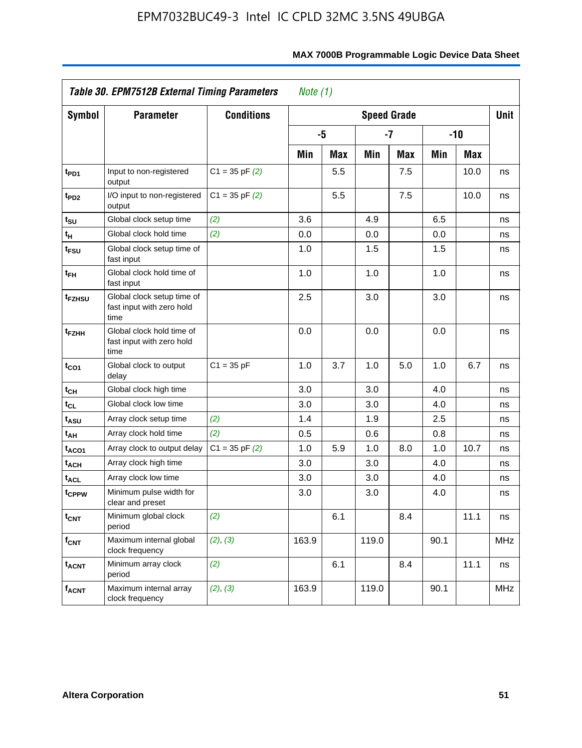| Table 30. EPM7512B External Timing Parameters | Note $(1)$                                                      |                    |       |            |       |                    |      |       |            |
|-----------------------------------------------|-----------------------------------------------------------------|--------------------|-------|------------|-------|--------------------|------|-------|------------|
| <b>Symbol</b>                                 | <b>Parameter</b>                                                | <b>Conditions</b>  |       |            |       | <b>Speed Grade</b> |      |       | Unit       |
|                                               |                                                                 |                    |       | -5         |       | -7                 |      | $-10$ |            |
|                                               |                                                                 |                    | Min   | <b>Max</b> | Min   | Max                | Min  | Max   |            |
| t <sub>PD1</sub>                              | Input to non-registered<br>output                               | $C1 = 35$ pF $(2)$ |       | 5.5        |       | 7.5                |      | 10.0  | ns         |
| t <sub>PD2</sub>                              | I/O input to non-registered<br>output                           | $C1 = 35$ pF $(2)$ |       | 5.5        |       | 7.5                |      | 10.0  | ns         |
| t <sub>su</sub>                               | Global clock setup time                                         | (2)                | 3.6   |            | 4.9   |                    | 6.5  |       | ns         |
| $\mathfrak{t}_{\mathsf{H}}$                   | Global clock hold time                                          | (2)                | 0.0   |            | 0.0   |                    | 0.0  |       | ns         |
| t <sub>FSU</sub>                              | Global clock setup time of<br>fast input                        |                    | 1.0   |            | 1.5   |                    | 1.5  |       | ns         |
| $t_{FH}$                                      | Global clock hold time of<br>fast input                         |                    | 1.0   |            | 1.0   |                    | 1.0  |       | ns         |
| t <sub>FZHSU</sub>                            | Global clock setup time of<br>fast input with zero hold<br>time |                    | 2.5   |            | 3.0   |                    | 3.0  |       | ns         |
| t <sub>FZHH</sub>                             | Global clock hold time of<br>fast input with zero hold<br>time  |                    | 0.0   |            | 0.0   |                    | 0.0  |       | ns         |
| $t_{CO1}$                                     | Global clock to output<br>delay                                 | $C1 = 35 pF$       | 1.0   | 3.7        | 1.0   | 5.0                | 1.0  | 6.7   | ns         |
| $t_{\text{CH}}$                               | Global clock high time                                          |                    | 3.0   |            | 3.0   |                    | 4.0  |       | ns         |
| $t_{CL}$                                      | Global clock low time                                           |                    | 3.0   |            | 3.0   |                    | 4.0  |       | ns         |
| t <sub>ASU</sub>                              | Array clock setup time                                          | (2)                | 1.4   |            | 1.9   |                    | 2.5  |       | ns         |
| t <sub>AH</sub>                               | Array clock hold time                                           | (2)                | 0.5   |            | 0.6   |                    | 0.8  |       | ns         |
| t <sub>ACO1</sub>                             | Array clock to output delay                                     | $C1 = 35$ pF $(2)$ | 1.0   | 5.9        | 1.0   | 8.0                | 1.0  | 10.7  | ns         |
| t <sub>ACH</sub>                              | Array clock high time                                           |                    | 3.0   |            | 3.0   |                    | 4.0  |       | ns         |
| <b>t<sub>ACL</sub></b>                        | Array clock low time                                            |                    | 3.0   |            | 3.0   |                    | 4.0  |       | ns         |
| tcppw                                         | Minimum pulse width for<br>clear and preset                     |                    | 3.0   |            | 3.0   |                    | 4.0  |       | ns         |
| $t_{\text{CNT}}$                              | Minimum global clock<br>period                                  | (2)                |       | 6.1        |       | 8.4                |      | 11.1  | ns         |
| $f_{\text{CNT}}$                              | Maximum internal global<br>clock frequency                      | (2), (3)           | 163.9 |            | 119.0 |                    | 90.1 |       | <b>MHz</b> |
| <b>t<sub>ACNT</sub></b>                       | Minimum array clock<br>period                                   | (2)                |       | 6.1        |       | 8.4                |      | 11.1  | ns         |
| <b>f<sub>ACNT</sub></b>                       | Maximum internal array<br>clock frequency                       | (2), (3)           | 163.9 |            | 119.0 |                    | 90.1 |       | <b>MHz</b> |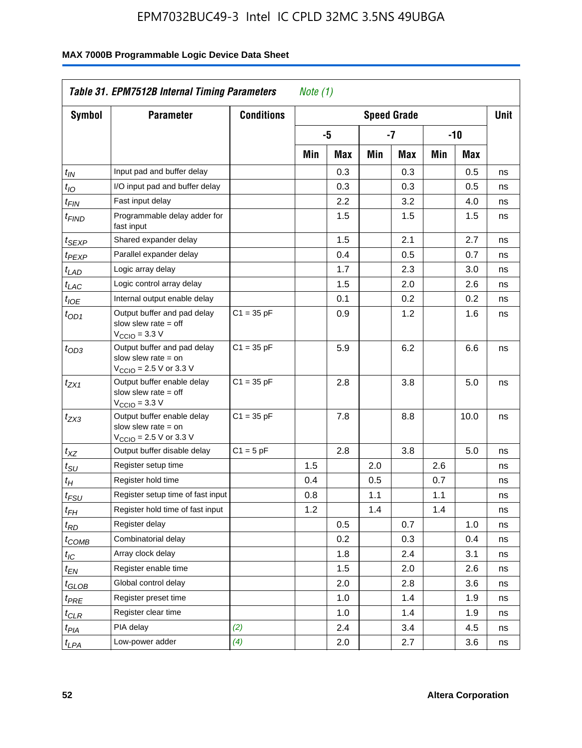|                               | Table 31. EPM7512B Internal Timing Parameters                                                               |                   | Note $(1)$ |     |     |                    |     |       |             |
|-------------------------------|-------------------------------------------------------------------------------------------------------------|-------------------|------------|-----|-----|--------------------|-----|-------|-------------|
| Symbol                        | <b>Parameter</b>                                                                                            | <b>Conditions</b> |            |     |     | <b>Speed Grade</b> |     |       | <b>Unit</b> |
|                               |                                                                                                             |                   |            | -5  |     | -7                 |     | $-10$ |             |
|                               |                                                                                                             |                   | Min        | Max | Min | Max                | Min | Max   |             |
| $t_{IN}$                      | Input pad and buffer delay                                                                                  |                   |            | 0.3 |     | 0.3                |     | 0.5   | ns          |
| $t_{IO}$                      | I/O input pad and buffer delay                                                                              |                   |            | 0.3 |     | 0.3                |     | 0.5   | ns          |
| $t_{\sf FIN}$                 | Fast input delay                                                                                            |                   |            | 2.2 |     | 3.2                |     | 4.0   | ns          |
| t <sub>FIND</sub>             | Programmable delay adder for<br>fast input                                                                  |                   |            | 1.5 |     | 1.5                |     | 1.5   | ns          |
| t <sub>SEXP</sub>             | Shared expander delay                                                                                       |                   |            | 1.5 |     | 2.1                |     | 2.7   | ns          |
| t <sub>PEXP</sub>             | Parallel expander delay                                                                                     |                   |            | 0.4 |     | 0.5                |     | 0.7   | ns          |
| t <sub>LAD</sub>              | Logic array delay                                                                                           |                   |            | 1.7 |     | 2.3                |     | 3.0   | ns          |
| $t_{LAC}$                     | Logic control array delay                                                                                   |                   |            | 1.5 |     | 2.0                |     | 2.6   | ns          |
| $t_{IOE}$                     | Internal output enable delay                                                                                |                   |            | 0.1 |     | 0.2                |     | 0.2   | ns          |
| $t_{OD1}$                     | Output buffer and pad delay<br>slow slew rate $=$ off<br>$V_{\text{CCIO}} = 3.3 V$                          | $C1 = 35 pF$      |            | 0.9 |     | 1.2                |     | 1.6   | ns          |
| $t_{OD3}$                     | Output buffer and pad delay<br>slow slew rate $=$ on<br>$V_{\text{CCIO}} = 2.5 \text{ V or } 3.3 \text{ V}$ | $C1 = 35 pF$      |            | 5.9 |     | 6.2                |     | 6.6   | ns          |
| tzx1                          | Output buffer enable delay<br>slow slew rate $=$ off<br>$V_{\text{CCIO}} = 3.3 \text{ V}$                   | $C1 = 35 pF$      |            | 2.8 |     | 3.8                |     | 5.0   | ns          |
| t <sub>ZX3</sub>              | Output buffer enable delay<br>slow slew rate $=$ on<br>$V_{\text{CCIO}} = 2.5 \text{ V or } 3.3 \text{ V}$  | $C1 = 35 pF$      |            | 7.8 |     | 8.8                |     | 10.0  | ns          |
| $t_{\mathsf{XZ}}$             | Output buffer disable delay                                                                                 | $C1 = 5pF$        |            | 2.8 |     | 3.8                |     | 5.0   | ns          |
| $t_{\scriptstyle\text{SU}}$   | Register setup time                                                                                         |                   | 1.5        |     | 2.0 |                    | 2.6 |       | ns          |
| $t_H$                         | Register hold time                                                                                          |                   | 0.4        |     | 0.5 |                    | 0.7 |       | ns          |
| $t_{\mathit{FSU}}$            | Register setup time of fast input                                                                           |                   | 0.8        |     | 1.1 |                    | 1.1 |       | ns          |
| $t_{FH}$                      | Register hold time of fast input                                                                            |                   | 1.2        |     | 1.4 |                    | 1.4 |       | ns          |
| $t_{RD}$                      | Register delay                                                                                              |                   |            | 0.5 |     | 0.7                |     | 1.0   | ns          |
| $t_{\rm COMB}$                | Combinatorial delay                                                                                         |                   |            | 0.2 |     | 0.3                |     | 0.4   | ns          |
| $t_{\mathcal{IC}}$            | Array clock delay                                                                                           |                   |            | 1.8 |     | 2.4                |     | 3.1   | ns          |
| $t_{EN}$                      | Register enable time                                                                                        |                   |            | 1.5 |     | 2.0                |     | 2.6   | ns          |
| $t_{\scriptstyle\text{GLOB}}$ | Global control delay                                                                                        |                   |            | 2.0 |     | 2.8                |     | 3.6   | ns          |
| $t_{PRE}$                     | Register preset time                                                                                        |                   |            | 1.0 |     | 1.4                |     | 1.9   | ns          |
| ${}^t\rm{CLR}$                | Register clear time                                                                                         |                   |            | 1.0 |     | 1.4                |     | 1.9   | ns          |
| $t_{PIA}$                     | PIA delay                                                                                                   | (2)               |            | 2.4 |     | 3.4                |     | 4.5   | ns          |
| $t_{LPA}$                     | Low-power adder                                                                                             | (4)               |            | 2.0 |     | 2.7                |     | 3.6   | ns          |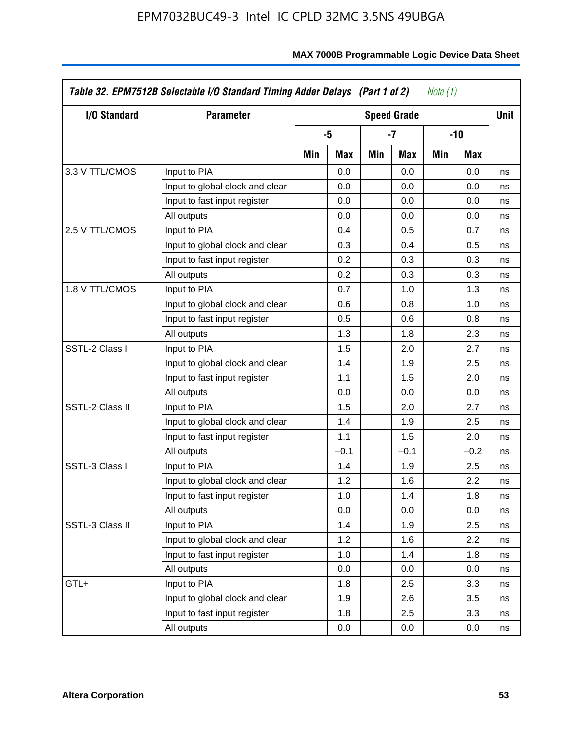| I/O Standard    | <b>Parameter</b>                |     |        |     | <b>Speed Grade</b> |     |        | <b>Unit</b> |
|-----------------|---------------------------------|-----|--------|-----|--------------------|-----|--------|-------------|
|                 |                                 |     | -5     |     | -7                 |     | $-10$  |             |
|                 |                                 | Min | Max    | Min | Max                | Min | Max    |             |
| 3.3 V TTL/CMOS  | Input to PIA                    |     | 0.0    |     | 0.0                |     | 0.0    | ns          |
|                 | Input to global clock and clear |     | 0.0    |     | 0.0                |     | 0.0    | ns          |
|                 | Input to fast input register    |     | 0.0    |     | 0.0                |     | 0.0    | ns          |
|                 | All outputs                     |     | 0.0    |     | 0.0                |     | 0.0    | ns          |
| 2.5 V TTL/CMOS  | Input to PIA                    |     | 0.4    |     | 0.5                |     | 0.7    | ns          |
|                 | Input to global clock and clear |     | 0.3    |     | 0.4                |     | 0.5    | ns          |
|                 | Input to fast input register    |     | 0.2    |     | 0.3                |     | 0.3    | ns          |
|                 | All outputs                     |     | 0.2    |     | 0.3                |     | 0.3    | ns          |
| 1.8 V TTL/CMOS  | Input to PIA                    |     | 0.7    |     | 1.0                |     | 1.3    | ns          |
|                 | Input to global clock and clear |     | 0.6    |     | 0.8                |     | 1.0    | ns          |
|                 | Input to fast input register    |     | 0.5    |     | 0.6                |     | 0.8    | ns          |
|                 | All outputs                     |     | 1.3    |     | 1.8                |     | 2.3    | ns          |
| SSTL-2 Class I  | Input to PIA                    |     | 1.5    |     | 2.0                |     | 2.7    | ns          |
|                 | Input to global clock and clear |     | 1.4    |     | 1.9                |     | 2.5    | ns          |
|                 | Input to fast input register    |     | 1.1    |     | 1.5                |     | 2.0    | ns          |
|                 | All outputs                     |     | 0.0    |     | 0.0                |     | 0.0    | ns          |
| SSTL-2 Class II | Input to PIA                    |     | 1.5    |     | 2.0                |     | 2.7    | ns          |
|                 | Input to global clock and clear |     | 1.4    |     | 1.9                |     | 2.5    | ns          |
|                 | Input to fast input register    |     | 1.1    |     | 1.5                |     | 2.0    | ns          |
|                 | All outputs                     |     | $-0.1$ |     | $-0.1$             |     | $-0.2$ | ns          |
| SSTL-3 Class I  | Input to PIA                    |     | 1.4    |     | 1.9                |     | 2.5    | ns          |
|                 | Input to global clock and clear |     | 1.2    |     | 1.6                |     | 2.2    | ns          |
|                 | Input to fast input register    |     | 1.0    |     | 1.4                |     | 1.8    | ns          |
|                 | All outputs                     |     | 0.0    |     | 0.0                |     | 0.0    | ns          |
| SSTL-3 Class II | Input to PIA                    |     | 1.4    |     | 1.9                |     | 2.5    | ns          |
|                 | Input to global clock and clear |     | 1.2    |     | 1.6                |     | 2.2    | ns          |
|                 | Input to fast input register    |     | 1.0    |     | 1.4                |     | 1.8    | ns          |
|                 | All outputs                     |     | 0.0    |     | 0.0                |     | 0.0    | ns          |
| GTL+            | Input to PIA                    |     | 1.8    |     | 2.5                |     | 3.3    | ns          |
|                 | Input to global clock and clear |     | 1.9    |     | 2.6                |     | 3.5    | ns          |
|                 | Input to fast input register    |     | 1.8    |     | 2.5                |     | 3.3    | ns          |
|                 | All outputs                     |     | 0.0    |     | 0.0                |     | 0.0    | ns          |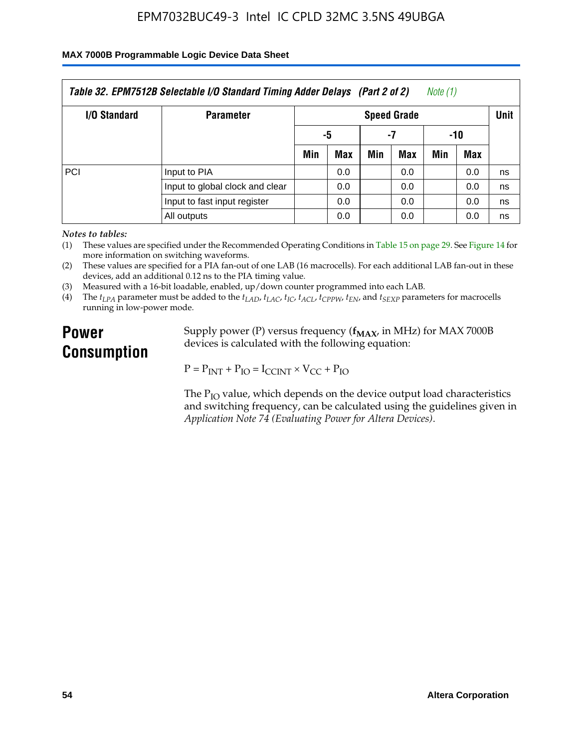#### **MAX 7000B Programmable Logic Device Data Sheet**

| Table 32. EPM7512B Selectable I/O Standard Timing Adder Delays (Part 2 of 2)<br>Note (1) |                                 |                    |     |     |     |     |     |      |
|------------------------------------------------------------------------------------------|---------------------------------|--------------------|-----|-----|-----|-----|-----|------|
| <b>I/O Standard</b>                                                                      | <b>Parameter</b>                | <b>Speed Grade</b> |     |     |     |     |     | Unit |
|                                                                                          |                                 | -5                 |     | -7  |     | -10 |     |      |
|                                                                                          |                                 | Min                | Max | Min | Max | Min | Max |      |
| <b>PCI</b>                                                                               | Input to PIA                    |                    | 0.0 |     | 0.0 |     | 0.0 | ns   |
|                                                                                          | Input to global clock and clear |                    | 0.0 |     | 0.0 |     | 0.0 | ns   |
|                                                                                          | Input to fast input register    |                    | 0.0 |     | 0.0 |     | 0.0 | ns   |
|                                                                                          | All outputs                     |                    | 0.0 |     | 0.0 |     | 0.0 | ns   |

*Notes to tables:*

(1) These values are specified under the Recommended Operating Conditions in Table 15 on page 29. See Figure 14 for more information on switching waveforms.

(2) These values are specified for a PIA fan-out of one LAB (16 macrocells). For each additional LAB fan-out in these devices, add an additional 0.12 ns to the PIA timing value.

(3) Measured with a 16-bit loadable, enabled, up/down counter programmed into each LAB.

(4) The  $t_{LPA}$  parameter must be added to the  $t_{LAD}$ ,  $t_{LAC}$ ,  $t_{IC}$ ,  $t_{ACL}$ ,  $t_{CPPW}$ ,  $t_{EN}$ , and  $t_{SEXP}$  parameters for macrocells running in low-power mode.

# **Power Consumption**

Supply power (P) versus frequency ( $f_{MAX}$ , in MHz) for MAX 7000B devices is calculated with the following equation:

 $P = P_{INT} + P_{IO} = I_{CCINT} \times V_{CC} + P_{IO}$ 

The  $P_{IO}$  value, which depends on the device output load characteristics and switching frequency, can be calculated using the guidelines given in *Application Note 74 (Evaluating Power for Altera Devices)*.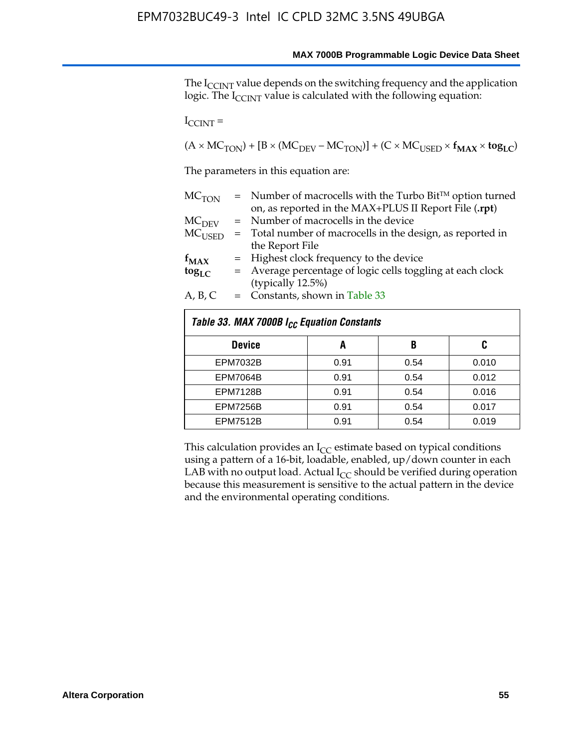The I<sub>CCINT</sub> value depends on the switching frequency and the application logic. The  $I_{\text{CCINT}}$  value is calculated with the following equation:

 $I_{\text{CCINT}} =$ 

 $(A \times MC_{TON}) + [B \times (MC_{DEV} - MC_{TON})] + (C \times MC_{USED} \times f_{MAX} \times tog_{LC})$ 

The parameters in this equation are:

| MC <sub>TON</sub> | $=$ Number of macrocells with the Turbo Bit <sup>TM</sup> option turned |
|-------------------|-------------------------------------------------------------------------|
|                   | on, as reported in the MAX+PLUS II Report File (.rpt)                   |
| MC <sub>DFV</sub> | = Number of macrocells in the device                                    |
| $MC_{\rm{USED}}$  | $=$ Total number of macrocells in the design, as reported in            |
|                   | the Report File                                                         |
| $f_{MAX}$         | = Highest clock frequency to the device                                 |
| $tog_{LC}$        | = Average percentage of logic cells toggling at each clock              |
|                   | (typically 12.5%)                                                       |
| A, B, C           | $=$ Constants, shown in Table 33                                        |
|                   |                                                                         |

| Table 33. MAX 7000B I <sub>CC</sub> Equation Constants |      |      |       |
|--------------------------------------------------------|------|------|-------|
| <b>Device</b>                                          | A    | B    | C     |
| <b>EPM7032B</b>                                        | 0.91 | 0.54 | 0.010 |
| <b>EPM7064B</b>                                        | 0.91 | 0.54 | 0.012 |
| <b>EPM7128B</b>                                        | 0.91 | 0.54 | 0.016 |
| <b>EPM7256B</b>                                        | 0.91 | 0.54 | 0.017 |
| <b>EPM7512B</b>                                        | 0.91 | 0.54 | 0.019 |

This calculation provides an  $I_{CC}$  estimate based on typical conditions using a pattern of a 16-bit, loadable, enabled, up/down counter in each LAB with no output load. Actual  $I_{CC}$  should be verified during operation because this measurement is sensitive to the actual pattern in the device and the environmental operating conditions.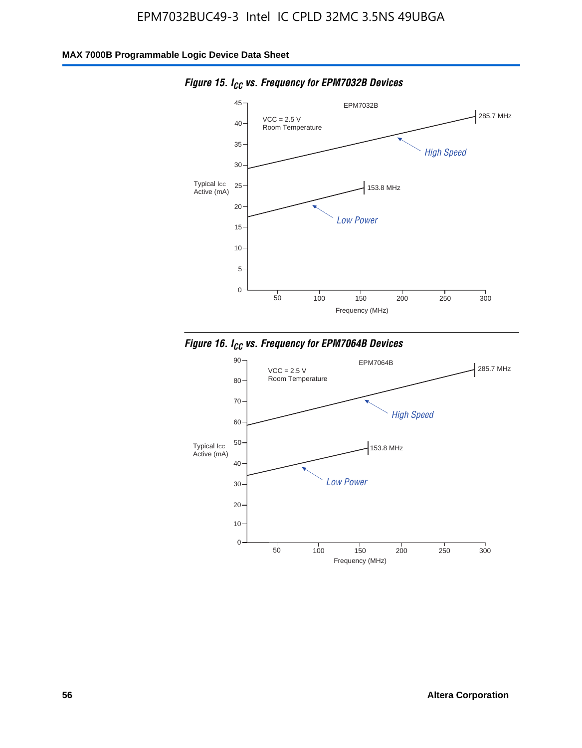

*Figure 15. ICC vs. Frequency for EPM7032B Devices*



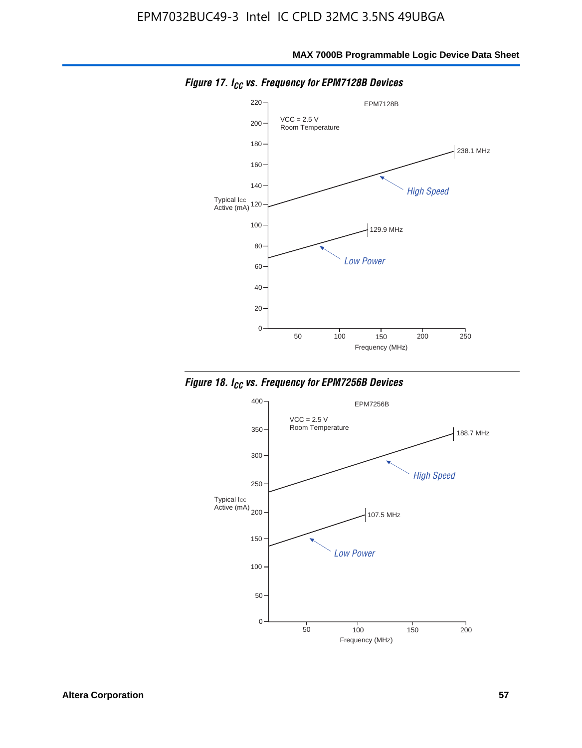

*Figure 17. ICC vs. Frequency for EPM7128B Devices*



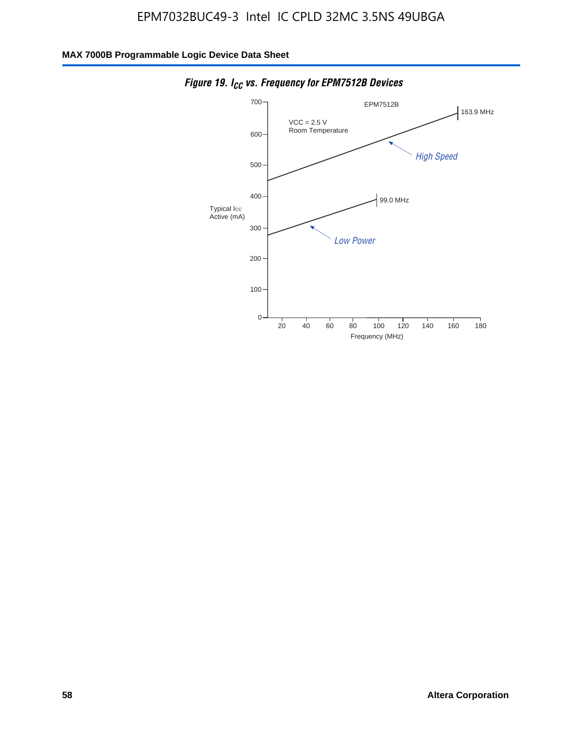

*Figure 19. I<sub>CC</sub> vs. Frequency for EPM7512B Devices*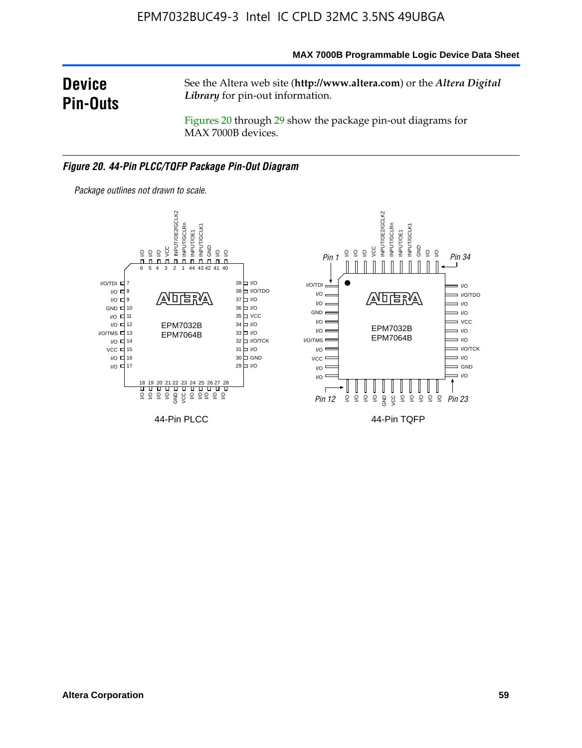#### **MAX 7000B Programmable Logic Device Data Sheet**

# **Device Pin-Outs**

See the Altera web site (**http://www.altera.com**) or the *Altera Digital Library* for pin-out information.

Figures 20 through 29 show the package pin-out diagrams for MAX 7000B devices.

#### *Figure 20. 44-Pin PLCC/TQFP Package Pin-Out Diagram*



*Package outlines not drawn to scale.*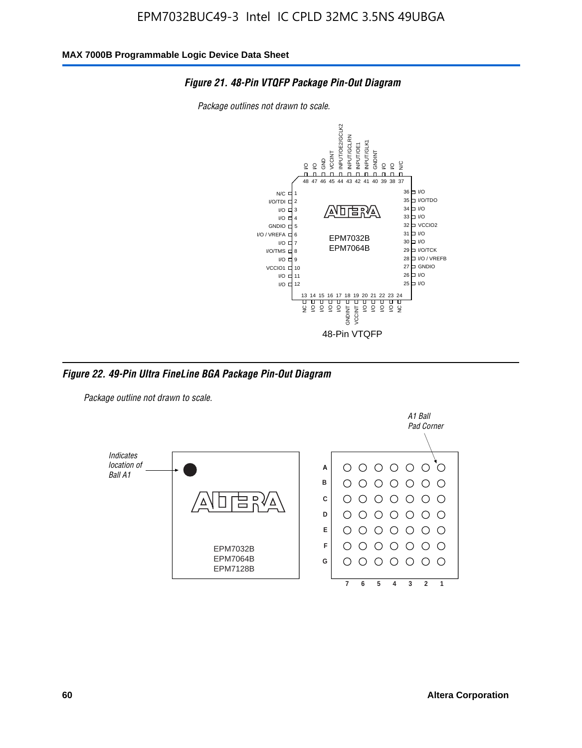

*Package outlines not drawn to scale.*



*Figure 22. 49-Pin Ultra FineLine BGA Package Pin-Out Diagram*

*Package outline not drawn to scale.*

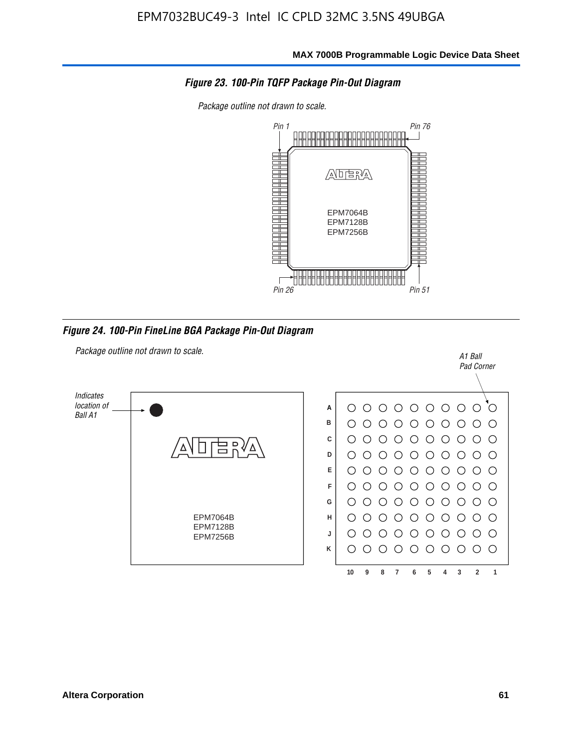

*Package outline not drawn to scale.*



*Figure 24. 100-Pin FineLine BGA Package Pin-Out Diagram*

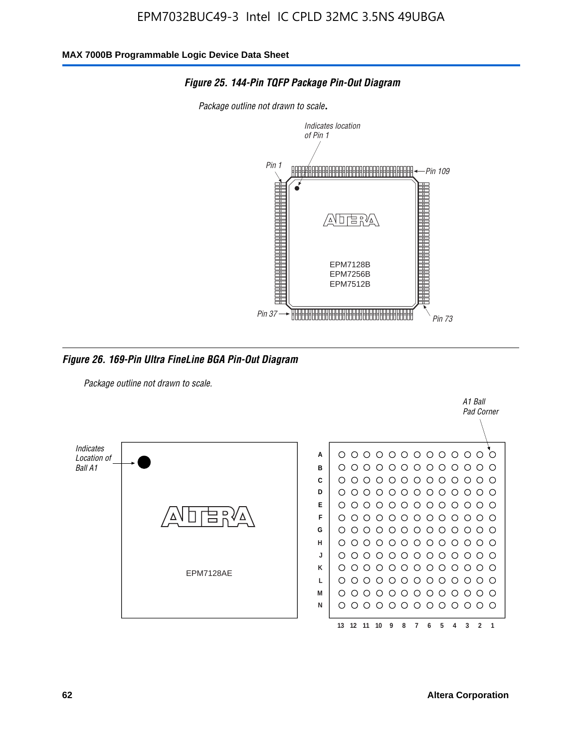

#### *Figure 25. 144-Pin TQFP Package Pin-Out Diagram*

*Package outline not drawn to scale*.

*Figure 26. 169-Pin Ultra FineLine BGA Pin-Out Diagram*

*Package outline not drawn to scale.*



A1 Ball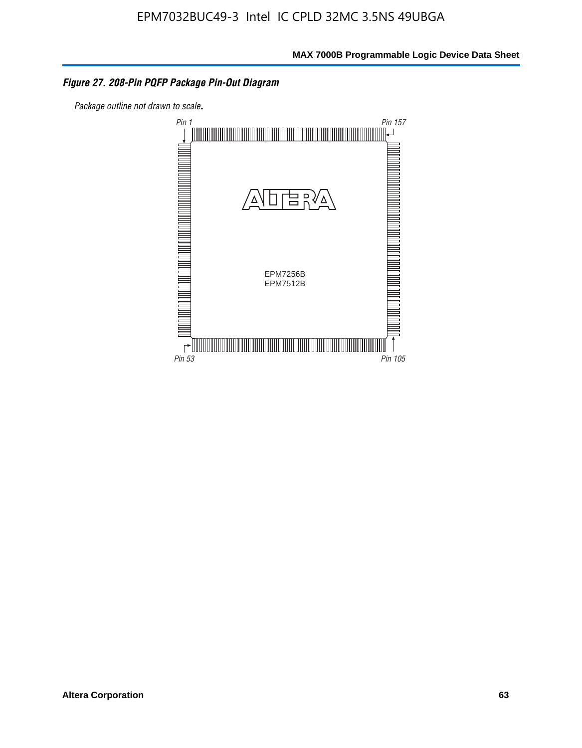#### *Figure 27. 208-Pin PQFP Package Pin-Out Diagram*

*Package outline not drawn to scale*.

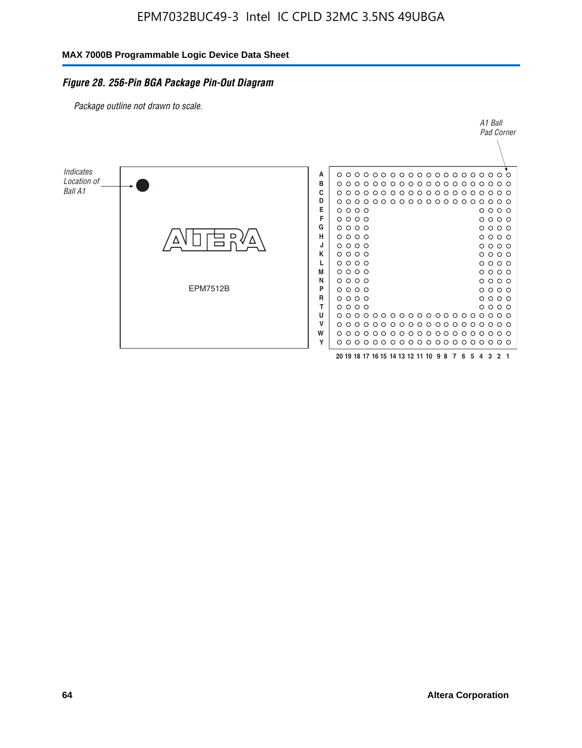#### *Figure 28. 256-Pin BGA Package Pin-Out Diagram*

*Package outline not drawn to scale.*

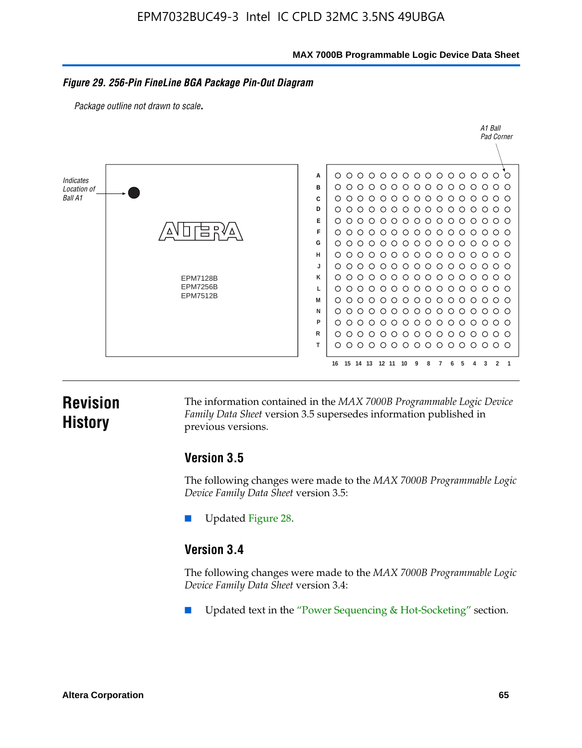**MAX 7000B Programmable Logic Device Data Sheet**

#### *Figure 29. 256-Pin FineLine BGA Package Pin-Out Diagram*

*Package outline not drawn to scale*.



# **Revision History**

The information contained in the *MAX 7000B Programmable Logic Device Family Data Sheet* version 3.5 supersedes information published in previous versions.

### **Version 3.5**

The following changes were made to the *MAX 7000B Programmable Logic Device Family Data Sheet* version 3.5:

Updated Figure 28.

### **Version 3.4**

The following changes were made to the *MAX 7000B Programmable Logic Device Family Data Sheet* version 3.4:

Updated text in the "Power Sequencing & Hot-Socketing" section.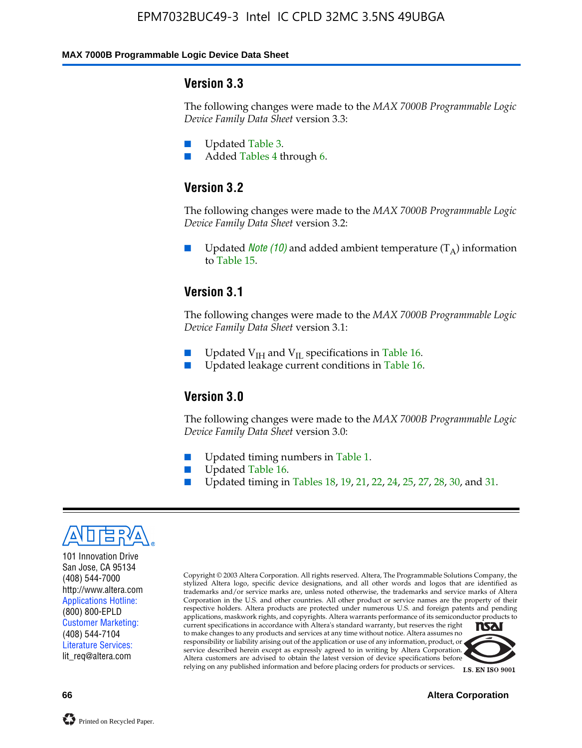#### **MAX 7000B Programmable Logic Device Data Sheet**

#### **Version 3.3**

The following changes were made to the *MAX 7000B Programmable Logic Device Family Data Sheet* version 3.3:

- Updated Table 3.
- Added Tables 4 through 6.

### **Version 3.2**

The following changes were made to the *MAX 7000B Programmable Logic Device Family Data Sheet* version 3.2:

Updated *Note* (10) and added ambient temperature  $(T_A)$  information to Table 15.

### **Version 3.1**

The following changes were made to the *MAX 7000B Programmable Logic Device Family Data Sheet* version 3.1:

- Updated  $V_{\text{IH}}$  and  $V_{\text{II}}$  specifications in Table 16.
- Updated leakage current conditions in Table 16.

### **Version 3.0**

The following changes were made to the *MAX 7000B Programmable Logic Device Family Data Sheet* version 3.0:

- Updated timing numbers in Table 1.
- Updated Table 16.
- Updated timing in Tables 18, 19, 21, 22, 24, 25, 27, 28, 30, and 31.



101 Innovation Drive San Jose, CA 95134 (408) 544-7000 http://www.altera.com Applications Hotline: (800) 800-EPLD Customer Marketing: (408) 544-7104 Literature Services: lit\_req@altera.com

Copyright © 2003 Altera Corporation. All rights reserved. Altera, The Programmable Solutions Company, the stylized Altera logo, specific device designations, and all other words and logos that are identified as trademarks and/or service marks are, unless noted otherwise, the trademarks and service marks of Altera Corporation in the U.S. and other countries. All other product or service names are the property of their respective holders. Altera products are protected under numerous U.S. and foreign patents and pending applications, maskwork rights, and copyrights. Altera warrants performance of its semiconductor products to current specifications in accordance with Altera's standard warranty, but reserves the right **TSAI** to make changes to any products and services at any time without notice. Altera assumes no responsibility or liability arising out of the application or use of any information, product, or service described herein except as expressly agreed to in writing by Altera Corporation.

Altera customers are advised to obtain the latest version of device specifications before relying on any published information and before placing orders for products or services.



**66 Altera Corporation**